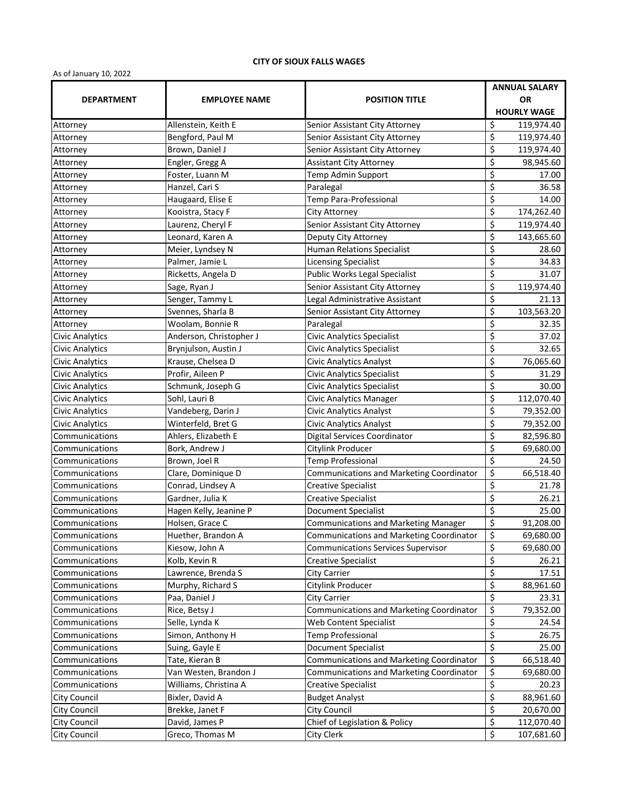## **CITY OF SIOUX FALLS WAGES**

As of January 10, 2022

|                        |                         |                                                 | <b>ANNUAL SALARY</b>                         |  |
|------------------------|-------------------------|-------------------------------------------------|----------------------------------------------|--|
| <b>DEPARTMENT</b>      | <b>EMPLOYEE NAME</b>    | <b>POSITION TITLE</b>                           | <b>OR</b>                                    |  |
|                        |                         |                                                 | <b>HOURLY WAGE</b>                           |  |
| Attorney               | Allenstein, Keith E     | Senior Assistant City Attorney                  | \$<br>119,974.40                             |  |
| Attorney               | Bengford, Paul M        | Senior Assistant City Attorney                  | \$<br>119,974.40                             |  |
| Attorney               | Brown, Daniel J         | Senior Assistant City Attorney                  | \$<br>119,974.40                             |  |
| Attorney               | Engler, Gregg A         | <b>Assistant City Attorney</b>                  | \$<br>98,945.60                              |  |
| Attorney               | Foster, Luann M         | Temp Admin Support                              | \$<br>17.00                                  |  |
| Attorney               | Hanzel, Cari S          | Paralegal                                       | \$<br>36.58                                  |  |
| Attorney               | Haugaard, Elise E       | Temp Para-Professional                          | \$<br>14.00                                  |  |
| Attorney               | Kooistra, Stacy F       | City Attorney                                   | \$<br>174,262.40                             |  |
| Attorney               | Laurenz, Cheryl F       | Senior Assistant City Attorney                  | \$<br>119,974.40                             |  |
| Attorney               | Leonard, Karen A        | Deputy City Attorney                            | \$<br>143,665.60                             |  |
| Attorney               | Meier, Lyndsey N        | Human Relations Specialist                      | \$<br>28.60                                  |  |
| Attorney               | Palmer, Jamie L         | <b>Licensing Specialist</b>                     | \$<br>34.83                                  |  |
| Attorney               | Ricketts, Angela D      | Public Works Legal Specialist                   | \$<br>31.07                                  |  |
| Attorney               | Sage, Ryan J            | Senior Assistant City Attorney                  | \$<br>119,974.40                             |  |
| Attorney               | Senger, Tammy L         | Legal Administrative Assistant                  | \$<br>21.13                                  |  |
| Attorney               | Svennes, Sharla B       | Senior Assistant City Attorney                  | \$<br>103,563.20                             |  |
| Attorney               | Woolam, Bonnie R        | Paralegal                                       | \$<br>32.35                                  |  |
| <b>Civic Analytics</b> | Anderson, Christopher J | <b>Civic Analytics Specialist</b>               | \$<br>37.02                                  |  |
| <b>Civic Analytics</b> | Brynjulson, Austin J    | <b>Civic Analytics Specialist</b>               | \$<br>32.65                                  |  |
| <b>Civic Analytics</b> | Krause, Chelsea D       | <b>Civic Analytics Analyst</b>                  | $\overline{\boldsymbol{\zeta}}$<br>76,065.60 |  |
| <b>Civic Analytics</b> | Profir, Aileen P        | <b>Civic Analytics Specialist</b>               | \$<br>31.29                                  |  |
| <b>Civic Analytics</b> | Schmunk, Joseph G       | <b>Civic Analytics Specialist</b>               | \$<br>30.00                                  |  |
| <b>Civic Analytics</b> | Sohl, Lauri B           | <b>Civic Analytics Manager</b>                  | \$<br>112,070.40                             |  |
| <b>Civic Analytics</b> | Vandeberg, Darin J      | <b>Civic Analytics Analyst</b>                  | \$<br>79,352.00                              |  |
| <b>Civic Analytics</b> | Winterfeld, Bret G      | Civic Analytics Analyst                         | \$<br>79,352.00                              |  |
| Communications         | Ahlers, Elizabeth E     | Digital Services Coordinator                    | \$<br>82,596.80                              |  |
| Communications         | Bork, Andrew J          | Citylink Producer                               | $\overline{\boldsymbol{\zeta}}$<br>69,680.00 |  |
| Communications         | Brown, Joel R           | <b>Temp Professional</b>                        | \$<br>24.50                                  |  |
| Communications         | Clare, Dominique D      | <b>Communications and Marketing Coordinator</b> | \$<br>66,518.40                              |  |
| Communications         | Conrad, Lindsey A       | <b>Creative Specialist</b>                      | \$<br>21.78                                  |  |
| Communications         | Gardner, Julia K        | <b>Creative Specialist</b>                      | \$<br>26.21                                  |  |
| Communications         | Hagen Kelly, Jeanine P  | <b>Document Specialist</b>                      | $\overline{\boldsymbol{\zeta}}$<br>25.00     |  |
| Communications         | Holsen, Grace C         | <b>Communications and Marketing Manager</b>     | \$<br>91,208.00                              |  |
| Communications         | Huether, Brandon A      | Communications and Marketing Coordinator        | $\frac{1}{2}$<br>69,680.00                   |  |
| Communications         | Kiesow, John A          | <b>Communications Services Supervisor</b>       | $\overline{\boldsymbol{\zeta}}$<br>69,680.00 |  |
| Communications         | Kolb, Kevin R           | <b>Creative Specialist</b>                      | \$<br>26.21                                  |  |
| Communications         | Lawrence, Brenda S      | City Carrier                                    | \$<br>17.51                                  |  |
| Communications         | Murphy, Richard S       | Citylink Producer                               | \$<br>88,961.60                              |  |
| Communications         | Paa, Daniel J           | <b>City Carrier</b>                             | $\overline{\boldsymbol{\zeta}}$<br>23.31     |  |
| Communications         | Rice, Betsy J           | Communications and Marketing Coordinator        | \$<br>79,352.00                              |  |
| Communications         | Selle, Lynda K          | Web Content Specialist                          | \$<br>24.54                                  |  |
| Communications         | Simon, Anthony H        | <b>Temp Professional</b>                        | \$<br>26.75                                  |  |
| Communications         | Suing, Gayle E          | <b>Document Specialist</b>                      | \$<br>25.00                                  |  |
| Communications         | Tate, Kieran B          | <b>Communications and Marketing Coordinator</b> | \$<br>66,518.40                              |  |
| Communications         | Van Westen, Brandon J   | Communications and Marketing Coordinator        | \$<br>69,680.00                              |  |
| Communications         | Williams, Christina A   | <b>Creative Specialist</b>                      | \$<br>20.23                                  |  |
| <b>City Council</b>    | Bixler, David A         | <b>Budget Analyst</b>                           | \$<br>88,961.60                              |  |
| <b>City Council</b>    | Brekke, Janet F         | <b>City Council</b>                             | \$<br>20,670.00                              |  |
| <b>City Council</b>    | David, James P          | Chief of Legislation & Policy                   | \$<br>112,070.40                             |  |
| City Council           | Greco, Thomas M         | City Clerk                                      | \$<br>107,681.60                             |  |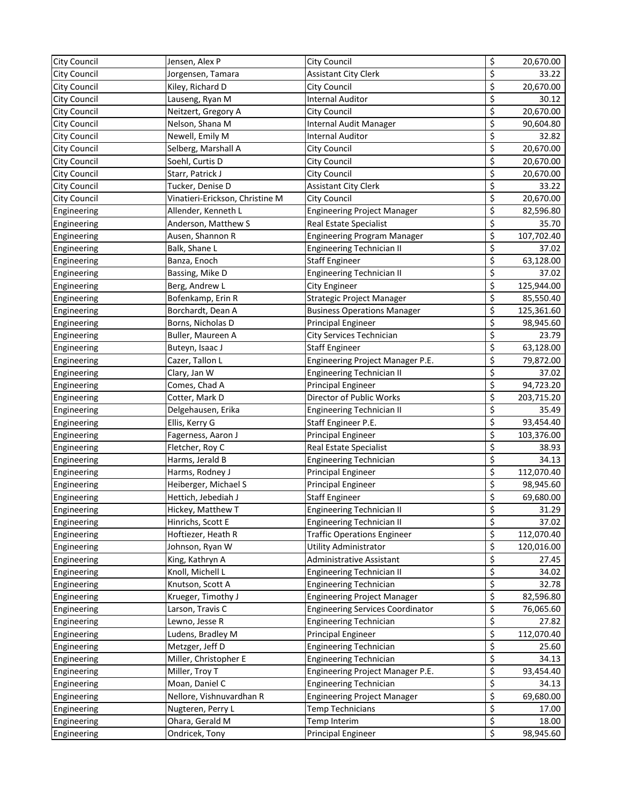| <b>City Council</b> | Jensen, Alex P                  | City Council                            | \$                      | 20,670.00  |
|---------------------|---------------------------------|-----------------------------------------|-------------------------|------------|
| City Council        | Jorgensen, Tamara               | <b>Assistant City Clerk</b>             | \$                      | 33.22      |
| City Council        | Kiley, Richard D                | <b>City Council</b>                     | \$                      | 20,670.00  |
| City Council        | Lauseng, Ryan M                 | <b>Internal Auditor</b>                 | \$                      | 30.12      |
| City Council        | Neitzert, Gregory A             | City Council                            | \$                      | 20,670.00  |
| City Council        | Nelson, Shana M                 | Internal Audit Manager                  | \$                      | 90,604.80  |
| City Council        | Newell, Emily M                 | <b>Internal Auditor</b>                 | \$                      | 32.82      |
| <b>City Council</b> | Selberg, Marshall A             | City Council                            | \$                      | 20,670.00  |
| <b>City Council</b> | Soehl, Curtis D                 | City Council                            | \$                      | 20,670.00  |
| City Council        | Starr, Patrick J                | City Council                            | \$                      | 20,670.00  |
| <b>City Council</b> | Tucker, Denise D                | <b>Assistant City Clerk</b>             | \$                      | 33.22      |
| <b>City Council</b> | Vinatieri-Erickson, Christine M | City Council                            | \$                      | 20,670.00  |
| Engineering         | Allender, Kenneth L             | <b>Engineering Project Manager</b>      | \$                      | 82,596.80  |
| Engineering         | Anderson, Matthew S             | Real Estate Specialist                  | \$                      | 35.70      |
| Engineering         | Ausen, Shannon R                | <b>Engineering Program Manager</b>      | \$                      | 107,702.40 |
| Engineering         | Balk, Shane L                   | <b>Engineering Technician II</b>        | \$                      | 37.02      |
| Engineering         | Banza, Enoch                    | <b>Staff Engineer</b>                   | \$                      | 63,128.00  |
| Engineering         | Bassing, Mike D                 | <b>Engineering Technician II</b>        | \$                      | 37.02      |
| Engineering         | Berg, Andrew L                  | <b>City Engineer</b>                    | \$                      | 125,944.00 |
| Engineering         | Bofenkamp, Erin R               | Strategic Project Manager               | \$                      | 85,550.40  |
| Engineering         | Borchardt, Dean A               | <b>Business Operations Manager</b>      | \$                      | 125,361.60 |
| Engineering         | Borns, Nicholas D               | Principal Engineer                      | \$                      | 98,945.60  |
| Engineering         | Buller, Maureen A               | City Services Technician                | \$                      | 23.79      |
| Engineering         | Buteyn, Isaac J                 | <b>Staff Engineer</b>                   | \$                      | 63,128.00  |
| Engineering         | Cazer, Tallon L                 | Engineering Project Manager P.E.        | \$                      | 79,872.00  |
| Engineering         | Clary, Jan W                    | <b>Engineering Technician II</b>        | \$                      | 37.02      |
| Engineering         | Comes, Chad A                   | <b>Principal Engineer</b>               | \$                      | 94,723.20  |
| Engineering         | Cotter, Mark D                  | Director of Public Works                | \$                      | 203,715.20 |
| Engineering         | Delgehausen, Erika              | <b>Engineering Technician II</b>        | \$                      | 35.49      |
| Engineering         | Ellis, Kerry G                  | Staff Engineer P.E.                     | \$                      | 93,454.40  |
| Engineering         | Fagerness, Aaron J              | <b>Principal Engineer</b>               | \$                      | 103,376.00 |
| Engineering         | Fletcher, Roy C                 | Real Estate Specialist                  | \$                      | 38.93      |
| Engineering         | Harms, Jerald B                 | <b>Engineering Technician</b>           | \$                      | 34.13      |
| Engineering         | Harms, Rodney J                 | Principal Engineer                      | \$                      | 112,070.40 |
| Engineering         | Heiberger, Michael S            | Principal Engineer                      | \$                      | 98,945.60  |
| Engineering         | Hettich, Jebediah J             | <b>Staff Engineer</b>                   | \$                      | 69,680.00  |
| Engineering         | Hickey, Matthew T               | Engineering Technician II               | \$                      | 31.29      |
| Engineering         | Hinrichs, Scott E               | <b>Engineering Technician II</b>        | \$                      | 37.02      |
| Engineering         | Hoftiezer, Heath R              | <b>Traffic Operations Engineer</b>      | \$                      | 112,070.40 |
| Engineering         | Johnson, Ryan W                 | Utility Administrator                   | \$                      | 120,016.00 |
| Engineering         | King, Kathryn A                 | Administrative Assistant                | \$                      | 27.45      |
| Engineering         | Knoll, Michell L                | <b>Engineering Technician II</b>        | \$                      | 34.02      |
| Engineering         | Knutson, Scott A                | <b>Engineering Technician</b>           | \$                      | 32.78      |
| Engineering         | Krueger, Timothy J              | <b>Engineering Project Manager</b>      | \$                      | 82,596.80  |
| Engineering         | Larson, Travis C                | <b>Engineering Services Coordinator</b> | \$                      | 76,065.60  |
| Engineering         | Lewno, Jesse R                  | <b>Engineering Technician</b>           | \$                      | 27.82      |
| Engineering         | Ludens, Bradley M               | Principal Engineer                      | \$                      | 112,070.40 |
| Engineering         | Metzger, Jeff D                 | <b>Engineering Technician</b>           | \$                      | 25.60      |
| Engineering         | Miller, Christopher E           | <b>Engineering Technician</b>           | \$                      | 34.13      |
| Engineering         | Miller, Troy T                  | Engineering Project Manager P.E.        | \$                      | 93,454.40  |
| Engineering         | Moan, Daniel C                  | <b>Engineering Technician</b>           | \$                      | 34.13      |
| Engineering         | Nellore, Vishnuvardhan R        | <b>Engineering Project Manager</b>      | \$                      | 69,680.00  |
| Engineering         | Nugteren, Perry L               | Temp Technicians                        | \$                      | 17.00      |
| Engineering         | Ohara, Gerald M                 | Temp Interim                            | \$                      | 18.00      |
| Engineering         | Ondricek, Tony                  | <b>Principal Engineer</b>               | $\overline{\mathbf{S}}$ | 98,945.60  |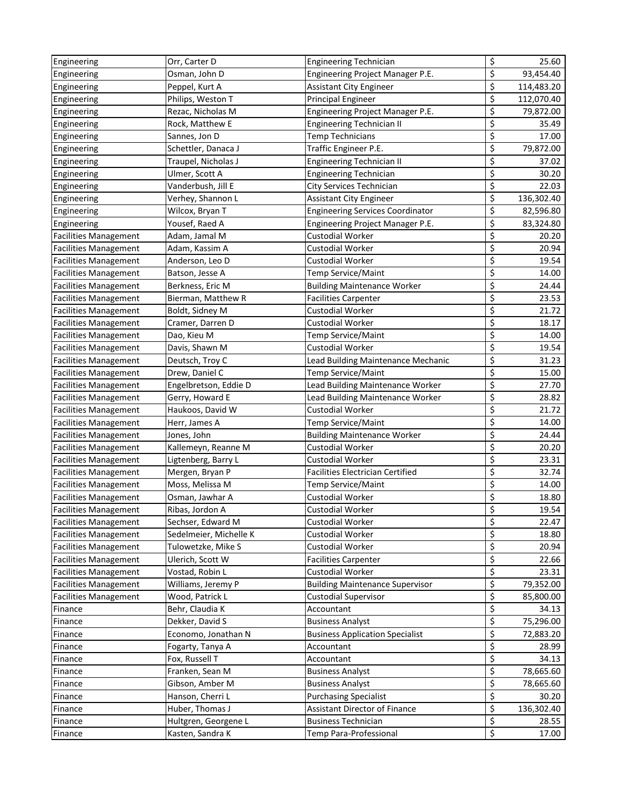| Engineering                  | Orr, Carter D          | Engineering Technician                  | \$                              | 25.60      |
|------------------------------|------------------------|-----------------------------------------|---------------------------------|------------|
| Engineering                  | Osman, John D          | Engineering Project Manager P.E.        | \$                              | 93,454.40  |
| Engineering                  | Peppel, Kurt A         | <b>Assistant City Engineer</b>          | \$                              | 114,483.20 |
| Engineering                  | Philips, Weston T      | Principal Engineer                      | \$                              | 112,070.40 |
| Engineering                  | Rezac, Nicholas M      | Engineering Project Manager P.E.        | \$                              | 79,872.00  |
| Engineering                  | Rock, Matthew E        | <b>Engineering Technician II</b>        | \$                              | 35.49      |
| Engineering                  | Sannes, Jon D          | Temp Technicians                        | \$                              | 17.00      |
| Engineering                  | Schettler, Danaca J    | Traffic Engineer P.E.                   | \$                              | 79,872.00  |
| Engineering                  | Traupel, Nicholas J    | <b>Engineering Technician II</b>        | \$                              | 37.02      |
| Engineering                  | Ulmer, Scott A         | <b>Engineering Technician</b>           | \$                              | 30.20      |
| Engineering                  | Vanderbush, Jill E     | City Services Technician                | \$                              | 22.03      |
| Engineering                  | Verhey, Shannon L      | <b>Assistant City Engineer</b>          | \$                              | 136,302.40 |
| Engineering                  | Wilcox, Bryan T        | <b>Engineering Services Coordinator</b> | \$                              | 82,596.80  |
| Engineering                  | Yousef, Raed A         | Engineering Project Manager P.E.        | \$                              | 83,324.80  |
| <b>Facilities Management</b> | Adam, Jamal M          | <b>Custodial Worker</b>                 | \$                              | 20.20      |
| <b>Facilities Management</b> | Adam, Kassim A         | Custodial Worker                        | \$                              | 20.94      |
| <b>Facilities Management</b> | Anderson, Leo D        | Custodial Worker                        | \$                              | 19.54      |
| <b>Facilities Management</b> | Batson, Jesse A        | Temp Service/Maint                      | \$                              | 14.00      |
| <b>Facilities Management</b> | Berkness, Eric M       | <b>Building Maintenance Worker</b>      | \$                              | 24.44      |
| <b>Facilities Management</b> | Bierman, Matthew R     | <b>Facilities Carpenter</b>             | \$                              | 23.53      |
| <b>Facilities Management</b> | Boldt, Sidney M        | Custodial Worker                        | \$                              | 21.72      |
| <b>Facilities Management</b> | Cramer, Darren D       | Custodial Worker                        | \$                              | 18.17      |
| <b>Facilities Management</b> | Dao, Kieu M            | Temp Service/Maint                      | \$                              | 14.00      |
| <b>Facilities Management</b> | Davis, Shawn M         | <b>Custodial Worker</b>                 | \$                              | 19.54      |
| <b>Facilities Management</b> | Deutsch, Troy C        | Lead Building Maintenance Mechanic      | \$                              | 31.23      |
| <b>Facilities Management</b> | Drew, Daniel C         | Temp Service/Maint                      | \$                              | 15.00      |
| <b>Facilities Management</b> | Engelbretson, Eddie D  | Lead Building Maintenance Worker        | \$                              | 27.70      |
| <b>Facilities Management</b> | Gerry, Howard E        | Lead Building Maintenance Worker        | \$                              | 28.82      |
| <b>Facilities Management</b> | Haukoos, David W       | <b>Custodial Worker</b>                 | \$                              | 21.72      |
| <b>Facilities Management</b> | Herr, James A          | Temp Service/Maint                      | \$                              | 14.00      |
| <b>Facilities Management</b> | Jones, John            | <b>Building Maintenance Worker</b>      | \$                              | 24.44      |
| <b>Facilities Management</b> | Kallemeyn, Reanne M    | <b>Custodial Worker</b>                 | \$                              | 20.20      |
| <b>Facilities Management</b> | Ligtenberg, Barry L    | <b>Custodial Worker</b>                 | \$                              | 23.31      |
| <b>Facilities Management</b> | Mergen, Bryan P        | <b>Facilities Electrician Certified</b> | \$                              | 32.74      |
| <b>Facilities Management</b> | Moss, Melissa M        | Temp Service/Maint                      | \$                              | 14.00      |
| <b>Facilities Management</b> | Osman, Jawhar A        | <b>Custodial Worker</b>                 | \$                              | 18.80      |
| <b>Facilities Management</b> | Ribas, Jordon A        | Custodial Worker                        | \$                              | 19.54      |
| <b>Facilities Management</b> | Sechser, Edward M      | <b>Custodial Worker</b>                 | \$                              | 22.47      |
| <b>Facilities Management</b> | Sedelmeier, Michelle K | <b>Custodial Worker</b>                 | \$                              | 18.80      |
| <b>Facilities Management</b> | Tulowetzke, Mike S     | Custodial Worker                        | \$                              | 20.94      |
| <b>Facilities Management</b> | Ulerich, Scott W       | <b>Facilities Carpenter</b>             | \$                              | 22.66      |
| <b>Facilities Management</b> | Vostad, Robin L        | <b>Custodial Worker</b>                 | \$                              | 23.31      |
| <b>Facilities Management</b> | Williams, Jeremy P     | <b>Building Maintenance Supervisor</b>  | \$                              | 79,352.00  |
| <b>Facilities Management</b> | Wood, Patrick L        | <b>Custodial Supervisor</b>             | $\overline{\boldsymbol{\zeta}}$ | 85,800.00  |
| Finance                      | Behr, Claudia K        | Accountant                              | \$                              | 34.13      |
| Finance                      | Dekker, David S        | <b>Business Analyst</b>                 | \$                              | 75,296.00  |
| Finance                      | Economo, Jonathan N    | <b>Business Application Specialist</b>  | \$                              | 72,883.20  |
| Finance                      | Fogarty, Tanya A       | Accountant                              | \$                              | 28.99      |
| Finance                      | Fox, Russell T         | Accountant                              | \$                              | 34.13      |
| Finance                      | Franken, Sean M        | <b>Business Analyst</b>                 | \$                              | 78,665.60  |
| Finance                      | Gibson, Amber M        | <b>Business Analyst</b>                 | \$                              | 78,665.60  |
| Finance                      | Hanson, Cherri L       | <b>Purchasing Specialist</b>            | \$                              | 30.20      |
| Finance                      | Huber, Thomas J        | Assistant Director of Finance           | \$                              | 136,302.40 |
| Finance                      | Hultgren, Georgene L   | <b>Business Technician</b>              | \$                              | 28.55      |
| Finance                      | Kasten, Sandra K       | Temp Para-Professional                  | $\overline{\mathbf{S}}$         | 17.00      |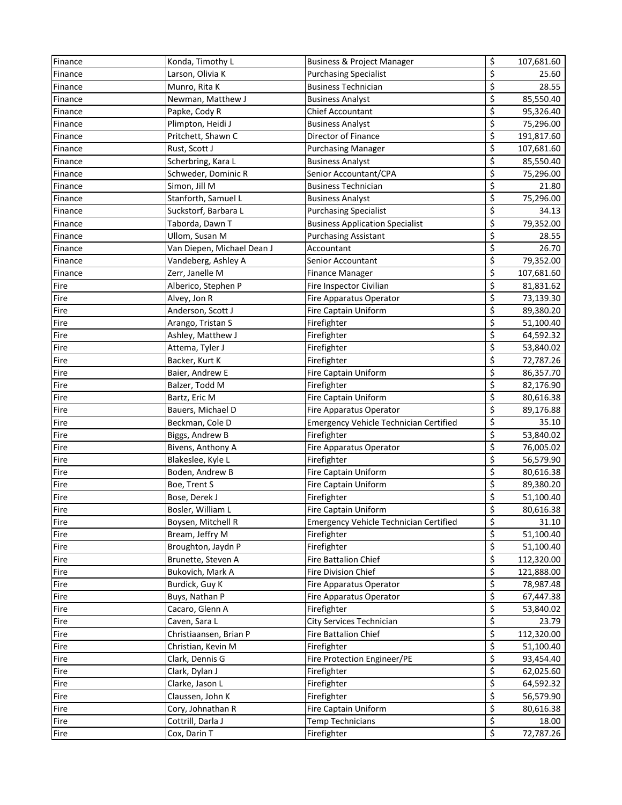| Finance | Konda, Timothy L           | <b>Business &amp; Project Manager</b>         | \$                        | 107,681.60 |
|---------|----------------------------|-----------------------------------------------|---------------------------|------------|
| Finance | Larson, Olivia K           | <b>Purchasing Specialist</b>                  | \$                        | 25.60      |
| Finance | Munro, Rita K              | <b>Business Technician</b>                    | \$                        | 28.55      |
| Finance | Newman, Matthew J          | <b>Business Analyst</b>                       | \$                        | 85,550.40  |
| Finance | Papke, Cody R              | Chief Accountant                              | \$                        | 95,326.40  |
| Finance | Plimpton, Heidi J          | <b>Business Analyst</b>                       | \$                        | 75,296.00  |
| Finance | Pritchett, Shawn C         | Director of Finance                           | \$                        | 191,817.60 |
| Finance | Rust, Scott J              | <b>Purchasing Manager</b>                     | \$                        | 107,681.60 |
| Finance | Scherbring, Kara L         | <b>Business Analyst</b>                       | \$                        | 85,550.40  |
| Finance | Schweder, Dominic R        | Senior Accountant/CPA                         | \$                        | 75,296.00  |
| Finance | Simon, Jill M              | Business Technician                           | \$                        | 21.80      |
| Finance | Stanforth, Samuel L        | <b>Business Analyst</b>                       | \$                        | 75,296.00  |
| Finance | Suckstorf, Barbara L       | <b>Purchasing Specialist</b>                  | \$                        | 34.13      |
| Finance | Taborda, Dawn T            | <b>Business Application Specialist</b>        | \$                        | 79,352.00  |
| Finance | Ullom, Susan M             | <b>Purchasing Assistant</b>                   | \$                        | 28.55      |
| Finance | Van Diepen, Michael Dean J | Accountant                                    | \$                        | 26.70      |
| Finance | Vandeberg, Ashley A        | Senior Accountant                             | \$                        | 79,352.00  |
| Finance | Zerr, Janelle M            | <b>Finance Manager</b>                        | \$                        | 107,681.60 |
| Fire    | Alberico, Stephen P        | Fire Inspector Civilian                       | \$                        | 81,831.62  |
| Fire    | Alvey, Jon R               | Fire Apparatus Operator                       | \$                        | 73,139.30  |
| Fire    | Anderson, Scott J          | <b>Fire Captain Uniform</b>                   | \$                        | 89,380.20  |
| Fire    | Arango, Tristan S          | Firefighter                                   | \$                        | 51,100.40  |
| Fire    | Ashley, Matthew J          | Firefighter                                   | \$                        | 64,592.32  |
| Fire    | Attema, Tyler J            | Firefighter                                   | \$                        | 53,840.02  |
| Fire    | Backer, Kurt K             | Firefighter                                   | \$                        | 72,787.26  |
| Fire    | Baier, Andrew E            | <b>Fire Captain Uniform</b>                   | \$                        | 86,357.70  |
| Fire    | Balzer, Todd M             | Firefighter                                   | \$                        | 82,176.90  |
| Fire    | Bartz, Eric M              | <b>Fire Captain Uniform</b>                   | \$                        | 80,616.38  |
| Fire    | Bauers, Michael D          | Fire Apparatus Operator                       | \$                        | 89,176.88  |
| Fire    | Beckman, Cole D            | <b>Emergency Vehicle Technician Certified</b> | \$                        | 35.10      |
| Fire    | Biggs, Andrew B            | Firefighter                                   | \$                        | 53,840.02  |
| Fire    | Bivens, Anthony A          | Fire Apparatus Operator                       | \$                        | 76,005.02  |
| Fire    | Blakeslee, Kyle L          | Firefighter                                   | \$                        | 56,579.90  |
| Fire    | Boden, Andrew B            | Fire Captain Uniform                          | \$                        | 80,616.38  |
| Fire    | Boe, Trent S               | Fire Captain Uniform                          | \$                        | 89,380.20  |
| Fire    | Bose, Derek J              | Firefighter                                   | \$                        | 51,100.40  |
| Fire    | Bosler, William L          | Fire Captain Uniform                          | \$                        | 80,616.38  |
| Fire    | Boysen, Mitchell R         | <b>Emergency Vehicle Technician Certified</b> | \$                        | 31.10      |
| Fire    | Bream, Jeffry M            | Firefighter                                   | \$                        | 51,100.40  |
| Fire    | Broughton, Jaydn P         | Firefighter                                   | \$                        | 51,100.40  |
| Fire    | Brunette, Steven A         | <b>Fire Battalion Chief</b>                   | \$                        | 112,320.00 |
| Fire    | Bukovich, Mark A           | Fire Division Chief                           | \$                        | 121,888.00 |
| Fire    | Burdick, Guy K             | Fire Apparatus Operator                       | \$                        | 78,987.48  |
| Fire    | Buys, Nathan P             | Fire Apparatus Operator                       | $\overline{\mathbf{c}}$   | 67,447.38  |
| Fire    | Cacaro, Glenn A            | Firefighter                                   | \$                        | 53,840.02  |
| Fire    | Caven, Sara L              | City Services Technician                      | \$                        | 23.79      |
| Fire    | Christiaansen, Brian P     | Fire Battalion Chief                          | \$                        | 112,320.00 |
| Fire    | Christian, Kevin M         | Firefighter                                   | \$                        | 51,100.40  |
| Fire    | Clark, Dennis G            | Fire Protection Engineer/PE                   | \$                        | 93,454.40  |
| Fire    | Clark, Dylan J             | Firefighter                                   | \$                        | 62,025.60  |
| Fire    | Clarke, Jason L            | Firefighter                                   | \$                        | 64,592.32  |
| Fire    | Claussen, John K           | Firefighter                                   | \$                        | 56,579.90  |
| Fire    | Cory, Johnathan R          | Fire Captain Uniform                          | \$                        | 80,616.38  |
| Fire    | Cottrill, Darla J          | <b>Temp Technicians</b>                       | $\overline{\xi}$          | 18.00      |
| Fire    | Cox, Darin T               | Firefighter                                   | $\overline{\mathfrak{S}}$ | 72,787.26  |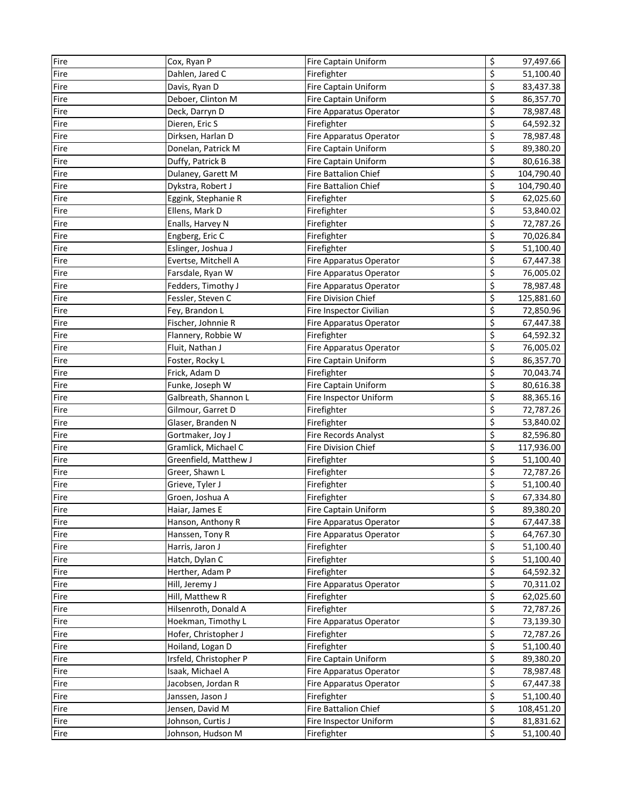| Fire | Cox, Ryan P            | Fire Captain Uniform       | \$                              | 97,497.66  |
|------|------------------------|----------------------------|---------------------------------|------------|
| Fire | Dahlen, Jared C        | Firefighter                | \$                              | 51,100.40  |
| Fire | Davis, Ryan D          | Fire Captain Uniform       | \$                              | 83,437.38  |
| Fire | Deboer, Clinton M      | Fire Captain Uniform       | \$                              | 86,357.70  |
| Fire | Deck, Darryn D         | Fire Apparatus Operator    | \$                              | 78,987.48  |
| Fire | Dieren, Eric S         | Firefighter                | \$                              | 64,592.32  |
| Fire | Dirksen, Harlan D      | Fire Apparatus Operator    | \$                              | 78,987.48  |
| Fire | Donelan, Patrick M     | Fire Captain Uniform       | \$                              | 89,380.20  |
| Fire | Duffy, Patrick B       | Fire Captain Uniform       | \$                              | 80,616.38  |
| Fire | Dulaney, Garett M      | Fire Battalion Chief       | \$                              | 104,790.40 |
| Fire | Dykstra, Robert J      | Fire Battalion Chief       | \$                              | 104,790.40 |
| Fire | Eggink, Stephanie R    | Firefighter                | \$                              | 62,025.60  |
| Fire | Ellens, Mark D         | Firefighter                | \$                              | 53,840.02  |
| Fire | Enalls, Harvey N       | Firefighter                | \$                              | 72,787.26  |
| Fire | Engberg, Eric C        | Firefighter                | \$                              | 70,026.84  |
| Fire | Eslinger, Joshua J     | Firefighter                | \$                              | 51,100.40  |
| Fire | Evertse, Mitchell A    | Fire Apparatus Operator    | \$                              | 67,447.38  |
| Fire | Farsdale, Ryan W       | Fire Apparatus Operator    | \$                              | 76,005.02  |
| Fire | Fedders, Timothy J     | Fire Apparatus Operator    | \$                              | 78,987.48  |
| Fire | Fessler, Steven C      | <b>Fire Division Chief</b> | \$                              | 125,881.60 |
| Fire | Fey, Brandon L         | Fire Inspector Civilian    | \$                              | 72,850.96  |
| Fire | Fischer, Johnnie R     | Fire Apparatus Operator    | \$                              | 67,447.38  |
| Fire | Flannery, Robbie W     | Firefighter                | \$                              | 64,592.32  |
| Fire | Fluit, Nathan J        | Fire Apparatus Operator    | \$                              | 76,005.02  |
| Fire | Foster, Rocky L        | Fire Captain Uniform       | \$                              | 86,357.70  |
| Fire | Frick, Adam D          | Firefighter                | \$                              | 70,043.74  |
| Fire | Funke, Joseph W        | Fire Captain Uniform       | \$                              | 80,616.38  |
| Fire | Galbreath, Shannon L   | Fire Inspector Uniform     | \$                              | 88,365.16  |
| Fire | Gilmour, Garret D      | Firefighter                | \$                              | 72,787.26  |
| Fire | Glaser, Branden N      | Firefighter                | \$                              | 53,840.02  |
| Fire | Gortmaker, Joy J       | Fire Records Analyst       | \$                              | 82,596.80  |
| Fire | Gramlick, Michael C    | Fire Division Chief        | \$                              | 117,936.00 |
| Fire | Greenfield, Matthew J  | Firefighter                | \$                              | 51,100.40  |
| Fire | Greer, Shawn L         | Firefighter                | \$                              | 72,787.26  |
| Fire | Grieve, Tyler J        | Firefighter                | \$                              | 51,100.40  |
| Fire | Groen, Joshua A        | Firefighter                | \$                              | 67,334.80  |
| Fire | Haiar, James E         | Fire Captain Uniform       | \$                              | 89,380.20  |
| Fire | Hanson, Anthony R      | Fire Apparatus Operator    | \$                              | 67,447.38  |
| Fire | Hanssen, Tony R        | Fire Apparatus Operator    | \$                              | 64,767.30  |
| Fire | Harris, Jaron J        | Firefighter                | \$                              | 51,100.40  |
| Fire | Hatch, Dylan C         | Firefighter                | \$                              | 51,100.40  |
| Fire | Herther, Adam P        | Firefighter                | \$                              | 64,592.32  |
| Fire | Hill, Jeremy J         | Fire Apparatus Operator    | \$                              | 70,311.02  |
| Fire | Hill, Matthew R        | Firefighter                | \$                              | 62,025.60  |
| Fire | Hilsenroth, Donald A   | Firefighter                | $\overline{\mathbf{c}}$         | 72,787.26  |
| Fire | Hoekman, Timothy L     | Fire Apparatus Operator    | $\overline{\boldsymbol{\zeta}}$ | 73,139.30  |
| Fire | Hofer, Christopher J   | Firefighter                | \$                              | 72,787.26  |
| Fire | Hoiland, Logan D       | Firefighter                | \$                              | 51,100.40  |
| Fire | Irsfeld, Christopher P | Fire Captain Uniform       | \$                              | 89,380.20  |
| Fire | Isaak, Michael A       | Fire Apparatus Operator    | \$                              | 78,987.48  |
| Fire | Jacobsen, Jordan R     | Fire Apparatus Operator    | \$                              | 67,447.38  |
| Fire | Janssen, Jason J       | Firefighter                | \$                              | 51,100.40  |
| Fire | Jensen, David M        | Fire Battalion Chief       | \$                              | 108,451.20 |
| Fire | Johnson, Curtis J      | Fire Inspector Uniform     | \$                              | 81,831.62  |
| Fire | Johnson, Hudson M      | Firefighter                | $\overline{\mathbf{S}}$         | 51,100.40  |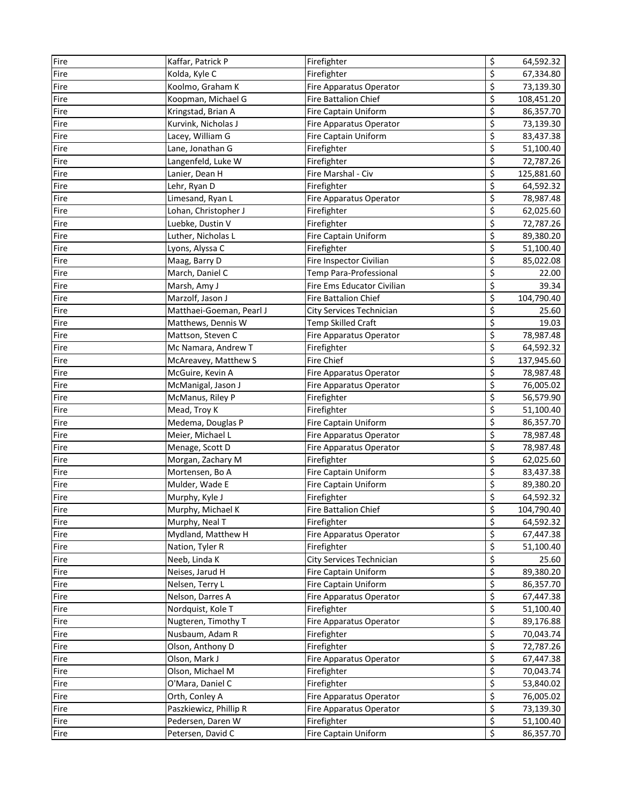| Fire | Kaffar, Patrick P        | Firefighter                 | \$<br>64,592.32  |
|------|--------------------------|-----------------------------|------------------|
| Fire | Kolda, Kyle C            | Firefighter                 | \$<br>67,334.80  |
| Fire | Koolmo, Graham K         | Fire Apparatus Operator     | \$<br>73,139.30  |
| Fire | Koopman, Michael G       | Fire Battalion Chief        | \$<br>108,451.20 |
| Fire | Kringstad, Brian A       | Fire Captain Uniform        | \$<br>86,357.70  |
| Fire | Kurvink, Nicholas J      | Fire Apparatus Operator     | \$<br>73,139.30  |
| Fire | Lacey, William G         | Fire Captain Uniform        | \$<br>83,437.38  |
| Fire | Lane, Jonathan G         | Firefighter                 | \$<br>51,100.40  |
| Fire | Langenfeld, Luke W       | Firefighter                 | \$<br>72,787.26  |
| Fire | Lanier, Dean H           | Fire Marshal - Civ          | \$<br>125,881.60 |
| Fire | Lehr, Ryan D             | Firefighter                 | \$<br>64,592.32  |
| Fire | Limesand, Ryan L         | Fire Apparatus Operator     | \$<br>78,987.48  |
| Fire | Lohan, Christopher J     | Firefighter                 | \$<br>62,025.60  |
| Fire | Luebke, Dustin V         | Firefighter                 | \$<br>72,787.26  |
| Fire | Luther, Nicholas L       | Fire Captain Uniform        | \$<br>89,380.20  |
| Fire | Lyons, Alyssa C          | Firefighter                 | \$<br>51,100.40  |
| Fire | Maag, Barry D            | Fire Inspector Civilian     | \$<br>85,022.08  |
| Fire | March, Daniel C          | Temp Para-Professional      | \$<br>22.00      |
| Fire | Marsh, Amy J             | Fire Ems Educator Civilian  | \$<br>39.34      |
| Fire | Marzolf, Jason J         | <b>Fire Battalion Chief</b> | \$<br>104,790.40 |
| Fire | Matthaei-Goeman, Pearl J | City Services Technician    | \$<br>25.60      |
| Fire | Matthews, Dennis W       | <b>Temp Skilled Craft</b>   | \$<br>19.03      |
| Fire | Mattson, Steven C        | Fire Apparatus Operator     | \$<br>78,987.48  |
| Fire | Mc Namara, Andrew T      | Firefighter                 | \$<br>64,592.32  |
| Fire | McAreavey, Matthew S     | <b>Fire Chief</b>           | \$<br>137,945.60 |
| Fire | McGuire, Kevin A         | Fire Apparatus Operator     | \$<br>78,987.48  |
| Fire | McManigal, Jason J       | Fire Apparatus Operator     | \$<br>76,005.02  |
| Fire | McManus, Riley P         | Firefighter                 | \$<br>56,579.90  |
| Fire | Mead, Troy K             | Firefighter                 | \$<br>51,100.40  |
| Fire | Medema, Douglas P        | Fire Captain Uniform        | \$<br>86,357.70  |
| Fire | Meier, Michael L         | Fire Apparatus Operator     | \$<br>78,987.48  |
| Fire | Menage, Scott D          | Fire Apparatus Operator     | \$<br>78,987.48  |
| Fire | Morgan, Zachary M        | Firefighter                 | \$<br>62,025.60  |
| Fire | Mortensen, Bo A          | Fire Captain Uniform        | \$<br>83,437.38  |
| Fire | Mulder, Wade E           | Fire Captain Uniform        | \$<br>89,380.20  |
| Fire | Murphy, Kyle J           | Firefighter                 | \$<br>64,592.32  |
| Fire | Murphy, Michael K        | Fire Battalion Chief        | \$<br>104,790.40 |
| Fire | Murphy, Neal T           | Firefighter                 | \$<br>64,592.32  |
| Fire | Mydland, Matthew H       | Fire Apparatus Operator     | \$<br>67,447.38  |
| Fire | Nation, Tyler R          | Firefighter                 | \$<br>51,100.40  |
| Fire | Neeb, Linda K            | City Services Technician    | \$<br>25.60      |
| Fire | Neises, Jarud H          | Fire Captain Uniform        | \$<br>89,380.20  |
| Fire | Nelsen, Terry L          | Fire Captain Uniform        | \$<br>86,357.70  |
| Fire | Nelson, Darres A         | Fire Apparatus Operator     | \$<br>67,447.38  |
| Fire | Nordquist, Kole T        | Firefighter                 | \$<br>51,100.40  |
| Fire | Nugteren, Timothy T      | Fire Apparatus Operator     | \$<br>89,176.88  |
| Fire | Nusbaum, Adam R          | Firefighter                 | \$<br>70,043.74  |
| Fire | Olson, Anthony D         | Firefighter                 | \$<br>72,787.26  |
| Fire | Olson, Mark J            | Fire Apparatus Operator     | \$<br>67,447.38  |
| Fire | Olson, Michael M         | Firefighter                 | \$<br>70,043.74  |
| Fire | O'Mara, Daniel C         | Firefighter                 | \$<br>53,840.02  |
| Fire | Orth, Conley A           | Fire Apparatus Operator     | \$<br>76,005.02  |
| Fire | Paszkiewicz, Phillip R   | Fire Apparatus Operator     | \$<br>73,139.30  |
| Fire | Pedersen, Daren W        | Firefighter                 | \$<br>51,100.40  |
| Fire | Petersen, David C        | Fire Captain Uniform        | \$<br>86,357.70  |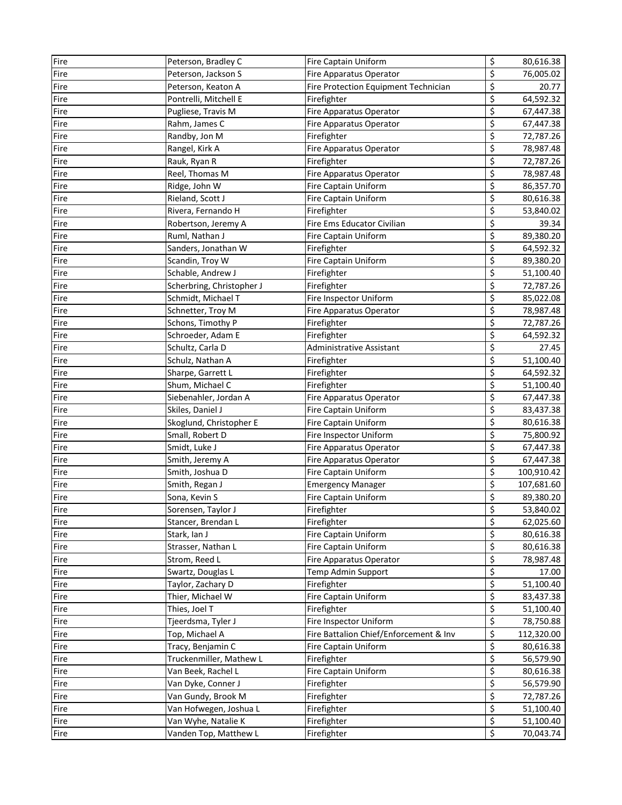| Fire | Peterson, Bradley C       | Fire Captain Uniform                   | \$                              | 80,616.38  |
|------|---------------------------|----------------------------------------|---------------------------------|------------|
| Fire | Peterson, Jackson S       | Fire Apparatus Operator                | \$                              | 76,005.02  |
| Fire | Peterson, Keaton A        | Fire Protection Equipment Technician   | \$                              | 20.77      |
| Fire | Pontrelli, Mitchell E     | Firefighter                            | \$                              | 64,592.32  |
| Fire | Pugliese, Travis M        | Fire Apparatus Operator                | \$                              | 67,447.38  |
| Fire | Rahm, James C             | Fire Apparatus Operator                | \$                              | 67,447.38  |
| Fire | Randby, Jon M             | Firefighter                            | \$                              | 72,787.26  |
| Fire | Rangel, Kirk A            | Fire Apparatus Operator                | \$                              | 78,987.48  |
| Fire | Rauk, Ryan R              | Firefighter                            | \$                              | 72,787.26  |
| Fire | Reel, Thomas M            | Fire Apparatus Operator                | \$                              | 78,987.48  |
| Fire | Ridge, John W             | Fire Captain Uniform                   | \$                              | 86,357.70  |
| Fire | Rieland, Scott J          | Fire Captain Uniform                   | \$                              | 80,616.38  |
| Fire | Rivera, Fernando H        | Firefighter                            | \$                              | 53,840.02  |
| Fire | Robertson, Jeremy A       | Fire Ems Educator Civilian             | \$                              | 39.34      |
| Fire | Ruml, Nathan J            | Fire Captain Uniform                   | \$                              | 89,380.20  |
| Fire | Sanders, Jonathan W       | Firefighter                            | \$                              | 64,592.32  |
| Fire | Scandin, Troy W           | Fire Captain Uniform                   | \$                              | 89,380.20  |
| Fire | Schable, Andrew J         | Firefighter                            | \$                              | 51,100.40  |
| Fire | Scherbring, Christopher J | Firefighter                            | \$                              | 72,787.26  |
| Fire | Schmidt, Michael T        | Fire Inspector Uniform                 | \$                              | 85,022.08  |
| Fire | Schnetter, Troy M         | Fire Apparatus Operator                | \$                              | 78,987.48  |
| Fire | Schons, Timothy P         | Firefighter                            | \$                              | 72,787.26  |
| Fire | Schroeder, Adam E         | Firefighter                            | \$                              | 64,592.32  |
| Fire | Schultz, Carla D          | Administrative Assistant               | \$                              | 27.45      |
| Fire | Schulz, Nathan A          | Firefighter                            | \$                              | 51,100.40  |
| Fire | Sharpe, Garrett L         | Firefighter                            | \$                              | 64,592.32  |
| Fire | Shum, Michael C           | Firefighter                            | \$                              | 51,100.40  |
| Fire | Siebenahler, Jordan A     | Fire Apparatus Operator                | \$                              | 67,447.38  |
| Fire | Skiles, Daniel J          | Fire Captain Uniform                   | \$                              | 83,437.38  |
| Fire | Skoglund, Christopher E   | Fire Captain Uniform                   | \$                              | 80,616.38  |
| Fire | Small, Robert D           | Fire Inspector Uniform                 | \$                              | 75,800.92  |
| Fire | Smidt, Luke J             | Fire Apparatus Operator                | \$                              | 67,447.38  |
| Fire | Smith, Jeremy A           | Fire Apparatus Operator                | \$                              | 67,447.38  |
| Fire | Smith, Joshua D           | Fire Captain Uniform                   | \$                              | 100,910.42 |
| Fire | Smith, Regan J            | <b>Emergency Manager</b>               | \$                              | 107,681.60 |
| Fire | Sona, Kevin S             | Fire Captain Uniform                   | \$                              | 89,380.20  |
| Fire | Sorensen, Taylor J        | Firefighter                            | \$                              | 53,840.02  |
| Fire | Stancer, Brendan L        | Firefighter                            | \$                              | 62,025.60  |
| Fire | Stark, Ian J              | Fire Captain Uniform                   | \$                              | 80,616.38  |
| Fire | Strasser, Nathan L        | Fire Captain Uniform                   | \$                              | 80,616.38  |
| Fire | Strom, Reed L             | Fire Apparatus Operator                | \$                              | 78,987.48  |
| Fire | Swartz, Douglas L         | Temp Admin Support                     | \$                              | 17.00      |
| Fire | Taylor, Zachary D         | Firefighter                            | \$                              | 51,100.40  |
| Fire | Thier, Michael W          | Fire Captain Uniform                   | \$                              | 83,437.38  |
| Fire | Thies, Joel T             | Firefighter                            | \$                              | 51,100.40  |
| Fire | Tjeerdsma, Tyler J        | Fire Inspector Uniform                 | $\overline{\boldsymbol{\zeta}}$ | 78,750.88  |
| Fire | Top, Michael A            | Fire Battalion Chief/Enforcement & Inv | \$                              | 112,320.00 |
| Fire | Tracy, Benjamin C         | Fire Captain Uniform                   | $\overline{\mathcal{S}}$        | 80,616.38  |
| Fire | Truckenmiller, Mathew L   | Firefighter                            | \$                              | 56,579.90  |
| Fire | Van Beek, Rachel L        | Fire Captain Uniform                   | \$                              | 80,616.38  |
| Fire | Van Dyke, Conner J        | Firefighter                            | \$                              | 56,579.90  |
| Fire | Van Gundy, Brook M        | Firefighter                            | \$                              | 72,787.26  |
| Fire | Van Hofwegen, Joshua L    | Firefighter                            | $\overline{\boldsymbol{\zeta}}$ | 51,100.40  |
| Fire | Van Wyhe, Natalie K       | Firefighter                            | $\overline{\mathcal{S}}$        | 51,100.40  |
| Fire | Vanden Top, Matthew L     | Firefighter                            | \$                              | 70,043.74  |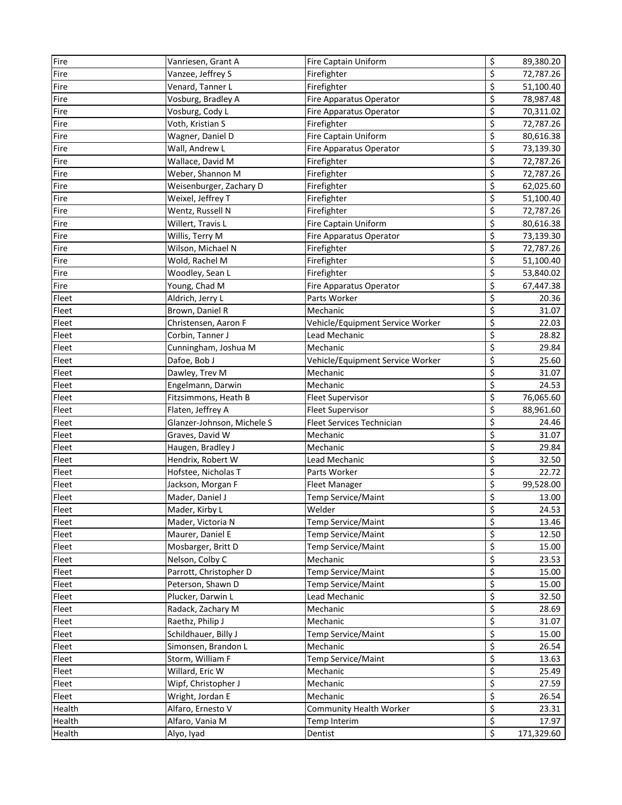| Fire   | Vanriesen, Grant A         | Fire Captain Uniform             | \$                              | 89,380.20  |
|--------|----------------------------|----------------------------------|---------------------------------|------------|
| Fire   | Vanzee, Jeffrey S          | Firefighter                      | \$                              | 72,787.26  |
| Fire   | Venard, Tanner L           | Firefighter                      | \$                              | 51,100.40  |
| Fire   | Vosburg, Bradley A         | Fire Apparatus Operator          | \$                              | 78,987.48  |
| Fire   | Vosburg, Cody L            | Fire Apparatus Operator          | \$                              | 70,311.02  |
| Fire   | Voth, Kristian S           | Firefighter                      | \$                              | 72,787.26  |
| Fire   | Wagner, Daniel D           | Fire Captain Uniform             | \$                              | 80,616.38  |
| Fire   | Wall, Andrew L             | Fire Apparatus Operator          | \$                              | 73,139.30  |
| Fire   | Wallace, David M           | Firefighter                      | \$                              | 72,787.26  |
| Fire   | Weber, Shannon M           | Firefighter                      | \$                              | 72,787.26  |
| Fire   | Weisenburger, Zachary D    | Firefighter                      | \$                              | 62,025.60  |
| Fire   | Weixel, Jeffrey T          | Firefighter                      | \$                              | 51,100.40  |
| Fire   | Wentz, Russell N           | Firefighter                      | \$                              | 72,787.26  |
| Fire   | Willert, Travis L          | Fire Captain Uniform             | \$                              | 80,616.38  |
| Fire   | Willis, Terry M            | Fire Apparatus Operator          | \$                              | 73,139.30  |
| Fire   | Wilson, Michael N          | Firefighter                      | \$                              | 72,787.26  |
| Fire   | Wold, Rachel M             | Firefighter                      | \$                              | 51,100.40  |
| Fire   | Woodley, Sean L            | Firefighter                      | \$                              | 53,840.02  |
| Fire   | Young, Chad M              | Fire Apparatus Operator          | \$                              | 67,447.38  |
| Fleet  | Aldrich, Jerry L           | Parts Worker                     | \$                              | 20.36      |
| Fleet  | Brown, Daniel R            | Mechanic                         | \$                              | 31.07      |
| Fleet  | Christensen, Aaron F       | Vehicle/Equipment Service Worker | \$                              | 22.03      |
| Fleet  | Corbin, Tanner J           | Lead Mechanic                    | \$                              | 28.82      |
| Fleet  | Cunningham, Joshua M       | Mechanic                         | \$                              | 29.84      |
| Fleet  | Dafoe, Bob J               | Vehicle/Equipment Service Worker | \$                              | 25.60      |
| Fleet  | Dawley, Trev M             | Mechanic                         | \$                              | 31.07      |
| Fleet  | Engelmann, Darwin          | Mechanic                         | \$                              | 24.53      |
| Fleet  | Fitzsimmons, Heath B       | <b>Fleet Supervisor</b>          | \$                              | 76,065.60  |
| Fleet  | Flaten, Jeffrey A          | <b>Fleet Supervisor</b>          | \$                              | 88,961.60  |
| Fleet  | Glanzer-Johnson, Michele S | Fleet Services Technician        | \$                              | 24.46      |
| Fleet  | Graves, David W            | Mechanic                         | \$                              | 31.07      |
| Fleet  | Haugen, Bradley J          | Mechanic                         | \$                              | 29.84      |
| Fleet  | Hendrix, Robert W          | Lead Mechanic                    | \$                              | 32.50      |
| Fleet  | Hofstee, Nicholas T        | Parts Worker                     | \$                              | 22.72      |
| Fleet  | Jackson, Morgan F          | <b>Fleet Manager</b>             | \$                              | 99,528.00  |
| Fleet  | Mader, Daniel J            | Temp Service/Maint               | \$                              | 13.00      |
| Fleet  | Mader, Kirby L             | Welder                           | \$                              | 24.53      |
| Fleet  | Mader, Victoria N          | Temp Service/Maint               | \$                              | 13.46      |
| Fleet  | Maurer, Daniel E           | Temp Service/Maint               | \$                              | 12.50      |
| Fleet  | Mosbarger, Britt D         | Temp Service/Maint               | \$                              | 15.00      |
| Fleet  | Nelson, Colby C            | Mechanic                         | \$                              | 23.53      |
| Fleet  | Parrott, Christopher D     | Temp Service/Maint               | \$                              | 15.00      |
| Fleet  | Peterson, Shawn D          | Temp Service/Maint               | $\overline{\xi}$                | 15.00      |
| Fleet  | Plucker, Darwin L          | Lead Mechanic                    | \$                              | 32.50      |
| Fleet  | Radack, Zachary M          | Mechanic                         | \$                              | 28.69      |
| Fleet  | Raethz, Philip J           | Mechanic                         | $\overline{\boldsymbol{\zeta}}$ | 31.07      |
| Fleet  | Schildhauer, Billy J       | Temp Service/Maint               | $\overline{\mathbf{z}}$         | 15.00      |
| Fleet  | Simonsen, Brandon L        | Mechanic                         | \$                              | 26.54      |
| Fleet  | Storm, William F           | Temp Service/Maint               | \$                              | 13.63      |
| Fleet  | Willard, Eric W            | Mechanic                         | $\varsigma$                     | 25.49      |
| Fleet  | Wipf, Christopher J        | Mechanic                         | \$                              | 27.59      |
| Fleet  | Wright, Jordan E           | Mechanic                         | \$                              | 26.54      |
| Health | Alfaro, Ernesto V          | Community Health Worker          | \$                              | 23.31      |
| Health | Alfaro, Vania M            | Temp Interim                     | \$                              | 17.97      |
| Health | Alyo, Iyad                 | Dentist                          | $\overline{\mathbf{S}}$         | 171,329.60 |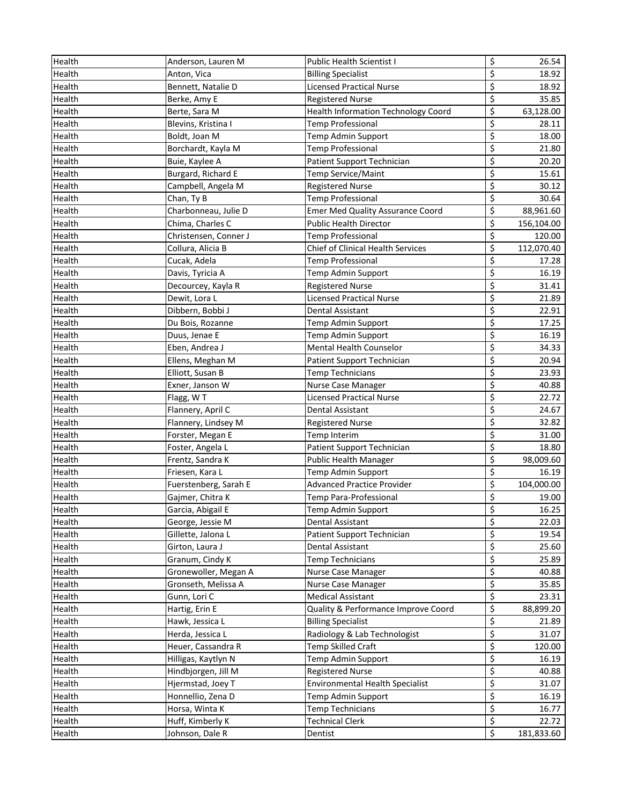| Health | Anderson, Lauren M    | Public Health Scientist I                  | \$                       | 26.54      |
|--------|-----------------------|--------------------------------------------|--------------------------|------------|
| Health | Anton, Vica           | <b>Billing Specialist</b>                  | \$                       | 18.92      |
| Health | Bennett, Natalie D    | <b>Licensed Practical Nurse</b>            | \$                       | 18.92      |
| Health | Berke, Amy E          | <b>Registered Nurse</b>                    | \$                       | 35.85      |
| Health | Berte, Sara M         | <b>Health Information Technology Coord</b> | \$                       | 63,128.00  |
| Health | Blevins, Kristina I   | Temp Professional                          | \$                       | 28.11      |
| Health | Boldt, Joan M         | Temp Admin Support                         | \$                       | 18.00      |
| Health | Borchardt, Kayla M    | <b>Temp Professional</b>                   | \$                       | 21.80      |
| Health | Buie, Kaylee A        | Patient Support Technician                 | \$                       | 20.20      |
| Health | Burgard, Richard E    | Temp Service/Maint                         | \$                       | 15.61      |
| Health | Campbell, Angela M    | <b>Registered Nurse</b>                    | \$                       | 30.12      |
| Health | Chan, Ty B            | <b>Temp Professional</b>                   | \$                       | 30.64      |
| Health | Charbonneau, Julie D  | <b>Emer Med Quality Assurance Coord</b>    | \$                       | 88,961.60  |
| Health | Chima, Charles C      | <b>Public Health Director</b>              | \$                       | 156,104.00 |
| Health | Christensen, Conner J | <b>Temp Professional</b>                   | \$                       | 120.00     |
| Health | Collura, Alicia B     | Chief of Clinical Health Services          | \$                       | 112,070.40 |
| Health | Cucak, Adela          | Temp Professional                          | \$                       | 17.28      |
| Health | Davis, Tyricia A      | Temp Admin Support                         | \$                       | 16.19      |
| Health | Decourcey, Kayla R    | <b>Registered Nurse</b>                    | \$                       | 31.41      |
| Health | Dewit, Lora L         | <b>Licensed Practical Nurse</b>            | \$                       | 21.89      |
| Health | Dibbern, Bobbi J      | Dental Assistant                           | \$                       | 22.91      |
| Health | Du Bois, Rozanne      | Temp Admin Support                         | \$                       | 17.25      |
| Health | Duus, Jenae E         | Temp Admin Support                         | \$                       | 16.19      |
| Health | Eben, Andrea J        | Mental Health Counselor                    | \$                       | 34.33      |
| Health | Ellens, Meghan M      | Patient Support Technician                 | \$                       | 20.94      |
| Health | Elliott, Susan B      | <b>Temp Technicians</b>                    | \$                       | 23.93      |
| Health | Exner, Janson W       | Nurse Case Manager                         | \$                       | 40.88      |
| Health | Flagg, WT             | <b>Licensed Practical Nurse</b>            | \$                       | 22.72      |
| Health | Flannery, April C     | Dental Assistant                           | \$                       | 24.67      |
| Health | Flannery, Lindsey M   | <b>Registered Nurse</b>                    | \$                       | 32.82      |
| Health | Forster, Megan E      | Temp Interim                               | \$                       | 31.00      |
| Health | Foster, Angela L      | Patient Support Technician                 | \$                       | 18.80      |
| Health | Frentz, Sandra K      | Public Health Manager                      | \$                       | 98,009.60  |
| Health | Friesen, Kara L       | Temp Admin Support                         | \$                       | 16.19      |
| Health | Fuerstenberg, Sarah E | <b>Advanced Practice Provider</b>          | \$                       | 104,000.00 |
| Health | Gajmer, Chitra K      | Temp Para-Professional                     | \$                       | 19.00      |
| Health | Garcia, Abigail E     | Temp Admin Support                         | \$                       | 16.25      |
| Health | George, Jessie M      | Dental Assistant                           | \$                       | 22.03      |
| Health | Gillette, Jalona L    | Patient Support Technician                 | \$                       | 19.54      |
| Health | Girton, Laura J       | Dental Assistant                           | \$                       | 25.60      |
| Health | Granum, Cindy K       | <b>Temp Technicians</b>                    | \$                       | 25.89      |
| Health | Gronewoller, Megan A  | Nurse Case Manager                         | \$                       | 40.88      |
| Health | Gronseth, Melissa A   | Nurse Case Manager                         | \$                       | 35.85      |
| Health | Gunn, Lori C          | <b>Medical Assistant</b>                   | \$                       | 23.31      |
| Health | Hartig, Erin E        | Quality & Performance Improve Coord        | $\overline{\mathbf{z}}$  | 88,899.20  |
| Health | Hawk, Jessica L       | <b>Billing Specialist</b>                  | \$                       | 21.89      |
| Health | Herda, Jessica L      | Radiology & Lab Technologist               | $\overline{\mathcal{S}}$ | 31.07      |
| Health | Heuer, Cassandra R    | Temp Skilled Craft                         | \$                       | 120.00     |
| Health | Hilligas, Kaytlyn N   | Temp Admin Support                         | \$                       | 16.19      |
| Health | Hindbjorgen, Jill M   | <b>Registered Nurse</b>                    | \$                       | 40.88      |
| Health | Hjermstad, Joey T     | <b>Environmental Health Specialist</b>     | \$                       | 31.07      |
| Health | Honnellio, Zena D     | Temp Admin Support                         | \$                       | 16.19      |
| Health | Horsa, Winta K        | Temp Technicians                           | \$                       | 16.77      |
| Health | Huff, Kimberly K      | Technical Clerk                            | \$                       | 22.72      |
| Health | Johnson, Dale R       | Dentist                                    | \$                       | 181,833.60 |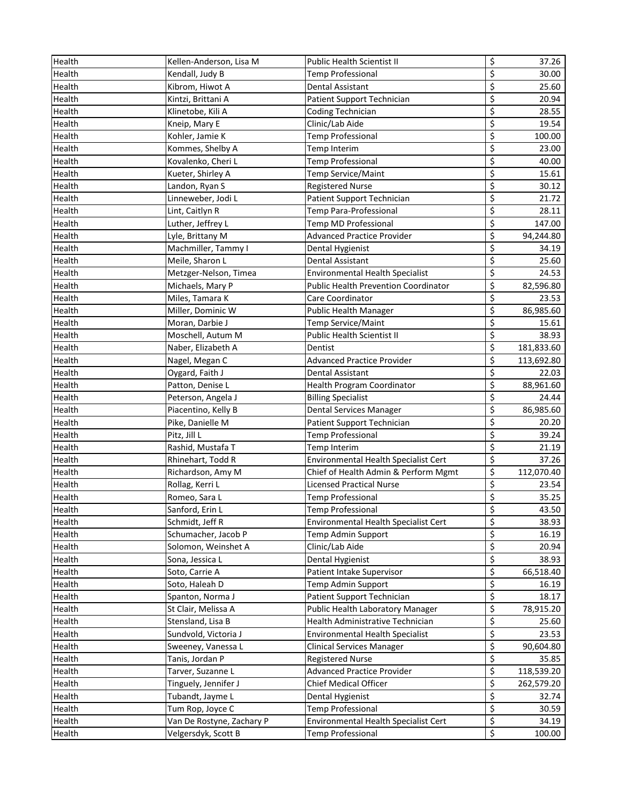| Health | Kellen-Anderson, Lisa M   | Public Health Scientist II                  | \$                       | 37.26      |
|--------|---------------------------|---------------------------------------------|--------------------------|------------|
| Health | Kendall, Judy B           | Temp Professional                           | \$                       | 30.00      |
| Health | Kibrom, Hiwot A           | Dental Assistant                            | \$                       | 25.60      |
| Health | Kintzi, Brittani A        | Patient Support Technician                  | \$                       | 20.94      |
| Health | Klinetobe, Kili A         | Coding Technician                           | \$                       | 28.55      |
| Health | Kneip, Mary E             | Clinic/Lab Aide                             | \$                       | 19.54      |
| Health | Kohler, Jamie K           | <b>Temp Professional</b>                    | \$                       | 100.00     |
| Health | Kommes, Shelby A          | Temp Interim                                | \$                       | 23.00      |
| Health | Kovalenko, Cheri L        | <b>Temp Professional</b>                    | \$                       | 40.00      |
| Health | Kueter, Shirley A         | Temp Service/Maint                          | \$                       | 15.61      |
| Health | Landon, Ryan S            | <b>Registered Nurse</b>                     | \$                       | 30.12      |
| Health | Linneweber, Jodi L        | Patient Support Technician                  | \$                       | 21.72      |
| Health | Lint, Caitlyn R           | Temp Para-Professional                      | \$                       | 28.11      |
| Health | Luther, Jeffrey L         | Temp MD Professional                        | \$                       | 147.00     |
| Health | Lyle, Brittany M          | <b>Advanced Practice Provider</b>           | \$                       | 94,244.80  |
| Health | Machmiller, Tammy I       | Dental Hygienist                            | \$                       | 34.19      |
| Health | Meile, Sharon L           | Dental Assistant                            | \$                       | 25.60      |
| Health | Metzger-Nelson, Timea     | Environmental Health Specialist             | \$                       | 24.53      |
| Health | Michaels, Mary P          | <b>Public Health Prevention Coordinator</b> | \$                       | 82,596.80  |
| Health | Miles, Tamara K           | Care Coordinator                            | $\overline{\xi}$         | 23.53      |
| Health | Miller, Dominic W         | Public Health Manager                       | \$                       | 86,985.60  |
| Health | Moran, Darbie J           | Temp Service/Maint                          | \$                       | 15.61      |
| Health | Moschell, Autum M         | <b>Public Health Scientist II</b>           | \$                       | 38.93      |
| Health | Naber, Elizabeth A        | Dentist                                     | \$                       | 181,833.60 |
| Health | Nagel, Megan C            | <b>Advanced Practice Provider</b>           | \$                       | 113,692.80 |
| Health | Oygard, Faith J           | Dental Assistant                            | \$                       | 22.03      |
| Health | Patton, Denise L          | <b>Health Program Coordinator</b>           | \$                       | 88,961.60  |
| Health | Peterson, Angela J        | <b>Billing Specialist</b>                   | \$                       | 24.44      |
| Health | Piacentino, Kelly B       | Dental Services Manager                     | \$                       | 86,985.60  |
| Health | Pike, Danielle M          | Patient Support Technician                  | \$                       | 20.20      |
| Health | Pitz, Jill L              | <b>Temp Professional</b>                    | \$                       | 39.24      |
| Health | Rashid, Mustafa T         | Temp Interim                                | \$                       | 21.19      |
| Health | Rhinehart, Todd R         | Environmental Health Specialist Cert        | \$                       | 37.26      |
| Health | Richardson, Amy M         | Chief of Health Admin & Perform Mgmt        | $\overline{\mathcal{S}}$ | 112,070.40 |
| Health | Rollag, Kerri L           | <b>Licensed Practical Nurse</b>             | \$                       | 23.54      |
| Health | Romeo, Sara L             | <b>Temp Professional</b>                    | \$                       | 35.25      |
| Health | Sanford, Erin L           | <b>Temp Professional</b>                    | \$                       | 43.50      |
| Health | Schmidt, Jeff R           | Environmental Health Specialist Cert        | \$                       | 38.93      |
| Health | Schumacher, Jacob P       | Temp Admin Support                          | \$                       | 16.19      |
| Health | Solomon, Weinshet A       | Clinic/Lab Aide                             | \$                       | 20.94      |
| Health | Sona, Jessica L           | Dental Hygienist                            | \$                       | 38.93      |
| Health | Soto, Carrie A            | Patient Intake Supervisor                   | \$                       | 66,518.40  |
| Health | Soto, Haleah D            | Temp Admin Support                          | \$                       | 16.19      |
| Health | Spanton, Norma J          | Patient Support Technician                  | \$                       | 18.17      |
| Health | St Clair, Melissa A       | Public Health Laboratory Manager            | $\overline{\mathbf{z}}$  | 78,915.20  |
| Health | Stensland, Lisa B         | Health Administrative Technician            | \$                       | 25.60      |
| Health | Sundvold, Victoria J      | <b>Environmental Health Specialist</b>      | $\overline{\mathcal{S}}$ | 23.53      |
| Health | Sweeney, Vanessa L        | <b>Clinical Services Manager</b>            | \$                       | 90,604.80  |
| Health | Tanis, Jordan P           | <b>Registered Nurse</b>                     | \$                       | 35.85      |
| Health | Tarver, Suzanne L         | <b>Advanced Practice Provider</b>           | \$                       | 118,539.20 |
| Health | Tinguely, Jennifer J      | Chief Medical Officer                       | \$                       | 262,579.20 |
| Health | Tubandt, Jayme L          | Dental Hygienist                            | \$                       | 32.74      |
| Health | Tum Rop, Joyce C          | <b>Temp Professional</b>                    | \$                       | 30.59      |
| Health | Van De Rostyne, Zachary P | Environmental Health Specialist Cert        | \$                       | 34.19      |
| Health | Velgersdyk, Scott B       | <b>Temp Professional</b>                    | \$                       | 100.00     |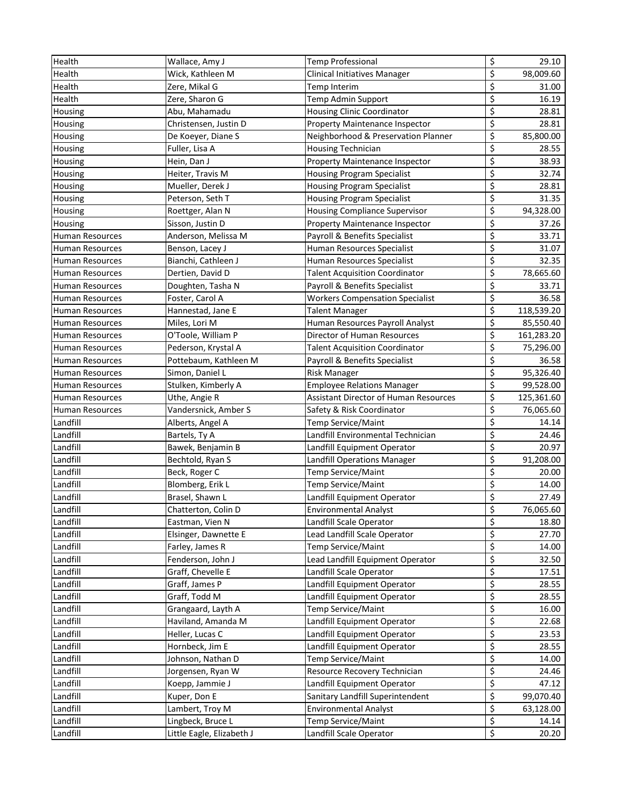| Health                 | Wallace, Amy J            | <b>Temp Professional</b>                     | \$                              | 29.10      |
|------------------------|---------------------------|----------------------------------------------|---------------------------------|------------|
| Health                 | Wick, Kathleen M          | Clinical Initiatives Manager                 | \$                              | 98,009.60  |
| Health                 | Zere, Mikal G             | Temp Interim                                 | \$                              | 31.00      |
| Health                 | Zere, Sharon G            | Temp Admin Support                           | \$                              | 16.19      |
| Housing                | Abu, Mahamadu             | <b>Housing Clinic Coordinator</b>            | \$                              | 28.81      |
| Housing                | Christensen, Justin D     | Property Maintenance Inspector               | \$                              | 28.81      |
| Housing                | De Koeyer, Diane S        | Neighborhood & Preservation Planner          | \$                              | 85,800.00  |
| Housing                | Fuller, Lisa A            | <b>Housing Technician</b>                    | \$                              | 28.55      |
| Housing                | Hein, Dan J               | Property Maintenance Inspector               | \$                              | 38.93      |
| Housing                | Heiter, Travis M          | <b>Housing Program Specialist</b>            | \$                              | 32.74      |
| Housing                | Mueller, Derek J          | <b>Housing Program Specialist</b>            | \$                              | 28.81      |
| Housing                | Peterson, Seth T          | <b>Housing Program Specialist</b>            | \$                              | 31.35      |
| Housing                | Roettger, Alan N          | <b>Housing Compliance Supervisor</b>         | \$                              | 94,328.00  |
| Housing                | Sisson, Justin D          | Property Maintenance Inspector               | \$                              | 37.26      |
| <b>Human Resources</b> | Anderson, Melissa M       | Payroll & Benefits Specialist                | \$                              | 33.71      |
| <b>Human Resources</b> | Benson, Lacey J           | Human Resources Specialist                   | \$                              | 31.07      |
| <b>Human Resources</b> | Bianchi, Cathleen J       | Human Resources Specialist                   | $\overline{\xi}$                | 32.35      |
| <b>Human Resources</b> | Dertien, David D          | <b>Talent Acquisition Coordinator</b>        | \$                              | 78,665.60  |
| <b>Human Resources</b> | Doughten, Tasha N         | Payroll & Benefits Specialist                | \$                              | 33.71      |
| <b>Human Resources</b> | Foster, Carol A           | <b>Workers Compensation Specialist</b>       | $\overline{\boldsymbol{\zeta}}$ | 36.58      |
| <b>Human Resources</b> | Hannestad, Jane E         | <b>Talent Manager</b>                        | \$                              | 118,539.20 |
| <b>Human Resources</b> | Miles, Lori M             | Human Resources Payroll Analyst              | \$                              | 85,550.40  |
| <b>Human Resources</b> | O'Toole, William P        | Director of Human Resources                  | \$                              | 161,283.20 |
| <b>Human Resources</b> | Pederson, Krystal A       | <b>Talent Acquisition Coordinator</b>        | \$                              | 75,296.00  |
| <b>Human Resources</b> | Pottebaum, Kathleen M     | Payroll & Benefits Specialist                | \$                              | 36.58      |
| <b>Human Resources</b> | Simon, Daniel L           | <b>Risk Manager</b>                          | \$                              | 95,326.40  |
| <b>Human Resources</b> | Stulken, Kimberly A       | <b>Employee Relations Manager</b>            | \$                              | 99,528.00  |
| <b>Human Resources</b> | Uthe, Angie R             | <b>Assistant Director of Human Resources</b> | \$                              | 125,361.60 |
| <b>Human Resources</b> | Vandersnick, Amber S      | Safety & Risk Coordinator                    | \$                              | 76,065.60  |
| Landfill               | Alberts, Angel A          | Temp Service/Maint                           | \$                              | 14.14      |
| Landfill               | Bartels, Ty A             | Landfill Environmental Technician            | \$                              | 24.46      |
| Landfill               | Bawek, Benjamin B         | Landfill Equipment Operator                  | \$                              | 20.97      |
| Landfill               | Bechtold, Ryan S          | <b>Landfill Operations Manager</b>           | \$                              | 91,208.00  |
| Landfill               | Beck, Roger C             | Temp Service/Maint                           | \$                              | 20.00      |
| Landfill               | Blomberg, Erik L          | Temp Service/Maint                           | \$                              | 14.00      |
| Landfill               | Brasel, Shawn L           | Landfill Equipment Operator                  | \$                              | 27.49      |
| Landfill               | Chatterton, Colin D       | <b>Environmental Analyst</b>                 | \$                              | 76,065.60  |
| Landfill               | Eastman, Vien N           | Landfill Scale Operator                      | \$                              | 18.80      |
| Landfill               | Elsinger, Dawnette E      | Lead Landfill Scale Operator                 | \$                              | 27.70      |
| Landfill               | Farley, James R           | Temp Service/Maint                           | \$                              | 14.00      |
| Landfill               | Fenderson, John J         | Lead Landfill Equipment Operator             | \$                              | 32.50      |
| Landfill               | Graff, Chevelle E         | Landfill Scale Operator                      | \$                              | 17.51      |
| Landfill               | Graff, James P            | Landfill Equipment Operator                  | \$                              | 28.55      |
| Landfill               | Graff, Todd M             | Landfill Equipment Operator                  | \$                              | 28.55      |
| Landfill               | Grangaard, Layth A        | Temp Service/Maint                           | \$                              | 16.00      |
| Landfill               | Haviland, Amanda M        | Landfill Equipment Operator                  | \$                              | 22.68      |
| Landfill               | Heller, Lucas C           | Landfill Equipment Operator                  | $\overline{\mathcal{S}}$        | 23.53      |
| Landfill               | Hornbeck, Jim E           | Landfill Equipment Operator                  | \$                              | 28.55      |
| Landfill               | Johnson, Nathan D         | Temp Service/Maint                           | \$                              | 14.00      |
| Landfill               | Jorgensen, Ryan W         | Resource Recovery Technician                 | \$                              | 24.46      |
| Landfill               | Koepp, Jammie J           | Landfill Equipment Operator                  | \$                              | 47.12      |
| Landfill               | Kuper, Don E              | Sanitary Landfill Superintendent             | \$                              | 99,070.40  |
| Landfill               | Lambert, Troy M           | <b>Environmental Analyst</b>                 | \$                              | 63,128.00  |
| Landfill               | Lingbeck, Bruce L         | Temp Service/Maint                           | \$                              | 14.14      |
| Landfill               | Little Eagle, Elizabeth J | Landfill Scale Operator                      | \$                              | 20.20      |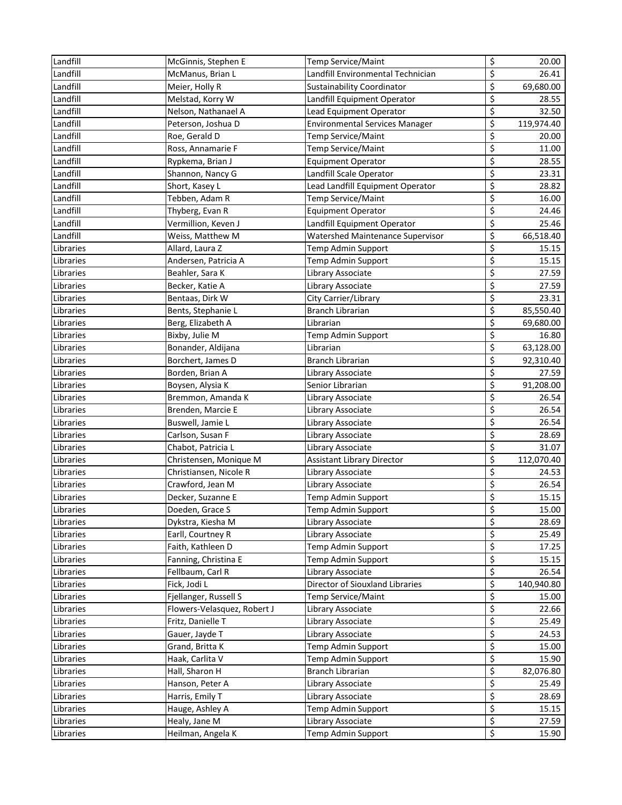| Landfill  | McGinnis, Stephen E         | Temp Service/Maint                      | \$                              | 20.00      |
|-----------|-----------------------------|-----------------------------------------|---------------------------------|------------|
| Landfill  | McManus, Brian L            | Landfill Environmental Technician       | \$                              | 26.41      |
| Landfill  | Meier, Holly R              | Sustainability Coordinator              | \$                              | 69,680.00  |
| Landfill  | Melstad, Korry W            | Landfill Equipment Operator             | \$                              | 28.55      |
| Landfill  | Nelson, Nathanael A         | Lead Equipment Operator                 | \$                              | 32.50      |
| Landfill  | Peterson, Joshua D          | <b>Environmental Services Manager</b>   | \$                              | 119,974.40 |
| Landfill  | Roe, Gerald D               | Temp Service/Maint                      | \$                              | 20.00      |
| Landfill  | Ross, Annamarie F           | Temp Service/Maint                      | \$                              | 11.00      |
| Landfill  | Rypkema, Brian J            | <b>Equipment Operator</b>               | \$                              | 28.55      |
| Landfill  | Shannon, Nancy G            | Landfill Scale Operator                 | \$                              | 23.31      |
| Landfill  | Short, Kasey L              | Lead Landfill Equipment Operator        | \$                              | 28.82      |
| Landfill  | Tebben, Adam R              | Temp Service/Maint                      | \$                              | 16.00      |
| Landfill  | Thyberg, Evan R             | <b>Equipment Operator</b>               | \$                              | 24.46      |
| Landfill  | Vermillion, Keven J         | Landfill Equipment Operator             | \$                              | 25.46      |
| Landfill  | Weiss, Matthew M            | <b>Watershed Maintenance Supervisor</b> | \$                              | 66,518.40  |
| Libraries | Allard, Laura Z             | Temp Admin Support                      | \$                              | 15.15      |
| Libraries | Andersen, Patricia A        | Temp Admin Support                      | $\overline{\xi}$                | 15.15      |
| Libraries | Beahler, Sara K             | Library Associate                       | \$                              | 27.59      |
| Libraries | Becker, Katie A             | Library Associate                       | \$                              | 27.59      |
| Libraries | Bentaas, Dirk W             | City Carrier/Library                    | \$                              | 23.31      |
| Libraries | Bents, Stephanie L          | <b>Branch Librarian</b>                 | $\overline{\boldsymbol{\zeta}}$ | 85,550.40  |
| Libraries | Berg, Elizabeth A           | Librarian                               | \$                              | 69,680.00  |
| Libraries | Bixby, Julie M              | Temp Admin Support                      | \$                              | 16.80      |
| Libraries | Bonander, Aldijana          | Librarian                               | \$                              | 63,128.00  |
| Libraries | Borchert, James D           | <b>Branch Librarian</b>                 | \$                              | 92,310.40  |
| Libraries | Borden, Brian A             | Library Associate                       | \$                              | 27.59      |
| Libraries | Boysen, Alysia K            | Senior Librarian                        | \$                              | 91,208.00  |
| Libraries | Bremmon, Amanda K           | Library Associate                       | \$                              | 26.54      |
| Libraries | Brenden, Marcie E           | Library Associate                       | \$                              | 26.54      |
| Libraries | Buswell, Jamie L            | Library Associate                       | \$                              | 26.54      |
| Libraries | Carlson, Susan F            | Library Associate                       | \$                              | 28.69      |
| Libraries | Chabot, Patricia L          | Library Associate                       | \$                              | 31.07      |
| Libraries | Christensen, Monique M      | <b>Assistant Library Director</b>       | \$                              | 112,070.40 |
| Libraries | Christiansen, Nicole R      | Library Associate                       | \$                              | 24.53      |
| Libraries | Crawford, Jean M            | Library Associate                       | \$                              | 26.54      |
| Libraries | Decker, Suzanne E           | Temp Admin Support                      | \$                              | 15.15      |
| Libraries | Doeden, Grace S             | Temp Admin Support                      | \$                              | 15.00      |
| Libraries | Dykstra, Kiesha M           | Library Associate                       | \$                              | 28.69      |
| Libraries | Earll, Courtney R           | Library Associate                       | \$                              | 25.49      |
| Libraries | Faith, Kathleen D           | Temp Admin Support                      | \$                              | 17.25      |
| Libraries | Fanning, Christina E        | Temp Admin Support                      | \$                              | 15.15      |
| Libraries | Fellbaum, Carl R            | Library Associate                       | \$                              | 26.54      |
| Libraries | Fick, Jodi L                | Director of Siouxland Libraries         | \$                              | 140,940.80 |
| Libraries | Fjellanger, Russell S       | Temp Service/Maint                      | \$                              | 15.00      |
| Libraries | Flowers-Velasquez, Robert J | Library Associate                       | \$                              | 22.66      |
| Libraries | Fritz, Danielle T           | Library Associate                       | \$                              | 25.49      |
| Libraries | Gauer, Jayde T              | Library Associate                       | \$                              | 24.53      |
| Libraries | Grand, Britta K             | Temp Admin Support                      | \$                              | 15.00      |
| Libraries | Haak, Carlita V             | Temp Admin Support                      | \$                              | 15.90      |
| Libraries | Hall, Sharon H              | Branch Librarian                        | \$                              | 82,076.80  |
| Libraries | Hanson, Peter A             | Library Associate                       | \$                              | 25.49      |
| Libraries | Harris, Emily T             | Library Associate                       | \$                              | 28.69      |
| Libraries | Hauge, Ashley A             | Temp Admin Support                      | \$                              | 15.15      |
| Libraries | Healy, Jane M               | Library Associate                       | \$                              | 27.59      |
| Libraries | Heilman, Angela K           | Temp Admin Support                      | \$                              | 15.90      |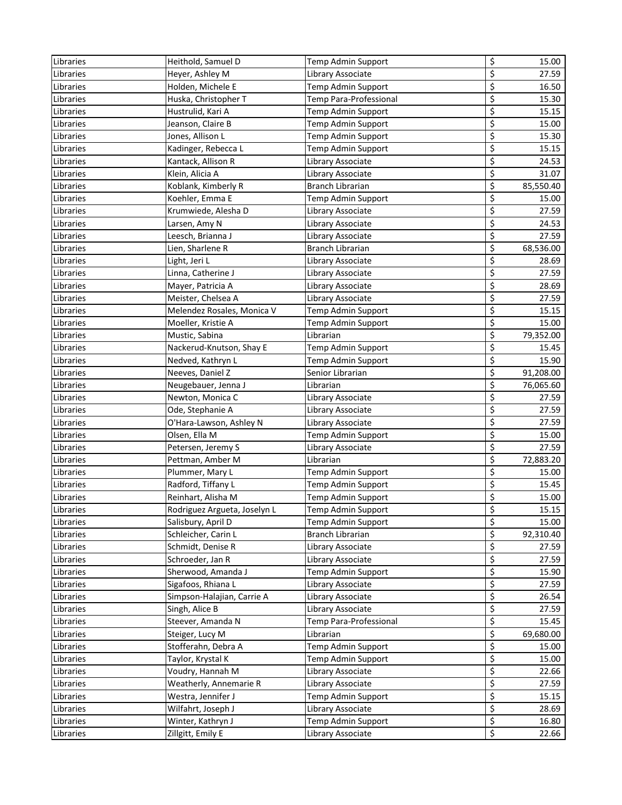| Libraries | Heithold, Samuel D           | Temp Admin Support     | \$<br>15.00     |
|-----------|------------------------------|------------------------|-----------------|
| Libraries | Heyer, Ashley M              | Library Associate      | \$<br>27.59     |
| Libraries | Holden, Michele E            | Temp Admin Support     | \$<br>16.50     |
| Libraries | Huska, Christopher T         | Temp Para-Professional | \$<br>15.30     |
| Libraries | Hustrulid, Kari A            | Temp Admin Support     | \$<br>15.15     |
| Libraries | Jeanson, Claire B            | Temp Admin Support     | \$<br>15.00     |
| Libraries | Jones, Allison L             | Temp Admin Support     | \$<br>15.30     |
| Libraries | Kadinger, Rebecca L          | Temp Admin Support     | \$<br>15.15     |
| Libraries | Kantack, Allison R           | Library Associate      | \$<br>24.53     |
| Libraries | Klein, Alicia A              | Library Associate      | \$<br>31.07     |
| Libraries | Koblank, Kimberly R          | Branch Librarian       | \$<br>85,550.40 |
| Libraries | Koehler, Emma E              | Temp Admin Support     | \$<br>15.00     |
| Libraries | Krumwiede, Alesha D          | Library Associate      | \$<br>27.59     |
| Libraries | Larsen, Amy N                | Library Associate      | \$<br>24.53     |
| Libraries | Leesch, Brianna J            | Library Associate      | \$<br>27.59     |
| Libraries | Lien, Sharlene R             | Branch Librarian       | \$<br>68,536.00 |
| Libraries | Light, Jeri L                | Library Associate      | \$<br>28.69     |
| Libraries | Linna, Catherine J           | Library Associate      | \$<br>27.59     |
| Libraries | Mayer, Patricia A            | Library Associate      | \$<br>28.69     |
| Libraries | Meister, Chelsea A           | Library Associate      | \$<br>27.59     |
| Libraries | Melendez Rosales, Monica V   | Temp Admin Support     | \$<br>15.15     |
| Libraries | Moeller, Kristie A           | Temp Admin Support     | \$<br>15.00     |
| Libraries | Mustic, Sabina               | Librarian              | \$<br>79,352.00 |
| Libraries | Nackerud-Knutson, Shay E     | Temp Admin Support     | \$<br>15.45     |
| Libraries | Nedved, Kathryn L            | Temp Admin Support     | \$<br>15.90     |
| Libraries | Neeves, Daniel Z             | Senior Librarian       | \$<br>91,208.00 |
| Libraries | Neugebauer, Jenna J          | Librarian              | \$<br>76,065.60 |
| Libraries | Newton, Monica C             | Library Associate      | \$<br>27.59     |
| Libraries | Ode, Stephanie A             | Library Associate      | \$<br>27.59     |
| Libraries | O'Hara-Lawson, Ashley N      | Library Associate      | \$<br>27.59     |
| Libraries | Olsen, Ella M                | Temp Admin Support     | \$<br>15.00     |
| Libraries | Petersen, Jeremy S           | Library Associate      | \$<br>27.59     |
| Libraries | Pettman, Amber M             | Librarian              | \$<br>72,883.20 |
| Libraries | Plummer, Mary L              | Temp Admin Support     | \$<br>15.00     |
| Libraries | Radford, Tiffany L           | Temp Admin Support     | \$<br>15.45     |
| Libraries | Reinhart, Alisha M           | Temp Admin Support     | \$<br>15.00     |
| Libraries | Rodriguez Argueta, Joselyn L | Temp Admin Support     | \$<br>15.15     |
| Libraries | Salisbury, April D           | Temp Admin Support     | \$<br>15.00     |
| Libraries | Schleicher, Carin L          | Branch Librarian       | \$<br>92,310.40 |
| Libraries | Schmidt, Denise R            | Library Associate      | \$<br>27.59     |
| Libraries | Schroeder, Jan R             | Library Associate      | \$<br>27.59     |
| Libraries | Sherwood, Amanda J           | Temp Admin Support     | \$<br>15.90     |
| Libraries | Sigafoos, Rhiana L           | Library Associate      | \$<br>27.59     |
| Libraries | Simpson-Halajian, Carrie A   | Library Associate      | \$<br>26.54     |
| Libraries | Singh, Alice B               | Library Associate      | \$<br>27.59     |
| Libraries | Steever, Amanda N            | Temp Para-Professional | \$<br>15.45     |
| Libraries | Steiger, Lucy M              | Librarian              | \$<br>69,680.00 |
| Libraries | Stofferahn, Debra A          | Temp Admin Support     | \$<br>15.00     |
| Libraries | Taylor, Krystal K            | Temp Admin Support     | \$<br>15.00     |
| Libraries | Voudry, Hannah M             | Library Associate      | \$<br>22.66     |
| Libraries | Weatherly, Annemarie R       | Library Associate      | \$<br>27.59     |
| Libraries | Westra, Jennifer J           | Temp Admin Support     | \$<br>15.15     |
| Libraries | Wilfahrt, Joseph J           | Library Associate      | \$<br>28.69     |
| Libraries | Winter, Kathryn J            | Temp Admin Support     | \$<br>16.80     |
| Libraries | Zillgitt, Emily E            | Library Associate      | \$<br>22.66     |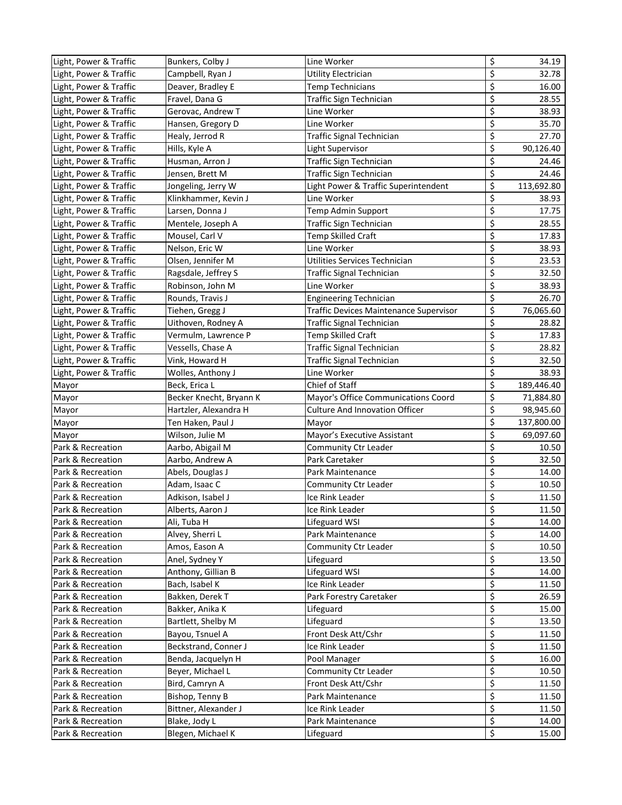| Light, Power & Traffic | Bunkers, Colby J        | Line Worker                            | \$                       | 34.19      |
|------------------------|-------------------------|----------------------------------------|--------------------------|------------|
| Light, Power & Traffic | Campbell, Ryan J        | Utility Electrician                    | \$                       | 32.78      |
| Light, Power & Traffic | Deaver, Bradley E       | <b>Temp Technicians</b>                | \$                       | 16.00      |
| Light, Power & Traffic | Fravel, Dana G          | Traffic Sign Technician                | \$                       | 28.55      |
| Light, Power & Traffic | Gerovac, Andrew T       | Line Worker                            | \$                       | 38.93      |
| Light, Power & Traffic | Hansen, Gregory D       | Line Worker                            | \$                       | 35.70      |
| Light, Power & Traffic | Healy, Jerrod R         | <b>Traffic Signal Technician</b>       | \$                       | 27.70      |
| Light, Power & Traffic | Hills, Kyle A           | Light Supervisor                       | \$                       | 90,126.40  |
| Light, Power & Traffic | Husman, Arron J         | Traffic Sign Technician                | \$                       | 24.46      |
| Light, Power & Traffic | Jensen, Brett M         | Traffic Sign Technician                | \$                       | 24.46      |
| Light, Power & Traffic | Jongeling, Jerry W      | Light Power & Traffic Superintendent   | \$                       | 113,692.80 |
| Light, Power & Traffic | Klinkhammer, Kevin J    | Line Worker                            | \$                       | 38.93      |
| Light, Power & Traffic | Larsen, Donna J         | Temp Admin Support                     | \$                       | 17.75      |
| Light, Power & Traffic | Mentele, Joseph A       | Traffic Sign Technician                | \$                       | 28.55      |
| Light, Power & Traffic | Mousel, Carl V          | Temp Skilled Craft                     | \$                       | 17.83      |
| Light, Power & Traffic | Nelson, Eric W          | Line Worker                            | \$                       | 38.93      |
| Light, Power & Traffic | Olsen, Jennifer M       | Utilities Services Technician          | \$                       | 23.53      |
| Light, Power & Traffic | Ragsdale, Jeffrey S     | Traffic Signal Technician              | \$                       | 32.50      |
| Light, Power & Traffic | Robinson, John M        | Line Worker                            | \$                       | 38.93      |
| Light, Power & Traffic | Rounds, Travis J        | <b>Engineering Technician</b>          | $\overline{\xi}$         | 26.70      |
| Light, Power & Traffic | Tiehen, Gregg J         | Traffic Devices Maintenance Supervisor | \$                       | 76,065.60  |
| Light, Power & Traffic | Uithoven, Rodney A      | Traffic Signal Technician              | \$                       | 28.82      |
| Light, Power & Traffic | Vermulm, Lawrence P     | <b>Temp Skilled Craft</b>              | \$                       | 17.83      |
| Light, Power & Traffic | Vessells, Chase A       | Traffic Signal Technician              | \$                       | 28.82      |
| Light, Power & Traffic | Vink, Howard H          | <b>Traffic Signal Technician</b>       | \$                       | 32.50      |
|                        |                         |                                        | \$                       |            |
| Light, Power & Traffic | Wolles, Anthony J       | Line Worker<br>Chief of Staff          | \$                       | 38.93      |
| Mayor                  | Beck, Erica L           |                                        | \$                       | 189,446.40 |
| Mayor                  | Becker Knecht, Bryann K | Mayor's Office Communications Coord    | \$                       | 71,884.80  |
| Mayor                  | Hartzler, Alexandra H   | <b>Culture And Innovation Officer</b>  |                          | 98,945.60  |
| Mayor                  | Ten Haken, Paul J       | Mayor                                  | \$                       | 137,800.00 |
| Mayor                  | Wilson, Julie M         | Mayor's Executive Assistant            | \$<br>\$                 | 69,097.60  |
| Park & Recreation      | Aarbo, Abigail M        | Community Ctr Leader                   |                          | 10.50      |
| Park & Recreation      | Aarbo, Andrew A         | Park Caretaker                         | \$                       | 32.50      |
| Park & Recreation      | Abels, Douglas J        | Park Maintenance                       | \$                       | 14.00      |
| Park & Recreation      | Adam, Isaac C           | Community Ctr Leader                   | \$                       | 10.50      |
| Park & Recreation      | Adkison, Isabel J       | Ice Rink Leader                        | \$                       | 11.50      |
| Park & Recreation      | Alberts, Aaron J        | Ice Rink Leader                        | \$                       | 11.50      |
| Park & Recreation      | Ali, Tuba H             | Lifeguard WSI                          | \$                       | 14.00      |
| Park & Recreation      | Alvey, Sherri L         | Park Maintenance                       | \$                       | 14.00      |
| Park & Recreation      | Amos, Eason A           | Community Ctr Leader                   | \$                       | 10.50      |
| Park & Recreation      | Anel, Sydney Y          | Lifeguard                              | \$                       | 13.50      |
| Park & Recreation      | Anthony, Gillian B      | Lifeguard WSI                          | \$                       | 14.00      |
| Park & Recreation      | Bach, Isabel K          | Ice Rink Leader                        | $\overline{\xi}$         | 11.50      |
| Park & Recreation      | Bakken, Derek T         | Park Forestry Caretaker                | \$                       | 26.59      |
| Park & Recreation      | Bakker, Anika K         | Lifeguard                              | \$                       | 15.00      |
| Park & Recreation      | Bartlett, Shelby M      | Lifeguard                              | \$                       | 13.50      |
| Park & Recreation      | Bayou, Tsnuel A         | Front Desk Att/Cshr                    | $\overline{\mathcal{S}}$ | 11.50      |
| Park & Recreation      | Beckstrand, Conner J    | Ice Rink Leader                        | \$                       | 11.50      |
| Park & Recreation      | Benda, Jacquelyn H      | Pool Manager                           | \$                       | 16.00      |
| Park & Recreation      | Beyer, Michael L        | Community Ctr Leader                   | \$                       | 10.50      |
| Park & Recreation      | Bird, Camryn A          | Front Desk Att/Cshr                    | \$                       | 11.50      |
| Park & Recreation      | Bishop, Tenny B         | Park Maintenance                       | \$                       | 11.50      |
| Park & Recreation      | Bittner, Alexander J    | Ice Rink Leader                        | \$                       | 11.50      |
| Park & Recreation      | Blake, Jody L           | Park Maintenance                       | \$                       | 14.00      |
| Park & Recreation      | Blegen, Michael K       | Lifeguard                              | $\overline{\mathbf{S}}$  | 15.00      |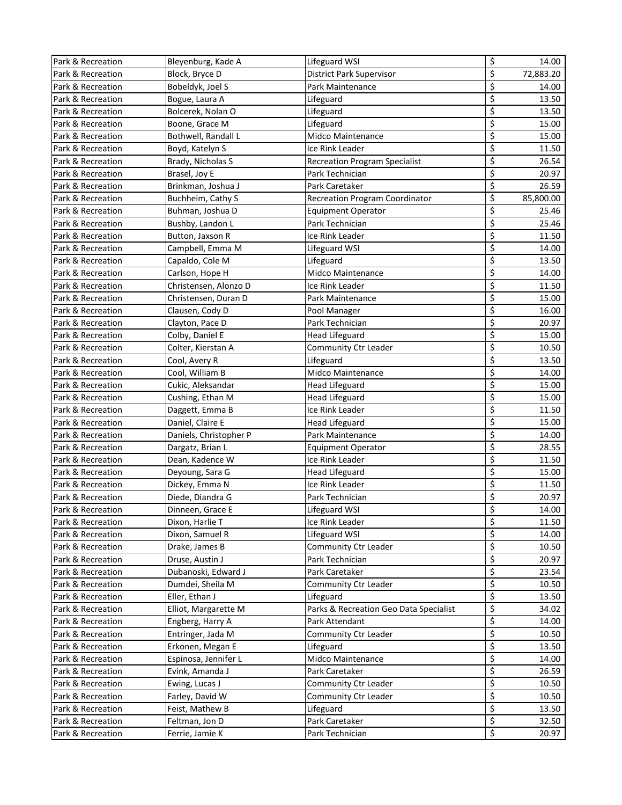| Park & Recreation | Bleyenburg, Kade A     | Lifeguard WSI                          | \$                              | 14.00     |
|-------------------|------------------------|----------------------------------------|---------------------------------|-----------|
| Park & Recreation | Block, Bryce D         | <b>District Park Supervisor</b>        | \$                              | 72,883.20 |
| Park & Recreation | Bobeldyk, Joel S       | Park Maintenance                       | \$                              | 14.00     |
| Park & Recreation | Bogue, Laura A         | Lifeguard                              | \$                              | 13.50     |
| Park & Recreation | Bolcerek, Nolan O      | Lifeguard                              | \$                              | 13.50     |
| Park & Recreation | Boone, Grace M         | Lifeguard                              | \$                              | 15.00     |
| Park & Recreation | Bothwell, Randall L    | Midco Maintenance                      | \$                              | 15.00     |
| Park & Recreation | Boyd, Katelyn S        | Ice Rink Leader                        | \$                              | 11.50     |
| Park & Recreation | Brady, Nicholas S      | <b>Recreation Program Specialist</b>   | \$                              | 26.54     |
| Park & Recreation | Brasel, Joy E          | Park Technician                        | \$                              | 20.97     |
| Park & Recreation | Brinkman, Joshua J     | Park Caretaker                         | \$                              | 26.59     |
| Park & Recreation | Buchheim, Cathy S      | <b>Recreation Program Coordinator</b>  | \$                              | 85,800.00 |
| Park & Recreation | Buhman, Joshua D       | <b>Equipment Operator</b>              | \$                              | 25.46     |
| Park & Recreation | Bushby, Landon L       | Park Technician                        | \$                              | 25.46     |
| Park & Recreation | Button, Jaxson R       | Ice Rink Leader                        | \$                              | 11.50     |
| Park & Recreation | Campbell, Emma M       | Lifeguard WSI                          | \$                              | 14.00     |
| Park & Recreation | Capaldo, Cole M        | Lifeguard                              | \$                              | 13.50     |
| Park & Recreation | Carlson, Hope H        | <b>Midco Maintenance</b>               | \$                              | 14.00     |
| Park & Recreation | Christensen, Alonzo D  | Ice Rink Leader                        | \$                              | 11.50     |
| Park & Recreation | Christensen, Duran D   | Park Maintenance                       | \$                              | 15.00     |
| Park & Recreation | Clausen, Cody D        | Pool Manager                           | \$                              | 16.00     |
| Park & Recreation | Clayton, Pace D        | Park Technician                        | \$                              | 20.97     |
| Park & Recreation | Colby, Daniel E        | <b>Head Lifeguard</b>                  | \$                              | 15.00     |
| Park & Recreation | Colter, Kierstan A     | Community Ctr Leader                   | \$                              | 10.50     |
| Park & Recreation | Cool, Avery R          | Lifeguard                              | \$                              | 13.50     |
| Park & Recreation | Cool, William B        | Midco Maintenance                      | \$                              | 14.00     |
| Park & Recreation | Cukic, Aleksandar      | <b>Head Lifeguard</b>                  | \$                              | 15.00     |
| Park & Recreation | Cushing, Ethan M       | <b>Head Lifeguard</b>                  | \$                              | 15.00     |
| Park & Recreation | Daggett, Emma B        | Ice Rink Leader                        | \$                              | 11.50     |
| Park & Recreation | Daniel, Claire E       | <b>Head Lifeguard</b>                  | \$                              | 15.00     |
| Park & Recreation | Daniels, Christopher P | Park Maintenance                       | \$                              | 14.00     |
| Park & Recreation | Dargatz, Brian L       | <b>Equipment Operator</b>              | \$                              | 28.55     |
| Park & Recreation | Dean, Kadence W        | Ice Rink Leader                        | \$                              | 11.50     |
| Park & Recreation | Deyoung, Sara G        | <b>Head Lifeguard</b>                  | \$                              | 15.00     |
| Park & Recreation | Dickey, Emma N         | Ice Rink Leader                        | \$                              | 11.50     |
| Park & Recreation | Diede, Diandra G       | Park Technician                        | \$                              | 20.97     |
| Park & Recreation | Dinneen, Grace E       | Lifeguard WSI                          | \$                              | 14.00     |
| Park & Recreation | Dixon, Harlie T        | Ice Rink Leader                        | \$                              | 11.50     |
| Park & Recreation | Dixon, Samuel R        | Lifeguard WSI                          | \$                              | 14.00     |
| Park & Recreation | Drake, James B         | Community Ctr Leader                   | \$                              | 10.50     |
| Park & Recreation | Druse, Austin J        | Park Technician                        | \$                              | 20.97     |
| Park & Recreation | Dubanoski, Edward J    | Park Caretaker                         | $\overline{\boldsymbol{\zeta}}$ | 23.54     |
| Park & Recreation | Dumdei, Sheila M       | Community Ctr Leader                   | $\overline{\boldsymbol{\zeta}}$ | 10.50     |
| Park & Recreation | Eller, Ethan J         | Lifeguard                              | \$                              | 13.50     |
| Park & Recreation | Elliot, Margarette M   | Parks & Recreation Geo Data Specialist | \$                              | 34.02     |
| Park & Recreation | Engberg, Harry A       | Park Attendant                         | \$                              | 14.00     |
| Park & Recreation | Entringer, Jada M      | Community Ctr Leader                   | \$                              | 10.50     |
| Park & Recreation | Erkonen, Megan E       | Lifeguard                              | \$                              | 13.50     |
| Park & Recreation | Espinosa, Jennifer L   | Midco Maintenance                      | \$                              | 14.00     |
| Park & Recreation | Evink, Amanda J        | Park Caretaker                         | \$                              | 26.59     |
| Park & Recreation | Ewing, Lucas J         | Community Ctr Leader                   | \$                              | 10.50     |
| Park & Recreation | Farley, David W        | Community Ctr Leader                   | \$                              | 10.50     |
| Park & Recreation | Feist, Mathew B        | Lifeguard                              | \$                              | 13.50     |
| Park & Recreation | Feltman, Jon D         | Park Caretaker                         | \$                              | 32.50     |
| Park & Recreation | Ferrie, Jamie K        | Park Technician                        | \$                              | 20.97     |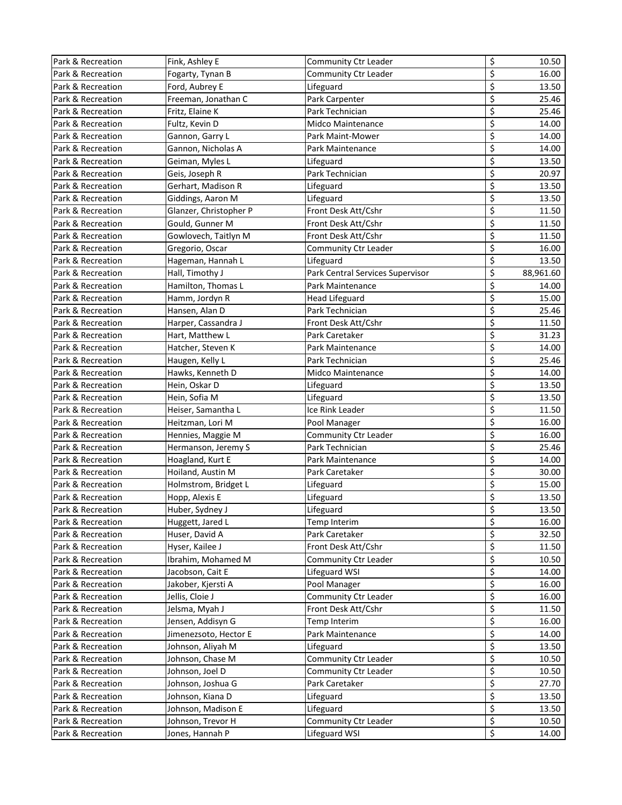| Park & Recreation | Fink, Ashley E         | Community Ctr Leader             | \$                              | 10.50     |
|-------------------|------------------------|----------------------------------|---------------------------------|-----------|
| Park & Recreation | Fogarty, Tynan B       | Community Ctr Leader             | \$                              | 16.00     |
| Park & Recreation | Ford, Aubrey E         | Lifeguard                        | \$                              | 13.50     |
| Park & Recreation | Freeman, Jonathan C    | Park Carpenter                   | \$                              | 25.46     |
| Park & Recreation | Fritz, Elaine K        | Park Technician                  | \$                              | 25.46     |
| Park & Recreation | Fultz, Kevin D         | <b>Midco Maintenance</b>         | \$                              | 14.00     |
| Park & Recreation | Gannon, Garry L        | Park Maint-Mower                 | \$                              | 14.00     |
| Park & Recreation | Gannon, Nicholas A     | Park Maintenance                 | \$                              | 14.00     |
| Park & Recreation | Geiman, Myles L        | Lifeguard                        | \$                              | 13.50     |
| Park & Recreation | Geis, Joseph R         | Park Technician                  | \$                              | 20.97     |
| Park & Recreation | Gerhart, Madison R     | Lifeguard                        | \$                              | 13.50     |
| Park & Recreation | Giddings, Aaron M      | Lifeguard                        | \$                              | 13.50     |
| Park & Recreation | Glanzer, Christopher P | Front Desk Att/Cshr              | \$                              | 11.50     |
| Park & Recreation | Gould, Gunner M        | Front Desk Att/Cshr              | \$                              | 11.50     |
| Park & Recreation | Gowlovech, Taitlyn M   | Front Desk Att/Cshr              | \$                              | 11.50     |
| Park & Recreation | Gregorio, Oscar        | Community Ctr Leader             | \$                              | 16.00     |
| Park & Recreation | Hageman, Hannah L      | Lifeguard                        | \$                              | 13.50     |
| Park & Recreation | Hall, Timothy J        | Park Central Services Supervisor | \$                              | 88,961.60 |
| Park & Recreation | Hamilton, Thomas L     | Park Maintenance                 | \$                              | 14.00     |
| Park & Recreation | Hamm, Jordyn R         | <b>Head Lifeguard</b>            | \$                              | 15.00     |
| Park & Recreation | Hansen, Alan D         | Park Technician                  | \$                              | 25.46     |
| Park & Recreation | Harper, Cassandra J    | Front Desk Att/Cshr              | \$                              | 11.50     |
| Park & Recreation | Hart, Matthew L        | Park Caretaker                   | \$                              | 31.23     |
| Park & Recreation | Hatcher, Steven K      | Park Maintenance                 | \$                              | 14.00     |
| Park & Recreation | Haugen, Kelly L        | Park Technician                  | \$                              | 25.46     |
| Park & Recreation | Hawks, Kenneth D       | Midco Maintenance                | \$                              | 14.00     |
| Park & Recreation | Hein, Oskar D          | Lifeguard                        | \$                              | 13.50     |
| Park & Recreation | Hein, Sofia M          | Lifeguard                        | \$                              | 13.50     |
| Park & Recreation | Heiser, Samantha L     | Ice Rink Leader                  | \$                              | 11.50     |
| Park & Recreation | Heitzman, Lori M       | Pool Manager                     | \$                              | 16.00     |
| Park & Recreation | Hennies, Maggie M      | Community Ctr Leader             | \$                              | 16.00     |
| Park & Recreation | Hermanson, Jeremy S    | Park Technician                  | \$                              | 25.46     |
| Park & Recreation | Hoagland, Kurt E       | Park Maintenance                 | \$                              | 14.00     |
| Park & Recreation | Hoiland, Austin M      | Park Caretaker                   | \$                              | 30.00     |
| Park & Recreation | Holmstrom, Bridget L   | Lifeguard                        | \$                              | 15.00     |
| Park & Recreation | Hopp, Alexis E         | Lifeguard                        | \$                              | 13.50     |
| Park & Recreation | Huber, Sydney J        | Lifeguard                        | \$                              | 13.50     |
| Park & Recreation | Huggett, Jared L       | Temp Interim                     | \$                              | 16.00     |
| Park & Recreation | Huser, David A         | Park Caretaker                   | \$                              | 32.50     |
| Park & Recreation | Hyser, Kailee J        | Front Desk Att/Cshr              | \$                              | 11.50     |
| Park & Recreation | Ibrahim, Mohamed M     | Community Ctr Leader             | \$                              | 10.50     |
| Park & Recreation | Jacobson, Cait E       | Lifeguard WSI                    | $\overline{\boldsymbol{\zeta}}$ | 14.00     |
| Park & Recreation | Jakober, Kjersti A     | Pool Manager                     | \$                              | 16.00     |
| Park & Recreation | Jellis, Cloie J        | Community Ctr Leader             | \$                              | 16.00     |
| Park & Recreation | Jelsma, Myah J         | Front Desk Att/Cshr              | \$                              | 11.50     |
| Park & Recreation | Jensen, Addisyn G      | Temp Interim                     | \$                              | 16.00     |
| Park & Recreation | Jimenezsoto, Hector E  | Park Maintenance                 | \$                              | 14.00     |
| Park & Recreation | Johnson, Aliyah M      | Lifeguard                        | \$                              | 13.50     |
| Park & Recreation | Johnson, Chase M       | Community Ctr Leader             | \$                              | 10.50     |
| Park & Recreation | Johnson, Joel D        | Community Ctr Leader             | $\varsigma$                     | 10.50     |
| Park & Recreation | Johnson, Joshua G      | Park Caretaker                   | \$                              | 27.70     |
| Park & Recreation | Johnson, Kiana D       | Lifeguard                        | \$                              | 13.50     |
| Park & Recreation | Johnson, Madison E     | Lifeguard                        | \$                              | 13.50     |
| Park & Recreation | Johnson, Trevor H      | Community Ctr Leader             | \$                              | 10.50     |
| Park & Recreation | Jones, Hannah P        | Lifeguard WSI                    | \$                              | 14.00     |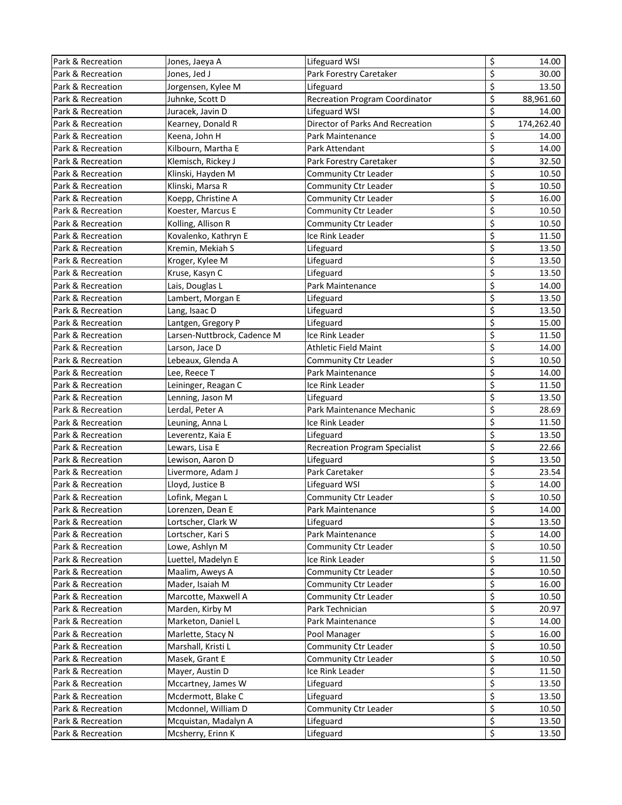| Park & Recreation | Jones, Jaeya A              | Lifeguard WSI                         | \$                              | 14.00      |
|-------------------|-----------------------------|---------------------------------------|---------------------------------|------------|
| Park & Recreation | Jones, Jed J                | Park Forestry Caretaker               | \$                              | 30.00      |
| Park & Recreation | Jorgensen, Kylee M          | Lifeguard                             | \$                              | 13.50      |
| Park & Recreation | Juhnke, Scott D             | <b>Recreation Program Coordinator</b> | \$                              | 88,961.60  |
| Park & Recreation | Juracek, Javin D            | Lifeguard WSI                         | \$                              | 14.00      |
| Park & Recreation | Kearney, Donald R           | Director of Parks And Recreation      | \$                              | 174,262.40 |
| Park & Recreation | Keena, John H               | Park Maintenance                      | \$                              | 14.00      |
| Park & Recreation | Kilbourn, Martha E          | Park Attendant                        | \$                              | 14.00      |
| Park & Recreation | Klemisch, Rickey J          | Park Forestry Caretaker               | \$                              | 32.50      |
| Park & Recreation | Klinski, Hayden M           | Community Ctr Leader                  | \$                              | 10.50      |
| Park & Recreation | Klinski, Marsa R            | Community Ctr Leader                  | \$                              | 10.50      |
| Park & Recreation | Koepp, Christine A          | Community Ctr Leader                  | \$                              | 16.00      |
| Park & Recreation | Koester, Marcus E           | Community Ctr Leader                  | \$                              | 10.50      |
| Park & Recreation | Kolling, Allison R          | Community Ctr Leader                  | \$                              | 10.50      |
| Park & Recreation | Kovalenko, Kathryn E        | Ice Rink Leader                       | \$                              | 11.50      |
| Park & Recreation | Kremin, Mekiah S            | Lifeguard                             | \$                              | 13.50      |
| Park & Recreation | Kroger, Kylee M             | Lifeguard                             | \$                              | 13.50      |
| Park & Recreation | Kruse, Kasyn C              | Lifeguard                             | \$                              | 13.50      |
| Park & Recreation | Lais, Douglas L             | Park Maintenance                      | \$                              | 14.00      |
| Park & Recreation | Lambert, Morgan E           | Lifeguard                             | \$                              | 13.50      |
| Park & Recreation | Lang, Isaac D               | Lifeguard                             | \$                              | 13.50      |
| Park & Recreation | Lantgen, Gregory P          | Lifeguard                             | \$                              | 15.00      |
| Park & Recreation | Larsen-Nuttbrock, Cadence M | Ice Rink Leader                       | \$                              | 11.50      |
| Park & Recreation | Larson, Jace D              | Athletic Field Maint                  | \$                              | 14.00      |
| Park & Recreation | Lebeaux, Glenda A           | Community Ctr Leader                  | \$                              | 10.50      |
| Park & Recreation | Lee, Reece T                | Park Maintenance                      | \$                              | 14.00      |
| Park & Recreation | Leininger, Reagan C         | Ice Rink Leader                       | \$                              | 11.50      |
| Park & Recreation | Lenning, Jason M            | Lifeguard                             | \$                              | 13.50      |
| Park & Recreation | Lerdal, Peter A             | Park Maintenance Mechanic             | \$                              | 28.69      |
| Park & Recreation | Leuning, Anna L             | Ice Rink Leader                       | \$                              | 11.50      |
| Park & Recreation | Leverentz, Kaia E           | Lifeguard                             | \$                              | 13.50      |
| Park & Recreation | Lewars, Lisa E              | <b>Recreation Program Specialist</b>  | \$                              | 22.66      |
| Park & Recreation | Lewison, Aaron D            | Lifeguard                             | \$                              | 13.50      |
| Park & Recreation | Livermore, Adam J           | Park Caretaker                        | \$                              | 23.54      |
| Park & Recreation | Lloyd, Justice B            | Lifeguard WSI                         | \$                              | 14.00      |
| Park & Recreation | Lofink, Megan L             | Community Ctr Leader                  | \$                              | 10.50      |
| Park & Recreation | Lorenzen, Dean E            | Park Maintenance                      | \$                              | 14.00      |
| Park & Recreation | Lortscher, Clark W          | Lifeguard                             | \$                              | 13.50      |
| Park & Recreation | Lortscher, Kari S           | Park Maintenance                      | \$                              | 14.00      |
| Park & Recreation | Lowe, Ashlyn M              | Community Ctr Leader                  | \$                              | 10.50      |
| Park & Recreation | Luettel, Madelyn E          | Ice Rink Leader                       | \$                              | 11.50      |
| Park & Recreation | Maalim, Aweys A             | Community Ctr Leader                  | $\overline{\boldsymbol{\zeta}}$ | 10.50      |
| Park & Recreation | Mader, Isaiah M             | Community Ctr Leader                  | \$                              | 16.00      |
| Park & Recreation | Marcotte, Maxwell A         | Community Ctr Leader                  | \$                              | 10.50      |
| Park & Recreation | Marden, Kirby M             | Park Technician                       | \$                              | 20.97      |
| Park & Recreation | Marketon, Daniel L          | Park Maintenance                      | \$                              | 14.00      |
| Park & Recreation | Marlette, Stacy N           | Pool Manager                          | \$                              | 16.00      |
| Park & Recreation | Marshall, Kristi L          | Community Ctr Leader                  | \$                              | 10.50      |
| Park & Recreation | Masek, Grant E              | Community Ctr Leader                  | \$                              | 10.50      |
| Park & Recreation | Mayer, Austin D             | Ice Rink Leader                       | $\varsigma$                     | 11.50      |
| Park & Recreation | Mccartney, James W          | Lifeguard                             | \$                              | 13.50      |
| Park & Recreation | Mcdermott, Blake C          | Lifeguard                             | \$                              | 13.50      |
| Park & Recreation | Mcdonnel, William D         | Community Ctr Leader                  | \$                              | 10.50      |
| Park & Recreation | Mcquistan, Madalyn A        | Lifeguard                             | \$                              | 13.50      |
| Park & Recreation | Mcsherry, Erinn K           | Lifeguard                             | \$                              | 13.50      |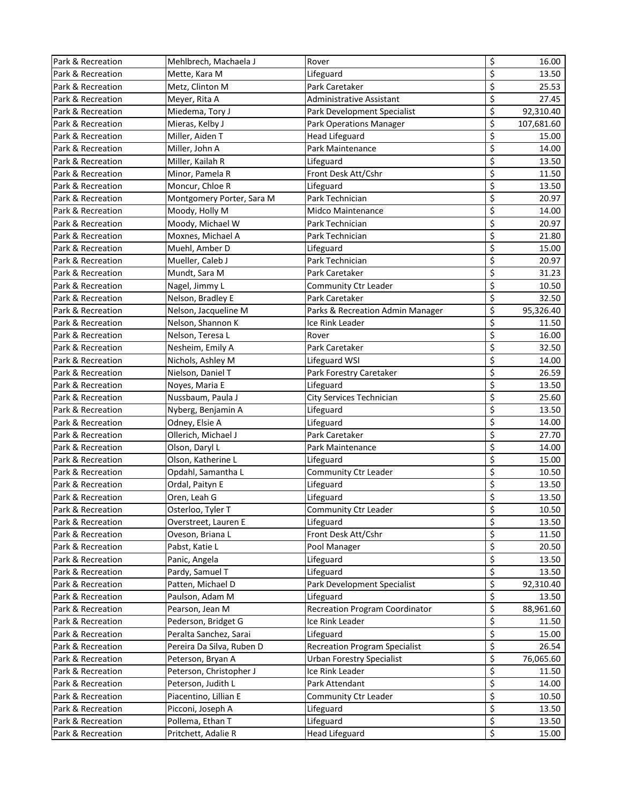| Park & Recreation | Mehlbrech, Machaela J     | Rover                                 | \$                       | 16.00      |
|-------------------|---------------------------|---------------------------------------|--------------------------|------------|
| Park & Recreation | Mette, Kara M             | Lifeguard                             | \$                       | 13.50      |
| Park & Recreation | Metz, Clinton M           | Park Caretaker                        | \$                       | 25.53      |
| Park & Recreation | Meyer, Rita A             | <b>Administrative Assistant</b>       | \$                       | 27.45      |
| Park & Recreation | Miedema, Tory J           | Park Development Specialist           | \$                       | 92,310.40  |
| Park & Recreation | Mieras, Kelby J           | Park Operations Manager               | \$                       | 107,681.60 |
| Park & Recreation | Miller, Aiden T           | <b>Head Lifeguard</b>                 | \$                       | 15.00      |
| Park & Recreation | Miller, John A            | Park Maintenance                      | \$                       | 14.00      |
| Park & Recreation | Miller, Kailah R          | Lifeguard                             | \$                       | 13.50      |
| Park & Recreation | Minor, Pamela R           | Front Desk Att/Cshr                   | \$                       | 11.50      |
| Park & Recreation | Moncur, Chloe R           | Lifeguard                             | \$                       | 13.50      |
| Park & Recreation | Montgomery Porter, Sara M | Park Technician                       | \$                       | 20.97      |
| Park & Recreation | Moody, Holly M            | Midco Maintenance                     | \$                       | 14.00      |
| Park & Recreation | Moody, Michael W          | Park Technician                       | \$                       | 20.97      |
| Park & Recreation | Moxnes, Michael A         | Park Technician                       | \$                       | 21.80      |
| Park & Recreation | Muehl, Amber D            | Lifeguard                             | \$                       | 15.00      |
| Park & Recreation | Mueller, Caleb J          | Park Technician                       | \$                       | 20.97      |
| Park & Recreation | Mundt, Sara M             | Park Caretaker                        | \$                       | 31.23      |
| Park & Recreation | Nagel, Jimmy L            | Community Ctr Leader                  | \$                       | 10.50      |
| Park & Recreation | Nelson, Bradley E         | Park Caretaker                        | \$                       | 32.50      |
| Park & Recreation | Nelson, Jacqueline M      | Parks & Recreation Admin Manager      | \$                       | 95,326.40  |
| Park & Recreation | Nelson, Shannon K         | lce Rink Leader                       | \$                       | 11.50      |
| Park & Recreation | Nelson, Teresa L          | Rover                                 | \$                       | 16.00      |
| Park & Recreation | Nesheim, Emily A          | Park Caretaker                        | \$                       | 32.50      |
| Park & Recreation | Nichols, Ashley M         | Lifeguard WSI                         | \$                       | 14.00      |
| Park & Recreation | Nielson, Daniel T         | Park Forestry Caretaker               | \$                       | 26.59      |
| Park & Recreation | Noyes, Maria E            | Lifeguard                             | \$                       | 13.50      |
| Park & Recreation | Nussbaum, Paula J         | City Services Technician              | \$                       | 25.60      |
| Park & Recreation | Nyberg, Benjamin A        | Lifeguard                             | \$                       | 13.50      |
| Park & Recreation | Odney, Elsie A            | Lifeguard                             | \$                       | 14.00      |
| Park & Recreation | Ollerich, Michael J       | Park Caretaker                        | \$                       | 27.70      |
| Park & Recreation | Olson, Daryl L            | Park Maintenance                      | \$                       | 14.00      |
| Park & Recreation | Olson, Katherine L        | Lifeguard                             | \$                       | 15.00      |
| Park & Recreation | Opdahl, Samantha L        | Community Ctr Leader                  | \$                       | 10.50      |
| Park & Recreation | Ordal, Paityn E           | Lifeguard                             | \$                       | 13.50      |
| Park & Recreation | Oren, Leah G              | Lifeguard                             | \$                       | 13.50      |
| Park & Recreation | Osterloo, Tyler T         | Community Ctr Leader                  | \$                       | 10.50      |
| Park & Recreation | Overstreet, Lauren E      | Lifeguard                             | \$                       | 13.50      |
| Park & Recreation | Oveson, Briana L          | Front Desk Att/Cshr                   | \$                       | 11.50      |
| Park & Recreation | Pabst, Katie L            | Pool Manager                          | \$                       | 20.50      |
| Park & Recreation | Panic, Angela             | Lifeguard                             | \$                       | 13.50      |
| Park & Recreation | Pardy, Samuel T           | Lifeguard                             | \$                       | 13.50      |
| Park & Recreation | Patten, Michael D         | Park Development Specialist           | \$                       | 92,310.40  |
| Park & Recreation | Paulson, Adam M           | Lifeguard                             | \$                       | 13.50      |
| Park & Recreation | Pearson, Jean M           | <b>Recreation Program Coordinator</b> | \$                       | 88,961.60  |
| Park & Recreation | Pederson, Bridget G       | Ice Rink Leader                       | \$                       | 11.50      |
| Park & Recreation | Peralta Sanchez, Sarai    | Lifeguard                             | \$                       | 15.00      |
| Park & Recreation | Pereira Da Silva, Ruben D | <b>Recreation Program Specialist</b>  | \$                       | 26.54      |
| Park & Recreation | Peterson, Bryan A         | <b>Urban Forestry Specialist</b>      | \$                       | 76,065.60  |
| Park & Recreation | Peterson, Christopher J   | Ice Rink Leader                       | \$                       | 11.50      |
| Park & Recreation | Peterson, Judith L        | Park Attendant                        | \$                       | 14.00      |
| Park & Recreation | Piacentino, Lillian E     | Community Ctr Leader                  | \$                       | 10.50      |
| Park & Recreation | Picconi, Joseph A         | Lifeguard                             | \$                       | 13.50      |
| Park & Recreation | Pollema, Ethan T          | Lifeguard                             | \$                       | 13.50      |
| Park & Recreation | Pritchett, Adalie R       | <b>Head Lifeguard</b>                 | $\overline{\mathcal{S}}$ | 15.00      |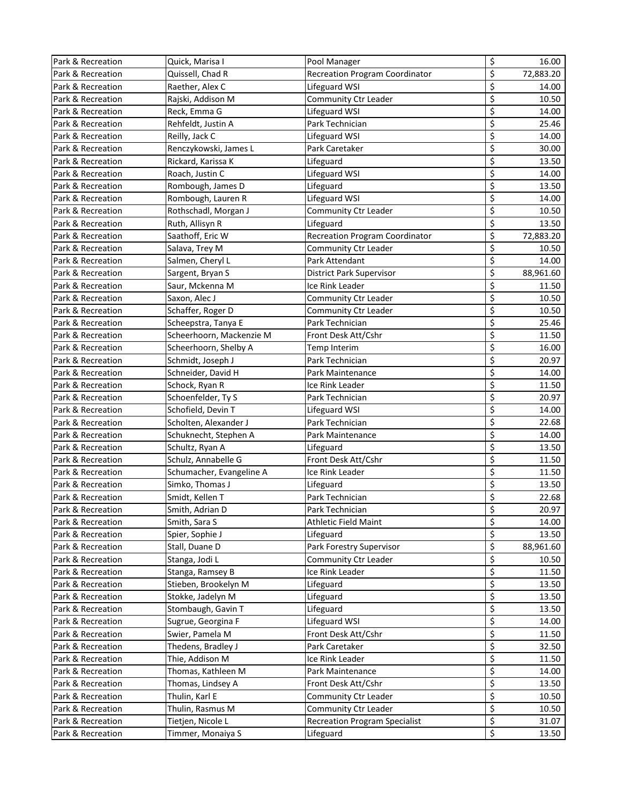| Park & Recreation | Quick, Marisa I          | Pool Manager                          | \$                              | 16.00     |
|-------------------|--------------------------|---------------------------------------|---------------------------------|-----------|
| Park & Recreation | Quissell, Chad R         | <b>Recreation Program Coordinator</b> | \$                              | 72,883.20 |
| Park & Recreation | Raether, Alex C          | Lifeguard WSI                         | \$                              | 14.00     |
| Park & Recreation | Rajski, Addison M        | Community Ctr Leader                  | \$                              | 10.50     |
| Park & Recreation | Reck, Emma G             | Lifeguard WSI                         | \$                              | 14.00     |
| Park & Recreation | Rehfeldt, Justin A       | Park Technician                       | \$                              | 25.46     |
| Park & Recreation | Reilly, Jack C           | Lifeguard WSI                         | \$                              | 14.00     |
| Park & Recreation | Renczykowski, James L    | Park Caretaker                        | \$                              | 30.00     |
| Park & Recreation | Rickard, Karissa K       | Lifeguard                             | \$                              | 13.50     |
| Park & Recreation | Roach, Justin C          | Lifeguard WSI                         | \$                              | 14.00     |
| Park & Recreation | Rombough, James D        | Lifeguard                             | \$                              | 13.50     |
| Park & Recreation | Rombough, Lauren R       | Lifeguard WSI                         | \$                              | 14.00     |
| Park & Recreation | Rothschadl, Morgan J     | Community Ctr Leader                  | \$                              | 10.50     |
| Park & Recreation | Ruth, Allisyn R          | Lifeguard                             | \$                              | 13.50     |
| Park & Recreation | Saathoff, Eric W         | <b>Recreation Program Coordinator</b> | \$                              | 72,883.20 |
| Park & Recreation | Salava, Trey M           | Community Ctr Leader                  | \$                              | 10.50     |
| Park & Recreation | Salmen, Cheryl L         | Park Attendant                        | \$                              | 14.00     |
| Park & Recreation | Sargent, Bryan S         | District Park Supervisor              | \$                              | 88,961.60 |
| Park & Recreation | Saur, Mckenna M          | Ice Rink Leader                       | \$                              | 11.50     |
| Park & Recreation | Saxon, Alec J            | Community Ctr Leader                  | \$                              | 10.50     |
| Park & Recreation | Schaffer, Roger D        | Community Ctr Leader                  | \$                              | 10.50     |
| Park & Recreation | Scheepstra, Tanya E      | Park Technician                       | \$                              | 25.46     |
| Park & Recreation | Scheerhoorn, Mackenzie M | Front Desk Att/Cshr                   | \$                              | 11.50     |
| Park & Recreation | Scheerhoorn, Shelby A    | Temp Interim                          | \$                              | 16.00     |
| Park & Recreation | Schmidt, Joseph J        | Park Technician                       | \$                              | 20.97     |
| Park & Recreation | Schneider, David H       | Park Maintenance                      | \$                              | 14.00     |
| Park & Recreation | Schock, Ryan R           | Ice Rink Leader                       | \$                              | 11.50     |
| Park & Recreation | Schoenfelder, Ty S       | Park Technician                       | \$                              | 20.97     |
| Park & Recreation | Schofield, Devin T       | Lifeguard WSI                         | \$                              | 14.00     |
| Park & Recreation | Scholten, Alexander J    | Park Technician                       | \$                              | 22.68     |
| Park & Recreation | Schuknecht, Stephen A    | Park Maintenance                      | \$                              | 14.00     |
| Park & Recreation | Schultz, Ryan A          | Lifeguard                             | \$                              | 13.50     |
| Park & Recreation | Schulz, Annabelle G      | Front Desk Att/Cshr                   | \$                              | 11.50     |
| Park & Recreation | Schumacher, Evangeline A | Ice Rink Leader                       | \$                              | 11.50     |
| Park & Recreation | Simko, Thomas J          | Lifeguard                             | \$                              | 13.50     |
| Park & Recreation | Smidt, Kellen T          | Park Technician                       | \$                              | 22.68     |
| Park & Recreation | Smith, Adrian D          | Park Technician                       | $\varsigma$                     | 20.97     |
| Park & Recreation | Smith, Sara S            | <b>Athletic Field Maint</b>           | \$                              | 14.00     |
| Park & Recreation | Spier, Sophie J          | Lifeguard                             | \$                              | 13.50     |
| Park & Recreation | Stall, Duane D           | Park Forestry Supervisor              | \$                              | 88,961.60 |
| Park & Recreation | Stanga, Jodi L           | Community Ctr Leader                  | \$                              | 10.50     |
| Park & Recreation | Stanga, Ramsey B         | Ice Rink Leader                       | $\overline{\boldsymbol{\zeta}}$ | 11.50     |
| Park & Recreation | Stieben, Brookelyn M     | Lifeguard                             | \$                              | 13.50     |
| Park & Recreation | Stokke, Jadelyn M        | Lifeguard                             | \$                              | 13.50     |
| Park & Recreation | Stombaugh, Gavin T       | Lifeguard                             | \$                              | 13.50     |
| Park & Recreation | Sugrue, Georgina F       | Lifeguard WSI                         | \$                              | 14.00     |
| Park & Recreation | Swier, Pamela M          | Front Desk Att/Cshr                   | \$                              | 11.50     |
| Park & Recreation | Thedens, Bradley J       | Park Caretaker                        | \$                              | 32.50     |
| Park & Recreation | Thie, Addison M          | Ice Rink Leader                       | \$                              | 11.50     |
| Park & Recreation | Thomas, Kathleen M       | Park Maintenance                      | $\varsigma$                     | 14.00     |
| Park & Recreation | Thomas, Lindsey A        | Front Desk Att/Cshr                   | \$                              | 13.50     |
| Park & Recreation | Thulin, Karl E           | Community Ctr Leader                  | \$                              | 10.50     |
| Park & Recreation | Thulin, Rasmus M         | Community Ctr Leader                  | \$                              | 10.50     |
| Park & Recreation | Tietjen, Nicole L        | <b>Recreation Program Specialist</b>  | \$                              | 31.07     |
| Park & Recreation | Timmer, Monaiya S        | Lifeguard                             | \$                              | 13.50     |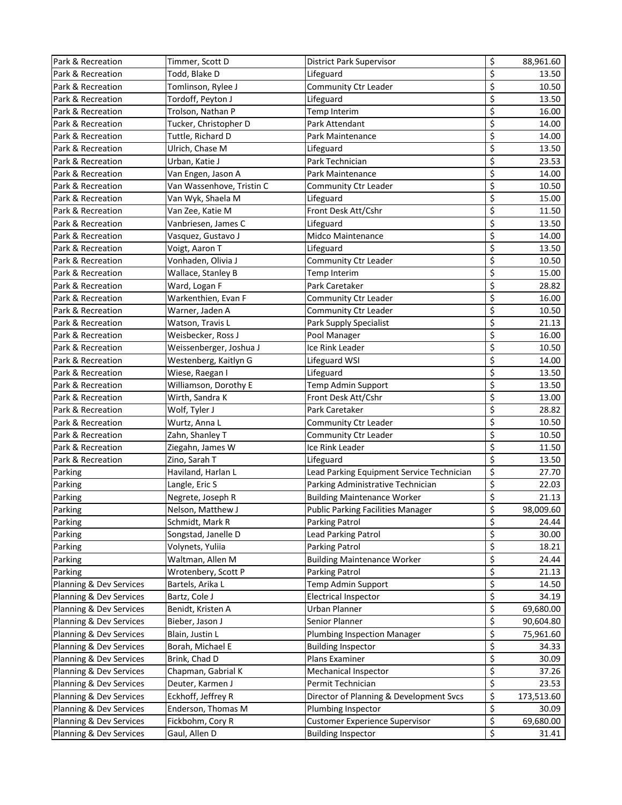| Park & Recreation       | Timmer, Scott D           | District Park Supervisor                  | \$                       | 88,961.60  |
|-------------------------|---------------------------|-------------------------------------------|--------------------------|------------|
| Park & Recreation       | Todd, Blake D             | Lifeguard                                 | \$                       | 13.50      |
| Park & Recreation       | Tomlinson, Rylee J        | Community Ctr Leader                      | \$                       | 10.50      |
| Park & Recreation       | Tordoff, Peyton J         | Lifeguard                                 | \$                       | 13.50      |
| Park & Recreation       | Trolson, Nathan P         | Temp Interim                              | \$                       | 16.00      |
| Park & Recreation       | Tucker, Christopher D     | Park Attendant                            | \$                       | 14.00      |
| Park & Recreation       | Tuttle, Richard D         | Park Maintenance                          | \$                       | 14.00      |
| Park & Recreation       | Ulrich, Chase M           | Lifeguard                                 | \$                       | 13.50      |
| Park & Recreation       | Urban, Katie J            | Park Technician                           | \$                       | 23.53      |
| Park & Recreation       | Van Engen, Jason A        | Park Maintenance                          | \$                       | 14.00      |
| Park & Recreation       | Van Wassenhove, Tristin C | Community Ctr Leader                      | \$                       | 10.50      |
| Park & Recreation       | Van Wyk, Shaela M         | Lifeguard                                 | \$                       | 15.00      |
| Park & Recreation       | Van Zee, Katie M          | Front Desk Att/Cshr                       | \$                       | 11.50      |
| Park & Recreation       | Vanbriesen, James C       | Lifeguard                                 | \$                       | 13.50      |
| Park & Recreation       | Vasquez, Gustavo J        | <b>Midco Maintenance</b>                  | \$                       | 14.00      |
| Park & Recreation       | Voigt, Aaron T            | Lifeguard                                 | \$                       | 13.50      |
| Park & Recreation       | Vonhaden, Olivia J        | Community Ctr Leader                      | \$                       | 10.50      |
| Park & Recreation       | Wallace, Stanley B        | Temp Interim                              | \$                       | 15.00      |
| Park & Recreation       | Ward, Logan F             | Park Caretaker                            | \$                       | 28.82      |
| Park & Recreation       | Warkenthien, Evan F       | Community Ctr Leader                      | \$                       | 16.00      |
| Park & Recreation       | Warner, Jaden A           | Community Ctr Leader                      | \$                       | 10.50      |
| Park & Recreation       | Watson, Travis L          | Park Supply Specialist                    | \$                       | 21.13      |
| Park & Recreation       | Weisbecker, Ross J        | Pool Manager                              | \$                       | 16.00      |
| Park & Recreation       | Weissenberger, Joshua J   | Ice Rink Leader                           | \$                       | 10.50      |
| Park & Recreation       | Westenberg, Kaitlyn G     | Lifeguard WSI                             | \$                       | 14.00      |
| Park & Recreation       | Wiese, Raegan I           | Lifeguard                                 | \$                       | 13.50      |
| Park & Recreation       | Williamson, Dorothy E     | Temp Admin Support                        | \$                       | 13.50      |
| Park & Recreation       | Wirth, Sandra K           | Front Desk Att/Cshr                       | \$                       | 13.00      |
| Park & Recreation       | Wolf, Tyler J             | Park Caretaker                            | \$                       | 28.82      |
| Park & Recreation       | Wurtz, Anna L             | Community Ctr Leader                      | \$                       | 10.50      |
| Park & Recreation       | Zahn, Shanley T           | Community Ctr Leader                      | \$                       | 10.50      |
| Park & Recreation       | Ziegahn, James W          | Ice Rink Leader                           | \$                       | 11.50      |
| Park & Recreation       | Zino, Sarah T             | Lifeguard                                 | \$                       | 13.50      |
| Parking                 | Haviland, Harlan L        | Lead Parking Equipment Service Technician | $\overline{\mathcal{S}}$ | 27.70      |
| Parking                 | Langle, Eric S            | Parking Administrative Technician         | \$                       | 22.03      |
| Parking                 | Negrete, Joseph R         | <b>Building Maintenance Worker</b>        | \$                       | 21.13      |
| Parking                 | Nelson, Matthew J         | <b>Public Parking Facilities Manager</b>  | \$                       | 98,009.60  |
| Parking                 | Schmidt, Mark R           | Parking Patrol                            | \$                       | 24.44      |
| Parking                 | Songstad, Janelle D       | Lead Parking Patrol                       | \$                       | 30.00      |
| Parking                 | Volynets, Yuliia          | Parking Patrol                            | \$                       | 18.21      |
| Parking                 | Waltman, Allen M          | <b>Building Maintenance Worker</b>        | \$                       | 24.44      |
| Parking                 | Wrotenbery, Scott P       | Parking Patrol                            | \$                       | 21.13      |
| Planning & Dev Services | Bartels, Arika L          | Temp Admin Support                        | \$                       | 14.50      |
| Planning & Dev Services | Bartz, Cole J             | <b>Electrical Inspector</b>               | \$                       | 34.19      |
| Planning & Dev Services | Benidt, Kristen A         | Urban Planner                             | $\overline{\mathbf{c}}$  | 69,680.00  |
| Planning & Dev Services | Bieber, Jason J           | Senior Planner                            | \$                       | 90,604.80  |
| Planning & Dev Services | Blain, Justin L           | <b>Plumbing Inspection Manager</b>        | \$                       | 75,961.60  |
| Planning & Dev Services | Borah, Michael E          | <b>Building Inspector</b>                 | \$                       | 34.33      |
| Planning & Dev Services | Brink, Chad D             | Plans Examiner                            | \$                       | 30.09      |
| Planning & Dev Services | Chapman, Gabrial K        | Mechanical Inspector                      | \$                       | 37.26      |
| Planning & Dev Services | Deuter, Karmen J          | Permit Technician                         | \$                       | 23.53      |
| Planning & Dev Services | Eckhoff, Jeffrey R        | Director of Planning & Development Svcs   | \$                       | 173,513.60 |
| Planning & Dev Services | Enderson, Thomas M        | Plumbing Inspector                        | \$                       | 30.09      |
| Planning & Dev Services | Fickbohm, Cory R          | <b>Customer Experience Supervisor</b>     | \$                       | 69,680.00  |
| Planning & Dev Services | Gaul, Allen D             | <b>Building Inspector</b>                 | \$                       | 31.41      |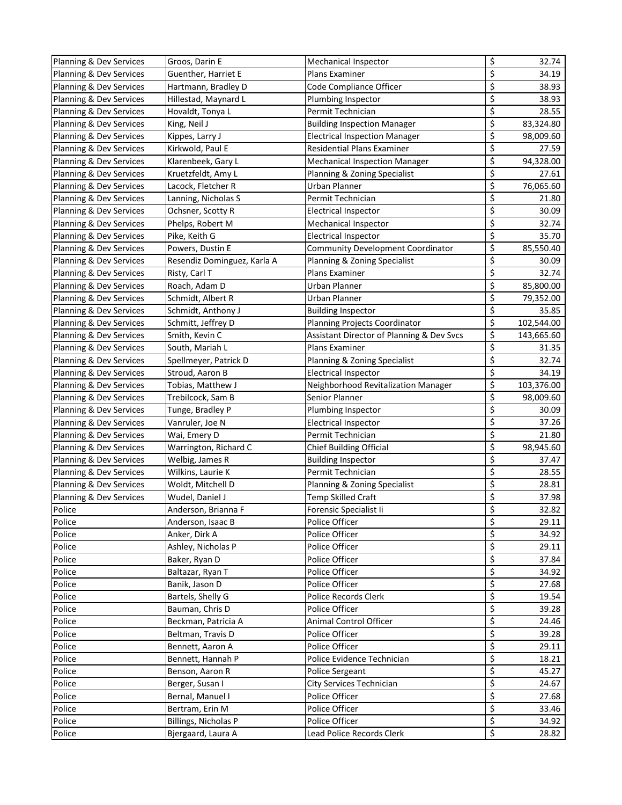| Planning & Dev Services | Groos, Darin E              | Mechanical Inspector                      | \$                              | 32.74      |
|-------------------------|-----------------------------|-------------------------------------------|---------------------------------|------------|
| Planning & Dev Services | Guenther, Harriet E         | Plans Examiner                            | \$                              | 34.19      |
| Planning & Dev Services | Hartmann, Bradley D         | Code Compliance Officer                   | \$                              | 38.93      |
| Planning & Dev Services | Hillestad, Maynard L        | Plumbing Inspector                        | \$                              | 38.93      |
| Planning & Dev Services | Hovaldt, Tonya L            | Permit Technician                         | \$                              | 28.55      |
| Planning & Dev Services | King, Neil J                | <b>Building Inspection Manager</b>        | \$                              | 83,324.80  |
| Planning & Dev Services | Kippes, Larry J             | <b>Electrical Inspection Manager</b>      | \$                              | 98,009.60  |
| Planning & Dev Services | Kirkwold, Paul E            | Residential Plans Examiner                | \$                              | 27.59      |
| Planning & Dev Services | Klarenbeek, Gary L          | <b>Mechanical Inspection Manager</b>      | \$                              | 94,328.00  |
| Planning & Dev Services | Kruetzfeldt, Amy L          | Planning & Zoning Specialist              | \$                              | 27.61      |
| Planning & Dev Services | Lacock, Fletcher R          | Urban Planner                             | \$                              | 76,065.60  |
| Planning & Dev Services | Lanning, Nicholas S         | Permit Technician                         | \$                              | 21.80      |
| Planning & Dev Services | Ochsner, Scotty R           | <b>Electrical Inspector</b>               | \$                              | 30.09      |
| Planning & Dev Services | Phelps, Robert M            | Mechanical Inspector                      | \$                              | 32.74      |
| Planning & Dev Services | Pike, Keith G               | <b>Electrical Inspector</b>               | \$                              | 35.70      |
| Planning & Dev Services | Powers, Dustin E            | Community Development Coordinator         | \$                              | 85,550.40  |
| Planning & Dev Services | Resendiz Dominguez, Karla A | Planning & Zoning Specialist              | $\overline{\boldsymbol{\zeta}}$ | 30.09      |
| Planning & Dev Services | Risty, Carl T               | Plans Examiner                            | \$                              | 32.74      |
| Planning & Dev Services | Roach, Adam D               | Urban Planner                             | \$                              | 85,800.00  |
| Planning & Dev Services | Schmidt, Albert R           | Urban Planner                             | \$                              | 79,352.00  |
| Planning & Dev Services | Schmidt, Anthony J          | <b>Building Inspector</b>                 | \$                              | 35.85      |
| Planning & Dev Services | Schmitt, Jeffrey D          | Planning Projects Coordinator             | \$                              | 102,544.00 |
| Planning & Dev Services | Smith, Kevin C              | Assistant Director of Planning & Dev Svcs | \$                              | 143,665.60 |
| Planning & Dev Services | South, Mariah L             | Plans Examiner                            | \$                              | 31.35      |
| Planning & Dev Services | Spellmeyer, Patrick D       | Planning & Zoning Specialist              | \$                              | 32.74      |
| Planning & Dev Services | Stroud, Aaron B             | <b>Electrical Inspector</b>               | \$                              | 34.19      |
| Planning & Dev Services | Tobias, Matthew J           | Neighborhood Revitalization Manager       | \$                              | 103,376.00 |
| Planning & Dev Services | Trebilcock, Sam B           | Senior Planner                            | \$                              | 98,009.60  |
| Planning & Dev Services | Tunge, Bradley P            | Plumbing Inspector                        | \$                              | 30.09      |
| Planning & Dev Services | Vanruler, Joe N             | <b>Electrical Inspector</b>               | \$                              | 37.26      |
| Planning & Dev Services | Wai, Emery D                | Permit Technician                         | \$                              | 21.80      |
| Planning & Dev Services | Warrington, Richard C       | <b>Chief Building Official</b>            | \$                              | 98,945.60  |
| Planning & Dev Services | Welbig, James R             | <b>Building Inspector</b>                 | \$                              | 37.47      |
| Planning & Dev Services | Wilkins, Laurie K           | Permit Technician                         | \$                              | 28.55      |
| Planning & Dev Services | Woldt, Mitchell D           | Planning & Zoning Specialist              | \$                              | 28.81      |
| Planning & Dev Services | Wudel, Daniel J             | Temp Skilled Craft                        | \$                              | 37.98      |
| Police                  | Anderson, Brianna F         | Forensic Specialist Ii                    | \$                              | 32.82      |
| Police                  | Anderson, Isaac B           | Police Officer                            | \$                              | 29.11      |
| Police                  | Anker, Dirk A               | Police Officer                            | \$                              | 34.92      |
| Police                  | Ashley, Nicholas P          | Police Officer                            | \$                              | 29.11      |
| Police                  | Baker, Ryan D               | Police Officer                            | \$                              | 37.84      |
| Police                  | Baltazar, Ryan T            | Police Officer                            | \$                              | 34.92      |
| Police                  | Banik, Jason D              | Police Officer                            | \$                              | 27.68      |
| Police                  | Bartels, Shelly G           | Police Records Clerk                      | \$                              | 19.54      |
| Police                  | Bauman, Chris D             | Police Officer                            | \$                              | 39.28      |
| Police                  | Beckman, Patricia A         | Animal Control Officer                    | \$                              | 24.46      |
| Police                  | Beltman, Travis D           | Police Officer                            | \$                              | 39.28      |
| Police                  | Bennett, Aaron A            | Police Officer                            | \$                              | 29.11      |
| Police                  | Bennett, Hannah P           | Police Evidence Technician                | \$                              | 18.21      |
| Police                  | Benson, Aaron R             | Police Sergeant                           | \$                              | 45.27      |
| Police                  | Berger, Susan I             | City Services Technician                  | \$                              | 24.67      |
| Police                  | Bernal, Manuel I            | Police Officer                            | \$                              | 27.68      |
| Police                  | Bertram, Erin M             | Police Officer                            | \$                              | 33.46      |
| Police                  | Billings, Nicholas P        | Police Officer                            | $\overline{\mathcal{S}}$        | 34.92      |
| Police                  | Bjergaard, Laura A          | Lead Police Records Clerk                 | \$                              | 28.82      |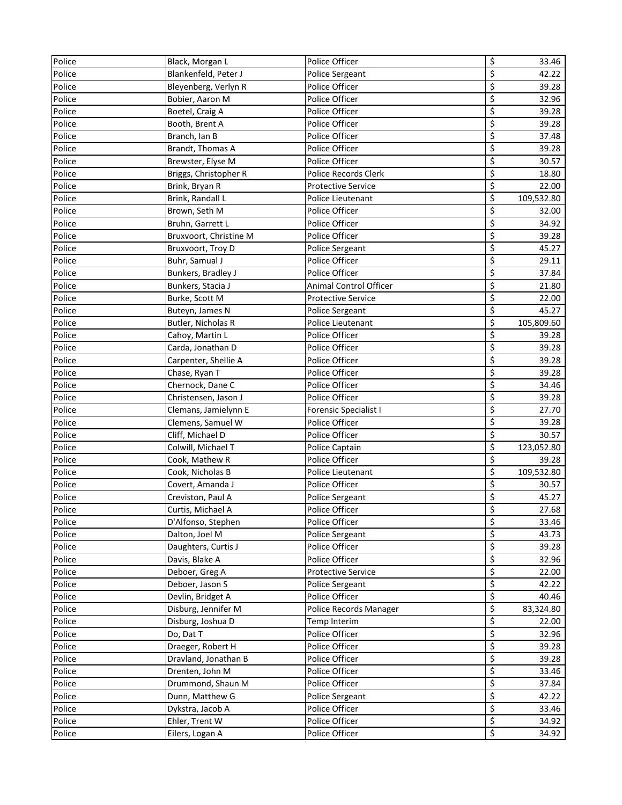| Police | Black, Morgan L        | Police Officer               | \$                      | 33.46      |
|--------|------------------------|------------------------------|-------------------------|------------|
| Police | Blankenfeld, Peter J   | Police Sergeant              | \$                      | 42.22      |
| Police | Bleyenberg, Verlyn R   | Police Officer               | \$                      | 39.28      |
| Police | Bobier, Aaron M        | Police Officer               | \$                      | 32.96      |
| Police | Boetel, Craig A        | Police Officer               | \$                      | 39.28      |
| Police | Booth, Brent A         | Police Officer               | \$                      | 39.28      |
| Police | Branch, Ian B          | Police Officer               | \$                      | 37.48      |
| Police | Brandt, Thomas A       | Police Officer               | \$                      | 39.28      |
| Police | Brewster, Elyse M      | Police Officer               | \$                      | 30.57      |
| Police | Briggs, Christopher R  | Police Records Clerk         | \$                      | 18.80      |
| Police | Brink, Bryan R         | <b>Protective Service</b>    | \$                      | 22.00      |
| Police | Brink, Randall L       | Police Lieutenant            | \$                      | 109,532.80 |
| Police | Brown, Seth M          | Police Officer               | \$                      | 32.00      |
| Police | Bruhn, Garrett L       | Police Officer               | \$                      | 34.92      |
| Police | Bruxvoort, Christine M | Police Officer               | $\overline{\xi}$        | 39.28      |
| Police | Bruxvoort, Troy D      | Police Sergeant              | \$                      | 45.27      |
| Police | Buhr, Samual J         | Police Officer               | $\overline{\xi}$        | 29.11      |
| Police | Bunkers, Bradley J     | Police Officer               | \$                      | 37.84      |
| Police | Bunkers, Stacia J      | Animal Control Officer       | \$                      | 21.80      |
| Police | Burke, Scott M         | <b>Protective Service</b>    | \$                      | 22.00      |
| Police | Buteyn, James N        | Police Sergeant              | \$                      | 45.27      |
| Police | Butler, Nicholas R     | Police Lieutenant            | \$                      | 105,809.60 |
| Police | Cahoy, Martin L        | Police Officer               | \$                      | 39.28      |
| Police | Carda, Jonathan D      | Police Officer               | \$                      | 39.28      |
| Police | Carpenter, Shellie A   | Police Officer               | $\varsigma$             | 39.28      |
| Police | Chase, Ryan T          | Police Officer               | \$                      | 39.28      |
| Police | Chernock, Dane C       | Police Officer               | \$                      | 34.46      |
| Police | Christensen, Jason J   | Police Officer               | \$                      | 39.28      |
| Police | Clemans, Jamielynn E   | <b>Forensic Specialist I</b> | \$                      | 27.70      |
| Police | Clemens, Samuel W      | Police Officer               | \$                      | 39.28      |
| Police | Cliff, Michael D       | Police Officer               | \$                      | 30.57      |
| Police | Colwill, Michael T     | Police Captain               | \$                      | 123,052.80 |
| Police | Cook, Mathew R         | Police Officer               | \$                      | 39.28      |
| Police | Cook, Nicholas B       | Police Lieutenant            | \$                      | 109,532.80 |
| Police | Covert, Amanda J       | Police Officer               | \$                      | 30.57      |
| Police | Creviston, Paul A      | Police Sergeant              | \$                      | 45.27      |
| Police | Curtis, Michael A      | Police Officer               | \$                      | 27.68      |
| Police | D'Alfonso, Stephen     | Police Officer               | \$                      | 33.46      |
| Police | Dalton, Joel M         | Police Sergeant              | \$                      | 43.73      |
| Police | Daughters, Curtis J    | Police Officer               | \$                      | 39.28      |
| Police | Davis, Blake A         | Police Officer               | \$                      | 32.96      |
| Police | Deboer, Greg A         | Protective Service           | $\overline{\mathbf{z}}$ | 22.00      |
| Police | Deboer, Jason S        | Police Sergeant              | \$                      | 42.22      |
| Police | Devlin, Bridget A      | Police Officer               | \$                      | 40.46      |
| Police | Disburg, Jennifer M    | Police Records Manager       | \$                      | 83,324.80  |
| Police | Disburg, Joshua D      | Temp Interim                 | \$                      | 22.00      |
| Police | Do, Dat T              | Police Officer               | \$                      | 32.96      |
| Police | Draeger, Robert H      | Police Officer               | \$                      | 39.28      |
| Police | Dravland, Jonathan B   | Police Officer               | \$                      | 39.28      |
| Police | Drenten, John M        | Police Officer               | $\varsigma$             | 33.46      |
| Police | Drummond, Shaun M      | Police Officer               | \$                      | 37.84      |
| Police | Dunn, Matthew G        | Police Sergeant              | \$                      | 42.22      |
| Police | Dykstra, Jacob A       | Police Officer               | \$                      | 33.46      |
| Police | Ehler, Trent W         | Police Officer               | \$                      | 34.92      |
| Police | Eilers, Logan A        | Police Officer               | \$                      | 34.92      |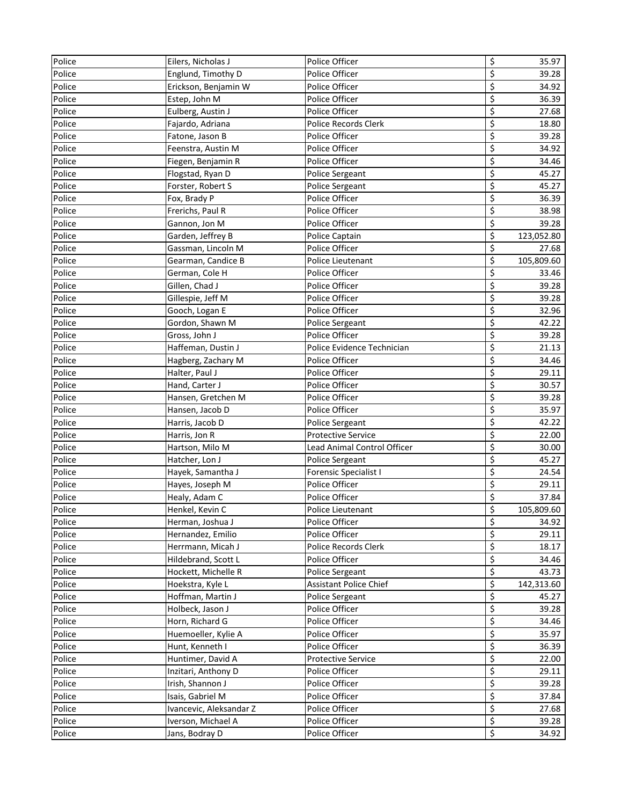| Police | Eilers, Nicholas J      | Police Officer                     | \$                              | 35.97      |
|--------|-------------------------|------------------------------------|---------------------------------|------------|
| Police | Englund, Timothy D      | Police Officer                     | \$                              | 39.28      |
| Police | Erickson, Benjamin W    | Police Officer                     | \$                              | 34.92      |
| Police | Estep, John M           | Police Officer                     | \$                              | 36.39      |
| Police | Eulberg, Austin J       | Police Officer                     | \$                              | 27.68      |
| Police | Fajardo, Adriana        | Police Records Clerk               | \$                              | 18.80      |
| Police | Fatone, Jason B         | Police Officer                     | \$                              | 39.28      |
| Police | Feenstra, Austin M      | Police Officer                     | \$                              | 34.92      |
| Police | Fiegen, Benjamin R      | Police Officer                     | \$                              | 34.46      |
| Police | Flogstad, Ryan D        | Police Sergeant                    | \$                              | 45.27      |
| Police | Forster, Robert S       | Police Sergeant                    | \$                              | 45.27      |
| Police | Fox, Brady P            | Police Officer                     | \$                              | 36.39      |
| Police | Frerichs, Paul R        | Police Officer                     | \$                              | 38.98      |
| Police | Gannon, Jon M           | Police Officer                     | \$                              | 39.28      |
| Police | Garden, Jeffrey B       | Police Captain                     | \$                              | 123,052.80 |
| Police | Gassman, Lincoln M      | Police Officer                     | \$                              | 27.68      |
| Police | Gearman, Candice B      | Police Lieutenant                  | \$                              | 105,809.60 |
| Police | German, Cole H          | Police Officer                     | \$                              | 33.46      |
| Police | Gillen, Chad J          | Police Officer                     | \$                              | 39.28      |
| Police | Gillespie, Jeff M       | Police Officer                     | \$                              | 39.28      |
| Police | Gooch, Logan E          | Police Officer                     | \$                              | 32.96      |
| Police | Gordon, Shawn M         | Police Sergeant                    | \$                              | 42.22      |
| Police | Gross, John J           | Police Officer                     | \$                              | 39.28      |
| Police | Haffeman, Dustin J      | Police Evidence Technician         | \$                              | 21.13      |
| Police | Hagberg, Zachary M      | Police Officer                     | \$                              | 34.46      |
| Police | Halter, Paul J          | Police Officer                     | \$                              | 29.11      |
| Police | Hand, Carter J          | Police Officer                     | \$                              | 30.57      |
| Police | Hansen, Gretchen M      | Police Officer                     | \$                              | 39.28      |
| Police | Hansen, Jacob D         | Police Officer                     | \$                              | 35.97      |
| Police | Harris, Jacob D         | Police Sergeant                    | \$                              | 42.22      |
| Police | Harris, Jon R           | <b>Protective Service</b>          | \$                              | 22.00      |
| Police | Hartson, Milo M         | <b>Lead Animal Control Officer</b> | \$                              | 30.00      |
| Police | Hatcher, Lon J          | Police Sergeant                    | \$                              | 45.27      |
| Police | Hayek, Samantha J       | Forensic Specialist I              | \$                              | 24.54      |
| Police | Hayes, Joseph M         | Police Officer                     | \$                              | 29.11      |
| Police | Healy, Adam C           | Police Officer                     | \$                              | 37.84      |
| Police | Henkel, Kevin C         | Police Lieutenant                  | \$                              | 105,809.60 |
| Police | Herman, Joshua J        | Police Officer                     | \$                              | 34.92      |
| Police | Hernandez, Emilio       | Police Officer                     | \$                              | 29.11      |
| Police | Herrmann, Micah J       | Police Records Clerk               | \$                              | 18.17      |
| Police | Hildebrand, Scott L     | Police Officer                     | \$                              | 34.46      |
| Police | Hockett, Michelle R     | Police Sergeant                    | $\overline{\boldsymbol{\zeta}}$ | 43.73      |
| Police | Hoekstra, Kyle L        | <b>Assistant Police Chief</b>      | $\overline{\boldsymbol{\zeta}}$ | 142,313.60 |
| Police | Hoffman, Martin J       | Police Sergeant                    | \$                              | 45.27      |
| Police | Holbeck, Jason J        | Police Officer                     | \$                              | 39.28      |
| Police | Horn, Richard G         | Police Officer                     | \$                              | 34.46      |
| Police | Huemoeller, Kylie A     | Police Officer                     | \$                              | 35.97      |
| Police | Hunt, Kenneth I         | Police Officer                     | \$                              | 36.39      |
| Police | Huntimer, David A       | Protective Service                 | \$                              | 22.00      |
| Police | Inzitari, Anthony D     | Police Officer                     | \$                              | 29.11      |
| Police | Irish, Shannon J        | Police Officer                     | \$                              | 39.28      |
| Police | Isais, Gabriel M        | Police Officer                     | \$                              | 37.84      |
| Police | Ivancevic, Aleksandar Z | Police Officer                     | \$                              | 27.68      |
| Police | Iverson, Michael A      | Police Officer                     | \$                              | 39.28      |
| Police | Jans, Bodray D          | Police Officer                     | \$                              | 34.92      |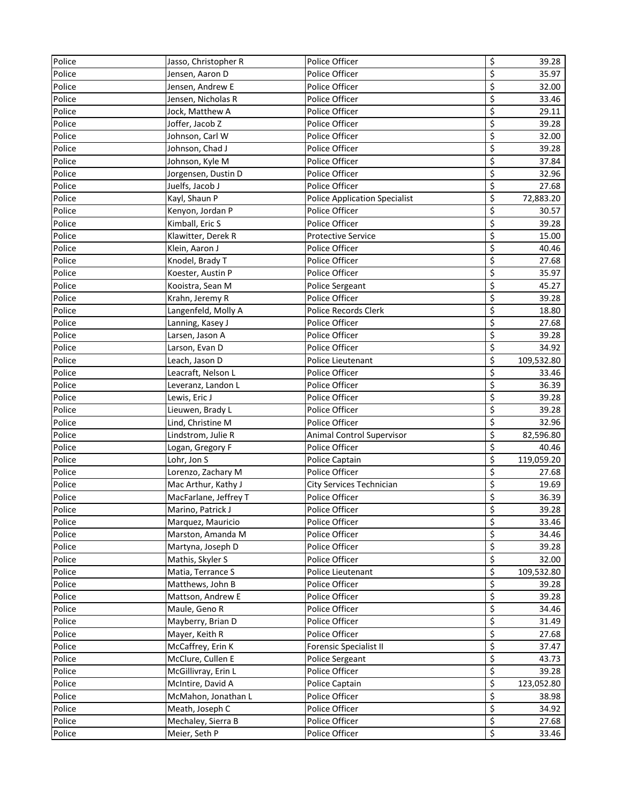| Police | Jasso, Christopher R  | Police Officer                       | \$               | 39.28      |
|--------|-----------------------|--------------------------------------|------------------|------------|
| Police | Jensen, Aaron D       | Police Officer                       | \$               | 35.97      |
| Police | Jensen, Andrew E      | Police Officer                       | \$               | 32.00      |
| Police | Jensen, Nicholas R    | Police Officer                       | \$               | 33.46      |
| Police | Jock, Matthew A       | Police Officer                       | \$               | 29.11      |
| Police | Joffer, Jacob Z       | Police Officer                       | \$               | 39.28      |
| Police | Johnson, Carl W       | Police Officer                       | \$               | 32.00      |
| Police | Johnson, Chad J       | Police Officer                       | \$               | 39.28      |
| Police | Johnson, Kyle M       | Police Officer                       | \$               | 37.84      |
| Police | Jorgensen, Dustin D   | Police Officer                       | \$               | 32.96      |
| Police | Juelfs, Jacob J       | Police Officer                       | \$               | 27.68      |
| Police | Kayl, Shaun P         | <b>Police Application Specialist</b> | \$               | 72,883.20  |
| Police | Kenyon, Jordan P      | Police Officer                       | \$               | 30.57      |
| Police | Kimball, Eric S       | Police Officer                       | \$               | 39.28      |
| Police | Klawitter, Derek R    | <b>Protective Service</b>            | \$               | 15.00      |
| Police | Klein, Aaron J        | Police Officer                       | \$               | 40.46      |
| Police | Knodel, Brady T       | Police Officer                       | $\overline{\xi}$ | 27.68      |
| Police | Koester, Austin P     | Police Officer                       | \$               | 35.97      |
| Police | Kooistra, Sean M      | Police Sergeant                      | \$               | 45.27      |
| Police | Krahn, Jeremy R       | Police Officer                       | \$               | 39.28      |
| Police | Langenfeld, Molly A   | Police Records Clerk                 | \$               | 18.80      |
| Police | Lanning, Kasey J      | Police Officer                       | \$               | 27.68      |
| Police | Larsen, Jason A       | Police Officer                       | \$               | 39.28      |
| Police | Larson, Evan D        | Police Officer                       | \$               | 34.92      |
| Police | Leach, Jason D        | Police Lieutenant                    | \$               | 109,532.80 |
| Police | Leacraft, Nelson L    | Police Officer                       | \$               | 33.46      |
| Police | Leveranz, Landon L    | Police Officer                       | \$               | 36.39      |
| Police | Lewis, Eric J         | Police Officer                       | \$               | 39.28      |
| Police | Lieuwen, Brady L      | Police Officer                       | \$               | 39.28      |
| Police | Lind, Christine M     | Police Officer                       | \$               | 32.96      |
| Police | Lindstrom, Julie R    | Animal Control Supervisor            | \$               | 82,596.80  |
| Police | Logan, Gregory F      | Police Officer                       | \$               | 40.46      |
| Police | Lohr, Jon S           | Police Captain                       | \$               | 119,059.20 |
| Police | Lorenzo, Zachary M    | Police Officer                       | \$               | 27.68      |
| Police | Mac Arthur, Kathy J   | City Services Technician             | \$               | 19.69      |
| Police | MacFarlane, Jeffrey T | Police Officer                       | \$               | 36.39      |
| Police | Marino, Patrick J     | Police Officer                       | \$               | 39.28      |
| Police | Marquez, Mauricio     | Police Officer                       | \$               | 33.46      |
| Police | Marston, Amanda M     | Police Officer                       | \$               | 34.46      |
| Police | Martyna, Joseph D     | Police Officer                       | \$               | 39.28      |
| Police | Mathis, Skyler S      | Police Officer                       | \$               | 32.00      |
| Police | Matia, Terrance S     | Police Lieutenant                    | \$               | 109,532.80 |
| Police | Matthews, John B      | Police Officer                       | \$               | 39.28      |
| Police | Mattson, Andrew E     | Police Officer                       | \$               | 39.28      |
| Police | Maule, Geno R         | Police Officer                       | \$               | 34.46      |
| Police | Mayberry, Brian D     | Police Officer                       | \$               | 31.49      |
| Police | Mayer, Keith R        | Police Officer                       | \$               | 27.68      |
| Police | McCaffrey, Erin K     | <b>Forensic Specialist II</b>        | \$               | 37.47      |
| Police | McClure, Cullen E     | Police Sergeant                      | \$               | 43.73      |
| Police | McGillivray, Erin L   | Police Officer                       | \$               | 39.28      |
| Police | McIntire, David A     | Police Captain                       | \$               | 123,052.80 |
| Police | McMahon, Jonathan L   | Police Officer                       | \$               | 38.98      |
| Police | Meath, Joseph C       | Police Officer                       | \$               | 34.92      |
| Police | Mechaley, Sierra B    | Police Officer                       | \$               | 27.68      |
| Police | Meier, Seth P         | Police Officer                       | \$               | 33.46      |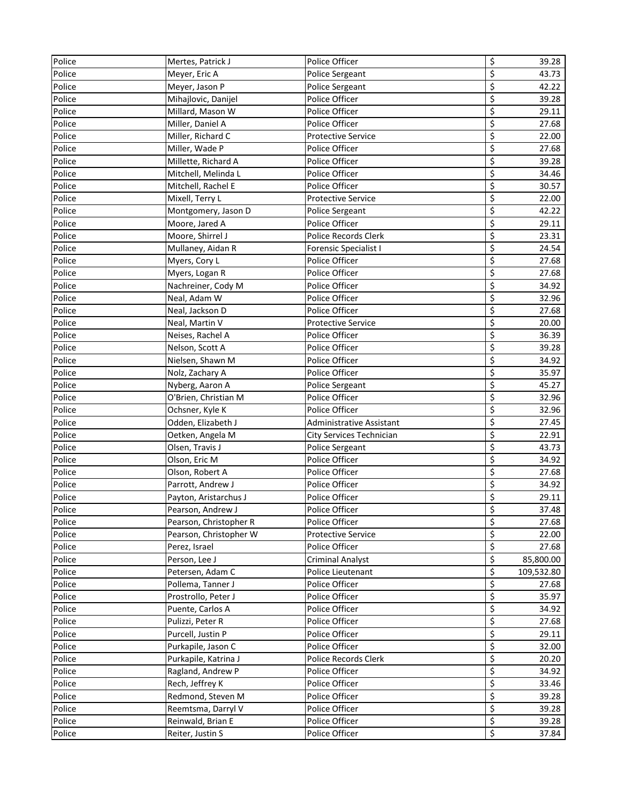| Police | Mertes, Patrick J      | Police Officer               | \$                              | 39.28      |
|--------|------------------------|------------------------------|---------------------------------|------------|
| Police | Meyer, Eric A          | Police Sergeant              | \$                              | 43.73      |
| Police | Meyer, Jason P         | Police Sergeant              | \$                              | 42.22      |
| Police | Mihajlovic, Danijel    | Police Officer               | \$                              | 39.28      |
| Police | Millard, Mason W       | Police Officer               | \$                              | 29.11      |
| Police | Miller, Daniel A       | Police Officer               | \$                              | 27.68      |
| Police | Miller, Richard C      | <b>Protective Service</b>    | \$                              | 22.00      |
| Police | Miller, Wade P         | Police Officer               | \$                              | 27.68      |
| Police | Millette, Richard A    | Police Officer               | \$                              | 39.28      |
| Police | Mitchell, Melinda L    | Police Officer               | \$                              | 34.46      |
| Police | Mitchell, Rachel E     | Police Officer               | \$                              | 30.57      |
| Police | Mixell, Terry L        | <b>Protective Service</b>    | \$                              | 22.00      |
| Police | Montgomery, Jason D    | Police Sergeant              | \$                              | 42.22      |
| Police | Moore, Jared A         | Police Officer               | \$                              | 29.11      |
| Police | Moore, Shirrel J       | Police Records Clerk         | \$                              | 23.31      |
| Police | Mullaney, Aidan R      | <b>Forensic Specialist I</b> | \$                              | 24.54      |
| Police | Myers, Cory L          | Police Officer               | \$                              | 27.68      |
| Police | Myers, Logan R         | Police Officer               | \$                              | 27.68      |
| Police | Nachreiner, Cody M     | Police Officer               | \$                              | 34.92      |
| Police | Neal, Adam W           | Police Officer               | \$                              | 32.96      |
| Police | Neal, Jackson D        | Police Officer               | \$                              | 27.68      |
| Police | Neal, Martin V         | <b>Protective Service</b>    | \$                              | 20.00      |
| Police | Neises, Rachel A       | Police Officer               | \$                              | 36.39      |
| Police | Nelson, Scott A        | Police Officer               | \$                              | 39.28      |
| Police | Nielsen, Shawn M       | Police Officer               | \$                              | 34.92      |
| Police | Nolz, Zachary A        | Police Officer               | \$                              | 35.97      |
| Police | Nyberg, Aaron A        | Police Sergeant              | \$                              | 45.27      |
| Police | O'Brien, Christian M   | Police Officer               | \$                              | 32.96      |
| Police | Ochsner, Kyle K        | Police Officer               | \$                              | 32.96      |
| Police | Odden, Elizabeth J     | Administrative Assistant     | \$                              | 27.45      |
| Police | Oetken, Angela M       | City Services Technician     | \$                              | 22.91      |
| Police | Olsen, Travis J        | Police Sergeant              | \$                              | 43.73      |
| Police | Olson, Eric M          | Police Officer               | \$                              | 34.92      |
| Police | Olson, Robert A        | Police Officer               | \$                              | 27.68      |
| Police | Parrott, Andrew J      | Police Officer               | \$                              | 34.92      |
| Police | Payton, Aristarchus J  | Police Officer               | \$                              | 29.11      |
| Police | Pearson, Andrew J      | Police Officer               | \$                              | 37.48      |
| Police | Pearson, Christopher R | Police Officer               | \$                              | 27.68      |
| Police | Pearson, Christopher W | <b>Protective Service</b>    | \$                              | 22.00      |
| Police | Perez, Israel          | Police Officer               | \$                              | 27.68      |
| Police | Person, Lee J          | <b>Criminal Analyst</b>      | \$                              | 85,800.00  |
| Police | Petersen, Adam C       | Police Lieutenant            | \$                              | 109,532.80 |
| Police | Pollema, Tanner J      | Police Officer               | \$                              | 27.68      |
| Police | Prostrollo, Peter J    | Police Officer               | \$                              | 35.97      |
| Police | Puente, Carlos A       | Police Officer               | $\overline{\mathbf{c}}$         | 34.92      |
| Police | Pulizzi, Peter R       | Police Officer               | $\overline{\boldsymbol{\zeta}}$ | 27.68      |
| Police | Purcell, Justin P      | Police Officer               | $\overline{\mathbf{c}}$         | 29.11      |
| Police | Purkapile, Jason C     | Police Officer               | \$                              | 32.00      |
| Police | Purkapile, Katrina J   | Police Records Clerk         | \$                              | 20.20      |
| Police | Ragland, Andrew P      | Police Officer               | \$                              | 34.92      |
| Police | Rech, Jeffrey K        | Police Officer               | $\varsigma$                     | 33.46      |
| Police | Redmond, Steven M      | Police Officer               | \$                              | 39.28      |
| Police | Reemtsma, Darryl V     | Police Officer               | \$                              | 39.28      |
| Police | Reinwald, Brian E      | Police Officer               | $\overline{\xi}$                | 39.28      |
| Police | Reiter, Justin S       | Police Officer               | $\overline{\mathbf{S}}$         | 37.84      |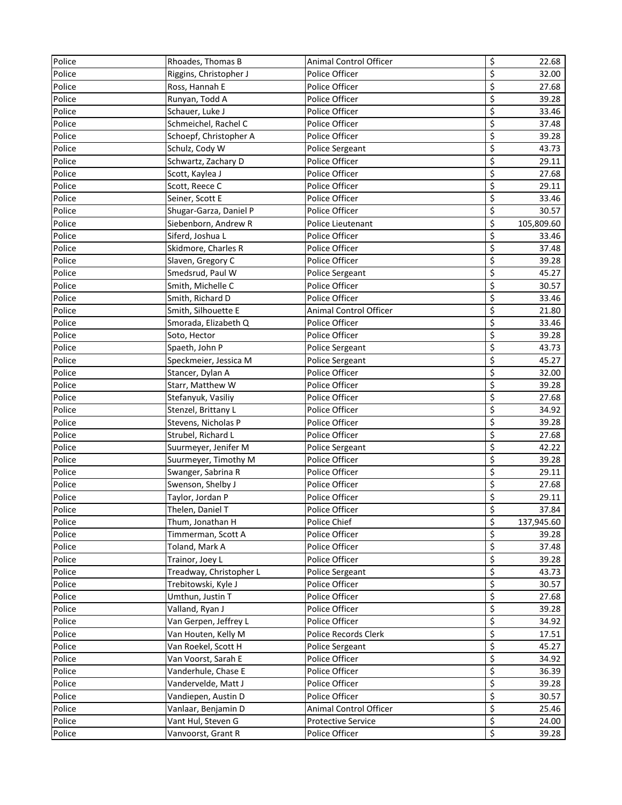| Police | Rhoades, Thomas B       | <b>Animal Control Officer</b> | \$                              | 22.68      |
|--------|-------------------------|-------------------------------|---------------------------------|------------|
| Police | Riggins, Christopher J  | Police Officer                | \$                              | 32.00      |
| Police | Ross, Hannah E          | Police Officer                | \$                              | 27.68      |
| Police | Runyan, Todd A          | Police Officer                | \$                              | 39.28      |
| Police | Schauer, Luke J         | Police Officer                | \$                              | 33.46      |
| Police | Schmeichel, Rachel C    | Police Officer                | \$                              | 37.48      |
| Police | Schoepf, Christopher A  | Police Officer                | \$                              | 39.28      |
| Police | Schulz, Cody W          | Police Sergeant               | \$                              | 43.73      |
| Police | Schwartz, Zachary D     | Police Officer                | \$                              | 29.11      |
| Police | Scott, Kaylea J         | Police Officer                | \$                              | 27.68      |
| Police | Scott, Reece C          | Police Officer                | \$                              | 29.11      |
| Police | Seiner, Scott E         | Police Officer                | \$                              | 33.46      |
| Police | Shugar-Garza, Daniel P  | Police Officer                | \$                              | 30.57      |
| Police | Siebenborn, Andrew R    | Police Lieutenant             | \$                              | 105,809.60 |
| Police | Siferd, Joshua L        | Police Officer                | $\overline{\xi}$                | 33.46      |
| Police | Skidmore, Charles R     | Police Officer                | \$                              | 37.48      |
| Police | Slaven, Gregory C       | Police Officer                | \$                              | 39.28      |
| Police | Smedsrud, Paul W        | Police Sergeant               | \$                              | 45.27      |
| Police | Smith, Michelle C       | Police Officer                | \$                              | 30.57      |
| Police | Smith, Richard D        | Police Officer                | \$                              | 33.46      |
| Police | Smith, Silhouette E     | Animal Control Officer        | \$                              | 21.80      |
| Police | Smorada, Elizabeth Q    | Police Officer                | \$                              | 33.46      |
| Police | Soto, Hector            | Police Officer                | \$                              | 39.28      |
| Police | Spaeth, John P          | <b>Police Sergeant</b>        | \$                              | 43.73      |
| Police | Speckmeier, Jessica M   | Police Sergeant               | \$                              | 45.27      |
| Police | Stancer, Dylan A        | Police Officer                | \$                              | 32.00      |
| Police | Starr, Matthew W        | Police Officer                | \$                              | 39.28      |
| Police | Stefanyuk, Vasiliy      | Police Officer                | \$                              | 27.68      |
| Police | Stenzel, Brittany L     | Police Officer                | \$                              | 34.92      |
| Police | Stevens, Nicholas P     | Police Officer                | \$                              | 39.28      |
| Police | Strubel, Richard L      | Police Officer                | \$                              | 27.68      |
| Police | Suurmeyer, Jenifer M    | Police Sergeant               | \$                              | 42.22      |
| Police | Suurmeyer, Timothy M    | Police Officer                | \$                              | 39.28      |
| Police | Swanger, Sabrina R      | Police Officer                | \$                              | 29.11      |
| Police | Swenson, Shelby J       | Police Officer                | \$                              | 27.68      |
| Police | Taylor, Jordan P        | Police Officer                | \$                              | 29.11      |
| Police | Thelen, Daniel T        | Police Officer                | $\varsigma$                     | 37.84      |
| Police | Thum, Jonathan H        | Police Chief                  | \$                              | 137,945.60 |
| Police | Timmerman, Scott A      | Police Officer                | \$                              | 39.28      |
| Police | Toland, Mark A          | Police Officer                | \$                              | 37.48      |
| Police | Trainor, Joey L         | Police Officer                | \$                              | 39.28      |
| Police | Treadway, Christopher L | Police Sergeant               | $\overline{\boldsymbol{\zeta}}$ | 43.73      |
| Police | Trebitowski, Kyle J     | Police Officer                | $\overline{\boldsymbol{\zeta}}$ | 30.57      |
| Police | Umthun, Justin T        | Police Officer                | \$                              | 27.68      |
| Police | Valland, Ryan J         | Police Officer                | \$                              | 39.28      |
| Police | Van Gerpen, Jeffrey L   | Police Officer                | \$                              | 34.92      |
| Police | Van Houten, Kelly M     | Police Records Clerk          | \$                              | 17.51      |
| Police | Van Roekel, Scott H     | <b>Police Sergeant</b>        | \$                              | 45.27      |
| Police | Van Voorst, Sarah E     | Police Officer                | \$                              | 34.92      |
| Police | Vanderhule, Chase E     | Police Officer                | $\overline{\mathbf{z}}$         | 36.39      |
| Police | Vandervelde, Matt J     | Police Officer                | \$                              | 39.28      |
| Police | Vandiepen, Austin D     | Police Officer                | \$                              | 30.57      |
| Police | Vanlaar, Benjamin D     | Animal Control Officer        | \$                              | 25.46      |
| Police | Vant Hul, Steven G      | <b>Protective Service</b>     | \$                              | 24.00      |
| Police | Vanvoorst, Grant R      | Police Officer                | \$                              | 39.28      |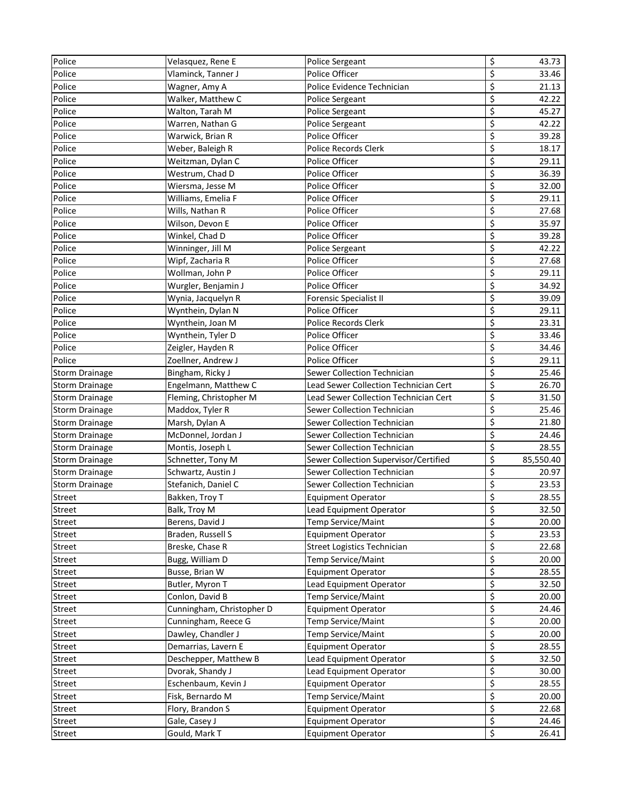| Police                | Velasquez, Rene E         | <b>Police Sergeant</b>                | \$               | 43.73     |
|-----------------------|---------------------------|---------------------------------------|------------------|-----------|
| Police                | Vlaminck, Tanner J        | Police Officer                        | \$               | 33.46     |
| Police                | Wagner, Amy A             | Police Evidence Technician            | \$               | 21.13     |
| Police                | Walker, Matthew C         | Police Sergeant                       | \$               | 42.22     |
| Police                | Walton, Tarah M           | Police Sergeant                       | \$               | 45.27     |
| Police                | Warren, Nathan G          | Police Sergeant                       | \$               | 42.22     |
| Police                | Warwick, Brian R          | Police Officer                        | \$               | 39.28     |
| Police                | Weber, Baleigh R          | Police Records Clerk                  | \$               | 18.17     |
| Police                | Weitzman, Dylan C         | Police Officer                        | \$               | 29.11     |
| Police                | Westrum, Chad D           | Police Officer                        | \$               | 36.39     |
| Police                | Wiersma, Jesse M          | Police Officer                        | \$               | 32.00     |
| Police                | Williams, Emelia F        | Police Officer                        | \$               | 29.11     |
| Police                | Wills, Nathan R           | Police Officer                        | \$               | 27.68     |
| Police                | Wilson, Devon E           | Police Officer                        | \$               | 35.97     |
| Police                | Winkel, Chad D            | Police Officer                        | $\overline{\xi}$ | 39.28     |
| Police                | Winninger, Jill M         | Police Sergeant                       | \$               | 42.22     |
| Police                | Wipf, Zacharia R          | Police Officer                        | \$               | 27.68     |
| Police                | Wollman, John P           | Police Officer                        | \$               | 29.11     |
| Police                | Wurgler, Benjamin J       | Police Officer                        | \$               | 34.92     |
| Police                | Wynia, Jacquelyn R        | <b>Forensic Specialist II</b>         | \$               | 39.09     |
| Police                | Wynthein, Dylan N         | Police Officer                        | \$               | 29.11     |
| Police                | Wynthein, Joan M          | <b>Police Records Clerk</b>           | \$               | 23.31     |
| Police                | Wynthein, Tyler D         | Police Officer                        | \$               | 33.46     |
| Police                | Zeigler, Hayden R         | Police Officer                        | \$               | 34.46     |
| Police                | Zoellner, Andrew J        | Police Officer                        | \$               | 29.11     |
| <b>Storm Drainage</b> | Bingham, Ricky J          | Sewer Collection Technician           | \$               | 25.46     |
| <b>Storm Drainage</b> | Engelmann, Matthew C      | Lead Sewer Collection Technician Cert | \$               | 26.70     |
| <b>Storm Drainage</b> | Fleming, Christopher M    | Lead Sewer Collection Technician Cert | \$               | 31.50     |
| <b>Storm Drainage</b> | Maddox, Tyler R           | Sewer Collection Technician           | \$               | 25.46     |
| <b>Storm Drainage</b> | Marsh, Dylan A            | Sewer Collection Technician           | \$               | 21.80     |
| <b>Storm Drainage</b> | McDonnel, Jordan J        | Sewer Collection Technician           | \$               | 24.46     |
| <b>Storm Drainage</b> | Montis, Joseph L          | Sewer Collection Technician           | \$               | 28.55     |
| <b>Storm Drainage</b> | Schnetter, Tony M         | Sewer Collection Supervisor/Certified | \$               | 85,550.40 |
| <b>Storm Drainage</b> | Schwartz, Austin J        | Sewer Collection Technician           | \$               | 20.97     |
| <b>Storm Drainage</b> | Stefanich, Daniel C       | Sewer Collection Technician           | \$               | 23.53     |
| Street                | Bakken, Troy T            | <b>Equipment Operator</b>             | \$               | 28.55     |
| Street                | Balk, Troy M              | Lead Equipment Operator               | $\varsigma$      | 32.50     |
| Street                | Berens, David J           | Temp Service/Maint                    | \$               | 20.00     |
| Street                | Braden, Russell S         | Equipment Operator                    | \$               | 23.53     |
| Street                | Breske, Chase R           | <b>Street Logistics Technician</b>    | \$               | 22.68     |
| Street                | Bugg, William D           | Temp Service/Maint                    | \$               | 20.00     |
| Street                | Busse, Brian W            | <b>Equipment Operator</b>             | \$               | 28.55     |
| Street                | Butler, Myron T           | Lead Equipment Operator               | \$               | 32.50     |
| Street                | Conlon, David B           | Temp Service/Maint                    | \$               | 20.00     |
| <b>Street</b>         | Cunningham, Christopher D | <b>Equipment Operator</b>             | \$               | 24.46     |
| Street                | Cunningham, Reece G       | <b>Temp Service/Maint</b>             | \$               | 20.00     |
| Street                | Dawley, Chandler J        | Temp Service/Maint                    | \$               | 20.00     |
| Street                | Demarrias, Lavern E       | <b>Equipment Operator</b>             | \$               | 28.55     |
| Street                | Deschepper, Matthew B     | Lead Equipment Operator               | \$               | 32.50     |
| Street                | Dvorak, Shandy J          | Lead Equipment Operator               | \$               | 30.00     |
| Street                | Eschenbaum, Kevin J       | <b>Equipment Operator</b>             | \$               | 28.55     |
| <b>Street</b>         | Fisk, Bernardo M          | Temp Service/Maint                    | \$               | 20.00     |
| Street                | Flory, Brandon S          | <b>Equipment Operator</b>             | \$               | 22.68     |
| Street                | Gale, Casey J             | <b>Equipment Operator</b>             | \$               | 24.46     |
| Street                | Gould, Mark T             | <b>Equipment Operator</b>             | \$               | 26.41     |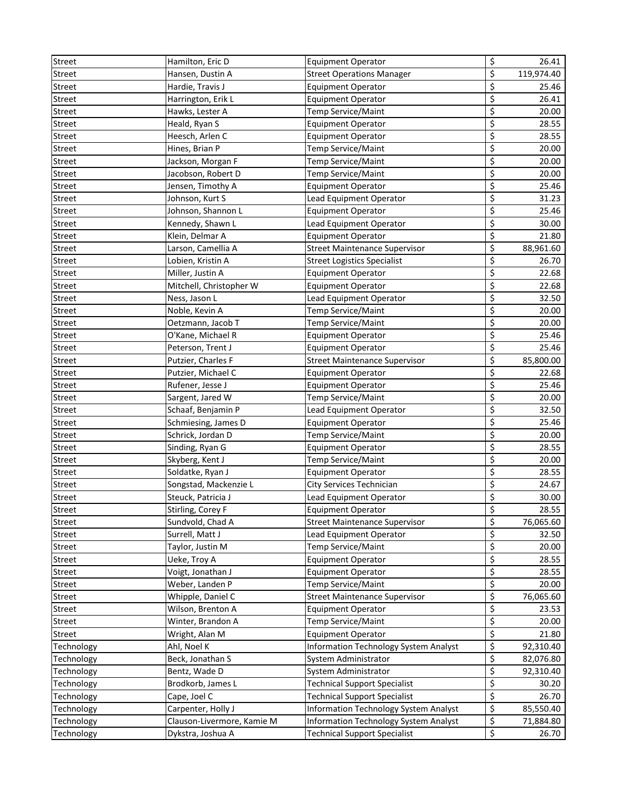| \$<br>Street<br>Hansen, Dustin A<br><b>Street Operations Manager</b><br>119,974.40<br>\$<br>Hardie, Travis J<br><b>Street</b><br><b>Equipment Operator</b><br>25.46<br>\$<br>Street<br>26.41<br>Harrington, Erik L<br><b>Equipment Operator</b><br>\$<br>Street<br>Temp Service/Maint<br>20.00<br>Hawks, Lester A<br>\$<br>Street<br>Heald, Ryan S<br>28.55<br><b>Equipment Operator</b><br>\$<br>Street<br>Heesch, Arlen C<br>28.55<br><b>Equipment Operator</b><br>\$<br>Street<br>Hines, Brian P<br>Temp Service/Maint<br>20.00<br>\$<br>Jackson, Morgan F<br>Temp Service/Maint<br>20.00<br><b>Street</b><br>\$<br>Jacobson, Robert D<br>Street<br>Temp Service/Maint<br>20.00<br>\$<br><b>Street</b><br>Jensen, Timothy A<br><b>Equipment Operator</b><br>25.46<br>\$<br>Street<br>Johnson, Kurt S<br>Lead Equipment Operator<br>31.23<br>\$<br>25.46<br>Street<br>Johnson, Shannon L<br><b>Equipment Operator</b><br>\$<br>Street<br>Kennedy, Shawn L<br>Lead Equipment Operator<br>30.00<br>\$<br><b>Street</b><br>Klein, Delmar A<br><b>Equipment Operator</b><br>21.80<br>\$<br>Street<br>Larson, Camellia A<br><b>Street Maintenance Supervisor</b><br>88,961.60<br>\$<br>Street<br>Lobien, Kristin A<br>26.70<br><b>Street Logistics Specialist</b><br>\$<br>Street<br>Miller, Justin A<br>22.68<br><b>Equipment Operator</b><br>\$<br>Street<br>22.68<br>Mitchell, Christopher W<br><b>Equipment Operator</b><br>\$<br>Lead Equipment Operator<br>32.50<br><b>Street</b><br>Ness, Jason L<br>\$<br>Noble, Kevin A<br>Temp Service/Maint<br>20.00<br><b>Street</b><br>\$<br>Street<br>Oetzmann, Jacob T<br>20.00<br>Temp Service/Maint<br>\$<br>Street<br>O'Kane, Michael R<br>25.46<br><b>Equipment Operator</b><br>\$<br>Street<br>Peterson, Trent J<br>25.46<br><b>Equipment Operator</b><br>\$<br>Street<br>Putzier, Charles F<br><b>Street Maintenance Supervisor</b><br>85,800.00<br>\$<br>Street<br>Putzier, Michael C<br><b>Equipment Operator</b><br>22.68<br>\$<br>Rufener, Jesse J<br>25.46<br><b>Street</b><br><b>Equipment Operator</b><br>\$<br>Street<br>Sargent, Jared W<br>Temp Service/Maint<br>20.00<br>\$<br>Street<br>Schaaf, Benjamin P<br>32.50<br>Lead Equipment Operator<br>\$<br>Street<br>25.46<br>Schmiesing, James D<br><b>Equipment Operator</b><br>\$<br>Street<br>Schrick, Jordan D<br>20.00<br>Temp Service/Maint<br>\$<br>Street<br>28.55<br>Sinding, Ryan G<br><b>Equipment Operator</b><br>\$<br><b>Street</b><br>Skyberg, Kent J<br><b>Temp Service/Maint</b><br>20.00<br>\$<br>Street<br>Soldatke, Ryan J<br><b>Equipment Operator</b><br>28.55<br>\$<br>Street<br>Songstad, Mackenzie L |
|-------------------------------------------------------------------------------------------------------------------------------------------------------------------------------------------------------------------------------------------------------------------------------------------------------------------------------------------------------------------------------------------------------------------------------------------------------------------------------------------------------------------------------------------------------------------------------------------------------------------------------------------------------------------------------------------------------------------------------------------------------------------------------------------------------------------------------------------------------------------------------------------------------------------------------------------------------------------------------------------------------------------------------------------------------------------------------------------------------------------------------------------------------------------------------------------------------------------------------------------------------------------------------------------------------------------------------------------------------------------------------------------------------------------------------------------------------------------------------------------------------------------------------------------------------------------------------------------------------------------------------------------------------------------------------------------------------------------------------------------------------------------------------------------------------------------------------------------------------------------------------------------------------------------------------------------------------------------------------------------------------------------------------------------------------------------------------------------------------------------------------------------------------------------------------------------------------------------------------------------------------------------------------------------------------------------------------------------------------------------------------------------------------------------------------------------------------------------------------------------------------------------------------------------------------------------------------------------------------------------------------------------|
|                                                                                                                                                                                                                                                                                                                                                                                                                                                                                                                                                                                                                                                                                                                                                                                                                                                                                                                                                                                                                                                                                                                                                                                                                                                                                                                                                                                                                                                                                                                                                                                                                                                                                                                                                                                                                                                                                                                                                                                                                                                                                                                                                                                                                                                                                                                                                                                                                                                                                                                                                                                                                                           |
|                                                                                                                                                                                                                                                                                                                                                                                                                                                                                                                                                                                                                                                                                                                                                                                                                                                                                                                                                                                                                                                                                                                                                                                                                                                                                                                                                                                                                                                                                                                                                                                                                                                                                                                                                                                                                                                                                                                                                                                                                                                                                                                                                                                                                                                                                                                                                                                                                                                                                                                                                                                                                                           |
|                                                                                                                                                                                                                                                                                                                                                                                                                                                                                                                                                                                                                                                                                                                                                                                                                                                                                                                                                                                                                                                                                                                                                                                                                                                                                                                                                                                                                                                                                                                                                                                                                                                                                                                                                                                                                                                                                                                                                                                                                                                                                                                                                                                                                                                                                                                                                                                                                                                                                                                                                                                                                                           |
|                                                                                                                                                                                                                                                                                                                                                                                                                                                                                                                                                                                                                                                                                                                                                                                                                                                                                                                                                                                                                                                                                                                                                                                                                                                                                                                                                                                                                                                                                                                                                                                                                                                                                                                                                                                                                                                                                                                                                                                                                                                                                                                                                                                                                                                                                                                                                                                                                                                                                                                                                                                                                                           |
|                                                                                                                                                                                                                                                                                                                                                                                                                                                                                                                                                                                                                                                                                                                                                                                                                                                                                                                                                                                                                                                                                                                                                                                                                                                                                                                                                                                                                                                                                                                                                                                                                                                                                                                                                                                                                                                                                                                                                                                                                                                                                                                                                                                                                                                                                                                                                                                                                                                                                                                                                                                                                                           |
|                                                                                                                                                                                                                                                                                                                                                                                                                                                                                                                                                                                                                                                                                                                                                                                                                                                                                                                                                                                                                                                                                                                                                                                                                                                                                                                                                                                                                                                                                                                                                                                                                                                                                                                                                                                                                                                                                                                                                                                                                                                                                                                                                                                                                                                                                                                                                                                                                                                                                                                                                                                                                                           |
|                                                                                                                                                                                                                                                                                                                                                                                                                                                                                                                                                                                                                                                                                                                                                                                                                                                                                                                                                                                                                                                                                                                                                                                                                                                                                                                                                                                                                                                                                                                                                                                                                                                                                                                                                                                                                                                                                                                                                                                                                                                                                                                                                                                                                                                                                                                                                                                                                                                                                                                                                                                                                                           |
|                                                                                                                                                                                                                                                                                                                                                                                                                                                                                                                                                                                                                                                                                                                                                                                                                                                                                                                                                                                                                                                                                                                                                                                                                                                                                                                                                                                                                                                                                                                                                                                                                                                                                                                                                                                                                                                                                                                                                                                                                                                                                                                                                                                                                                                                                                                                                                                                                                                                                                                                                                                                                                           |
|                                                                                                                                                                                                                                                                                                                                                                                                                                                                                                                                                                                                                                                                                                                                                                                                                                                                                                                                                                                                                                                                                                                                                                                                                                                                                                                                                                                                                                                                                                                                                                                                                                                                                                                                                                                                                                                                                                                                                                                                                                                                                                                                                                                                                                                                                                                                                                                                                                                                                                                                                                                                                                           |
|                                                                                                                                                                                                                                                                                                                                                                                                                                                                                                                                                                                                                                                                                                                                                                                                                                                                                                                                                                                                                                                                                                                                                                                                                                                                                                                                                                                                                                                                                                                                                                                                                                                                                                                                                                                                                                                                                                                                                                                                                                                                                                                                                                                                                                                                                                                                                                                                                                                                                                                                                                                                                                           |
|                                                                                                                                                                                                                                                                                                                                                                                                                                                                                                                                                                                                                                                                                                                                                                                                                                                                                                                                                                                                                                                                                                                                                                                                                                                                                                                                                                                                                                                                                                                                                                                                                                                                                                                                                                                                                                                                                                                                                                                                                                                                                                                                                                                                                                                                                                                                                                                                                                                                                                                                                                                                                                           |
|                                                                                                                                                                                                                                                                                                                                                                                                                                                                                                                                                                                                                                                                                                                                                                                                                                                                                                                                                                                                                                                                                                                                                                                                                                                                                                                                                                                                                                                                                                                                                                                                                                                                                                                                                                                                                                                                                                                                                                                                                                                                                                                                                                                                                                                                                                                                                                                                                                                                                                                                                                                                                                           |
|                                                                                                                                                                                                                                                                                                                                                                                                                                                                                                                                                                                                                                                                                                                                                                                                                                                                                                                                                                                                                                                                                                                                                                                                                                                                                                                                                                                                                                                                                                                                                                                                                                                                                                                                                                                                                                                                                                                                                                                                                                                                                                                                                                                                                                                                                                                                                                                                                                                                                                                                                                                                                                           |
|                                                                                                                                                                                                                                                                                                                                                                                                                                                                                                                                                                                                                                                                                                                                                                                                                                                                                                                                                                                                                                                                                                                                                                                                                                                                                                                                                                                                                                                                                                                                                                                                                                                                                                                                                                                                                                                                                                                                                                                                                                                                                                                                                                                                                                                                                                                                                                                                                                                                                                                                                                                                                                           |
|                                                                                                                                                                                                                                                                                                                                                                                                                                                                                                                                                                                                                                                                                                                                                                                                                                                                                                                                                                                                                                                                                                                                                                                                                                                                                                                                                                                                                                                                                                                                                                                                                                                                                                                                                                                                                                                                                                                                                                                                                                                                                                                                                                                                                                                                                                                                                                                                                                                                                                                                                                                                                                           |
|                                                                                                                                                                                                                                                                                                                                                                                                                                                                                                                                                                                                                                                                                                                                                                                                                                                                                                                                                                                                                                                                                                                                                                                                                                                                                                                                                                                                                                                                                                                                                                                                                                                                                                                                                                                                                                                                                                                                                                                                                                                                                                                                                                                                                                                                                                                                                                                                                                                                                                                                                                                                                                           |
|                                                                                                                                                                                                                                                                                                                                                                                                                                                                                                                                                                                                                                                                                                                                                                                                                                                                                                                                                                                                                                                                                                                                                                                                                                                                                                                                                                                                                                                                                                                                                                                                                                                                                                                                                                                                                                                                                                                                                                                                                                                                                                                                                                                                                                                                                                                                                                                                                                                                                                                                                                                                                                           |
|                                                                                                                                                                                                                                                                                                                                                                                                                                                                                                                                                                                                                                                                                                                                                                                                                                                                                                                                                                                                                                                                                                                                                                                                                                                                                                                                                                                                                                                                                                                                                                                                                                                                                                                                                                                                                                                                                                                                                                                                                                                                                                                                                                                                                                                                                                                                                                                                                                                                                                                                                                                                                                           |
|                                                                                                                                                                                                                                                                                                                                                                                                                                                                                                                                                                                                                                                                                                                                                                                                                                                                                                                                                                                                                                                                                                                                                                                                                                                                                                                                                                                                                                                                                                                                                                                                                                                                                                                                                                                                                                                                                                                                                                                                                                                                                                                                                                                                                                                                                                                                                                                                                                                                                                                                                                                                                                           |
|                                                                                                                                                                                                                                                                                                                                                                                                                                                                                                                                                                                                                                                                                                                                                                                                                                                                                                                                                                                                                                                                                                                                                                                                                                                                                                                                                                                                                                                                                                                                                                                                                                                                                                                                                                                                                                                                                                                                                                                                                                                                                                                                                                                                                                                                                                                                                                                                                                                                                                                                                                                                                                           |
|                                                                                                                                                                                                                                                                                                                                                                                                                                                                                                                                                                                                                                                                                                                                                                                                                                                                                                                                                                                                                                                                                                                                                                                                                                                                                                                                                                                                                                                                                                                                                                                                                                                                                                                                                                                                                                                                                                                                                                                                                                                                                                                                                                                                                                                                                                                                                                                                                                                                                                                                                                                                                                           |
|                                                                                                                                                                                                                                                                                                                                                                                                                                                                                                                                                                                                                                                                                                                                                                                                                                                                                                                                                                                                                                                                                                                                                                                                                                                                                                                                                                                                                                                                                                                                                                                                                                                                                                                                                                                                                                                                                                                                                                                                                                                                                                                                                                                                                                                                                                                                                                                                                                                                                                                                                                                                                                           |
|                                                                                                                                                                                                                                                                                                                                                                                                                                                                                                                                                                                                                                                                                                                                                                                                                                                                                                                                                                                                                                                                                                                                                                                                                                                                                                                                                                                                                                                                                                                                                                                                                                                                                                                                                                                                                                                                                                                                                                                                                                                                                                                                                                                                                                                                                                                                                                                                                                                                                                                                                                                                                                           |
|                                                                                                                                                                                                                                                                                                                                                                                                                                                                                                                                                                                                                                                                                                                                                                                                                                                                                                                                                                                                                                                                                                                                                                                                                                                                                                                                                                                                                                                                                                                                                                                                                                                                                                                                                                                                                                                                                                                                                                                                                                                                                                                                                                                                                                                                                                                                                                                                                                                                                                                                                                                                                                           |
|                                                                                                                                                                                                                                                                                                                                                                                                                                                                                                                                                                                                                                                                                                                                                                                                                                                                                                                                                                                                                                                                                                                                                                                                                                                                                                                                                                                                                                                                                                                                                                                                                                                                                                                                                                                                                                                                                                                                                                                                                                                                                                                                                                                                                                                                                                                                                                                                                                                                                                                                                                                                                                           |
|                                                                                                                                                                                                                                                                                                                                                                                                                                                                                                                                                                                                                                                                                                                                                                                                                                                                                                                                                                                                                                                                                                                                                                                                                                                                                                                                                                                                                                                                                                                                                                                                                                                                                                                                                                                                                                                                                                                                                                                                                                                                                                                                                                                                                                                                                                                                                                                                                                                                                                                                                                                                                                           |
|                                                                                                                                                                                                                                                                                                                                                                                                                                                                                                                                                                                                                                                                                                                                                                                                                                                                                                                                                                                                                                                                                                                                                                                                                                                                                                                                                                                                                                                                                                                                                                                                                                                                                                                                                                                                                                                                                                                                                                                                                                                                                                                                                                                                                                                                                                                                                                                                                                                                                                                                                                                                                                           |
|                                                                                                                                                                                                                                                                                                                                                                                                                                                                                                                                                                                                                                                                                                                                                                                                                                                                                                                                                                                                                                                                                                                                                                                                                                                                                                                                                                                                                                                                                                                                                                                                                                                                                                                                                                                                                                                                                                                                                                                                                                                                                                                                                                                                                                                                                                                                                                                                                                                                                                                                                                                                                                           |
|                                                                                                                                                                                                                                                                                                                                                                                                                                                                                                                                                                                                                                                                                                                                                                                                                                                                                                                                                                                                                                                                                                                                                                                                                                                                                                                                                                                                                                                                                                                                                                                                                                                                                                                                                                                                                                                                                                                                                                                                                                                                                                                                                                                                                                                                                                                                                                                                                                                                                                                                                                                                                                           |
|                                                                                                                                                                                                                                                                                                                                                                                                                                                                                                                                                                                                                                                                                                                                                                                                                                                                                                                                                                                                                                                                                                                                                                                                                                                                                                                                                                                                                                                                                                                                                                                                                                                                                                                                                                                                                                                                                                                                                                                                                                                                                                                                                                                                                                                                                                                                                                                                                                                                                                                                                                                                                                           |
|                                                                                                                                                                                                                                                                                                                                                                                                                                                                                                                                                                                                                                                                                                                                                                                                                                                                                                                                                                                                                                                                                                                                                                                                                                                                                                                                                                                                                                                                                                                                                                                                                                                                                                                                                                                                                                                                                                                                                                                                                                                                                                                                                                                                                                                                                                                                                                                                                                                                                                                                                                                                                                           |
|                                                                                                                                                                                                                                                                                                                                                                                                                                                                                                                                                                                                                                                                                                                                                                                                                                                                                                                                                                                                                                                                                                                                                                                                                                                                                                                                                                                                                                                                                                                                                                                                                                                                                                                                                                                                                                                                                                                                                                                                                                                                                                                                                                                                                                                                                                                                                                                                                                                                                                                                                                                                                                           |
|                                                                                                                                                                                                                                                                                                                                                                                                                                                                                                                                                                                                                                                                                                                                                                                                                                                                                                                                                                                                                                                                                                                                                                                                                                                                                                                                                                                                                                                                                                                                                                                                                                                                                                                                                                                                                                                                                                                                                                                                                                                                                                                                                                                                                                                                                                                                                                                                                                                                                                                                                                                                                                           |
| City Services Technician<br>24.67                                                                                                                                                                                                                                                                                                                                                                                                                                                                                                                                                                                                                                                                                                                                                                                                                                                                                                                                                                                                                                                                                                                                                                                                                                                                                                                                                                                                                                                                                                                                                                                                                                                                                                                                                                                                                                                                                                                                                                                                                                                                                                                                                                                                                                                                                                                                                                                                                                                                                                                                                                                                         |
| \$<br>Street<br>Steuck, Patricia J<br>30.00<br>Lead Equipment Operator                                                                                                                                                                                                                                                                                                                                                                                                                                                                                                                                                                                                                                                                                                                                                                                                                                                                                                                                                                                                                                                                                                                                                                                                                                                                                                                                                                                                                                                                                                                                                                                                                                                                                                                                                                                                                                                                                                                                                                                                                                                                                                                                                                                                                                                                                                                                                                                                                                                                                                                                                                    |
| \$<br>Street<br>28.55<br>Stirling, Corey F<br>Equipment Operator                                                                                                                                                                                                                                                                                                                                                                                                                                                                                                                                                                                                                                                                                                                                                                                                                                                                                                                                                                                                                                                                                                                                                                                                                                                                                                                                                                                                                                                                                                                                                                                                                                                                                                                                                                                                                                                                                                                                                                                                                                                                                                                                                                                                                                                                                                                                                                                                                                                                                                                                                                          |
| \$<br>76,065.60<br>Street<br>Sundvold, Chad A<br><b>Street Maintenance Supervisor</b>                                                                                                                                                                                                                                                                                                                                                                                                                                                                                                                                                                                                                                                                                                                                                                                                                                                                                                                                                                                                                                                                                                                                                                                                                                                                                                                                                                                                                                                                                                                                                                                                                                                                                                                                                                                                                                                                                                                                                                                                                                                                                                                                                                                                                                                                                                                                                                                                                                                                                                                                                     |
| \$<br>Street<br>Surrell, Matt J<br>32.50<br>Lead Equipment Operator                                                                                                                                                                                                                                                                                                                                                                                                                                                                                                                                                                                                                                                                                                                                                                                                                                                                                                                                                                                                                                                                                                                                                                                                                                                                                                                                                                                                                                                                                                                                                                                                                                                                                                                                                                                                                                                                                                                                                                                                                                                                                                                                                                                                                                                                                                                                                                                                                                                                                                                                                                       |
| \$<br>Street<br>Taylor, Justin M<br>Temp Service/Maint<br>20.00                                                                                                                                                                                                                                                                                                                                                                                                                                                                                                                                                                                                                                                                                                                                                                                                                                                                                                                                                                                                                                                                                                                                                                                                                                                                                                                                                                                                                                                                                                                                                                                                                                                                                                                                                                                                                                                                                                                                                                                                                                                                                                                                                                                                                                                                                                                                                                                                                                                                                                                                                                           |
| \$<br>Street<br>28.55<br>Ueke, Troy A<br><b>Equipment Operator</b>                                                                                                                                                                                                                                                                                                                                                                                                                                                                                                                                                                                                                                                                                                                                                                                                                                                                                                                                                                                                                                                                                                                                                                                                                                                                                                                                                                                                                                                                                                                                                                                                                                                                                                                                                                                                                                                                                                                                                                                                                                                                                                                                                                                                                                                                                                                                                                                                                                                                                                                                                                        |
| \$<br>Street<br>Voigt, Jonathan J<br>Equipment Operator<br>28.55                                                                                                                                                                                                                                                                                                                                                                                                                                                                                                                                                                                                                                                                                                                                                                                                                                                                                                                                                                                                                                                                                                                                                                                                                                                                                                                                                                                                                                                                                                                                                                                                                                                                                                                                                                                                                                                                                                                                                                                                                                                                                                                                                                                                                                                                                                                                                                                                                                                                                                                                                                          |
| \$<br>Weber, Landen P<br>Street<br>Temp Service/Maint<br>20.00                                                                                                                                                                                                                                                                                                                                                                                                                                                                                                                                                                                                                                                                                                                                                                                                                                                                                                                                                                                                                                                                                                                                                                                                                                                                                                                                                                                                                                                                                                                                                                                                                                                                                                                                                                                                                                                                                                                                                                                                                                                                                                                                                                                                                                                                                                                                                                                                                                                                                                                                                                            |
| \$<br>Street<br>Whipple, Daniel C<br><b>Street Maintenance Supervisor</b><br>76,065.60                                                                                                                                                                                                                                                                                                                                                                                                                                                                                                                                                                                                                                                                                                                                                                                                                                                                                                                                                                                                                                                                                                                                                                                                                                                                                                                                                                                                                                                                                                                                                                                                                                                                                                                                                                                                                                                                                                                                                                                                                                                                                                                                                                                                                                                                                                                                                                                                                                                                                                                                                    |
| \$<br>Street<br>Wilson, Brenton A<br>23.53<br><b>Equipment Operator</b>                                                                                                                                                                                                                                                                                                                                                                                                                                                                                                                                                                                                                                                                                                                                                                                                                                                                                                                                                                                                                                                                                                                                                                                                                                                                                                                                                                                                                                                                                                                                                                                                                                                                                                                                                                                                                                                                                                                                                                                                                                                                                                                                                                                                                                                                                                                                                                                                                                                                                                                                                                   |
| $\overline{\boldsymbol{\zeta}}$<br>Winter, Brandon A<br>Temp Service/Maint<br>20.00<br><b>Street</b>                                                                                                                                                                                                                                                                                                                                                                                                                                                                                                                                                                                                                                                                                                                                                                                                                                                                                                                                                                                                                                                                                                                                                                                                                                                                                                                                                                                                                                                                                                                                                                                                                                                                                                                                                                                                                                                                                                                                                                                                                                                                                                                                                                                                                                                                                                                                                                                                                                                                                                                                      |
| $\overline{\mathbf{z}}$<br>Wright, Alan M<br><b>Street</b><br><b>Equipment Operator</b><br>21.80                                                                                                                                                                                                                                                                                                                                                                                                                                                                                                                                                                                                                                                                                                                                                                                                                                                                                                                                                                                                                                                                                                                                                                                                                                                                                                                                                                                                                                                                                                                                                                                                                                                                                                                                                                                                                                                                                                                                                                                                                                                                                                                                                                                                                                                                                                                                                                                                                                                                                                                                          |
| $\overline{\mathcal{S}}$<br>Information Technology System Analyst<br>Ahl, Noel K<br>92,310.40<br>Technology                                                                                                                                                                                                                                                                                                                                                                                                                                                                                                                                                                                                                                                                                                                                                                                                                                                                                                                                                                                                                                                                                                                                                                                                                                                                                                                                                                                                                                                                                                                                                                                                                                                                                                                                                                                                                                                                                                                                                                                                                                                                                                                                                                                                                                                                                                                                                                                                                                                                                                                               |
| \$<br>Beck, Jonathan S<br>System Administrator<br>Technology<br>82,076.80                                                                                                                                                                                                                                                                                                                                                                                                                                                                                                                                                                                                                                                                                                                                                                                                                                                                                                                                                                                                                                                                                                                                                                                                                                                                                                                                                                                                                                                                                                                                                                                                                                                                                                                                                                                                                                                                                                                                                                                                                                                                                                                                                                                                                                                                                                                                                                                                                                                                                                                                                                 |
| \$<br>Bentz, Wade D<br>Technology<br>System Administrator<br>92,310.40                                                                                                                                                                                                                                                                                                                                                                                                                                                                                                                                                                                                                                                                                                                                                                                                                                                                                                                                                                                                                                                                                                                                                                                                                                                                                                                                                                                                                                                                                                                                                                                                                                                                                                                                                                                                                                                                                                                                                                                                                                                                                                                                                                                                                                                                                                                                                                                                                                                                                                                                                                    |
| \$<br>Brodkorb, James L<br><b>Technical Support Specialist</b><br>Technology<br>30.20                                                                                                                                                                                                                                                                                                                                                                                                                                                                                                                                                                                                                                                                                                                                                                                                                                                                                                                                                                                                                                                                                                                                                                                                                                                                                                                                                                                                                                                                                                                                                                                                                                                                                                                                                                                                                                                                                                                                                                                                                                                                                                                                                                                                                                                                                                                                                                                                                                                                                                                                                     |
| \$<br>Cape, Joel C<br>Technology<br><b>Technical Support Specialist</b><br>26.70                                                                                                                                                                                                                                                                                                                                                                                                                                                                                                                                                                                                                                                                                                                                                                                                                                                                                                                                                                                                                                                                                                                                                                                                                                                                                                                                                                                                                                                                                                                                                                                                                                                                                                                                                                                                                                                                                                                                                                                                                                                                                                                                                                                                                                                                                                                                                                                                                                                                                                                                                          |
| $\overline{\mathcal{S}}$<br>Carpenter, Holly J<br>Information Technology System Analyst<br>Technology<br>85,550.40                                                                                                                                                                                                                                                                                                                                                                                                                                                                                                                                                                                                                                                                                                                                                                                                                                                                                                                                                                                                                                                                                                                                                                                                                                                                                                                                                                                                                                                                                                                                                                                                                                                                                                                                                                                                                                                                                                                                                                                                                                                                                                                                                                                                                                                                                                                                                                                                                                                                                                                        |
| \$<br>Technology<br>Clauson-Livermore, Kamie M<br>Information Technology System Analyst<br>71,884.80                                                                                                                                                                                                                                                                                                                                                                                                                                                                                                                                                                                                                                                                                                                                                                                                                                                                                                                                                                                                                                                                                                                                                                                                                                                                                                                                                                                                                                                                                                                                                                                                                                                                                                                                                                                                                                                                                                                                                                                                                                                                                                                                                                                                                                                                                                                                                                                                                                                                                                                                      |
| $\overline{\mathbf{S}}$<br>Technology<br>Dykstra, Joshua A<br><b>Technical Support Specialist</b><br>26.70                                                                                                                                                                                                                                                                                                                                                                                                                                                                                                                                                                                                                                                                                                                                                                                                                                                                                                                                                                                                                                                                                                                                                                                                                                                                                                                                                                                                                                                                                                                                                                                                                                                                                                                                                                                                                                                                                                                                                                                                                                                                                                                                                                                                                                                                                                                                                                                                                                                                                                                                |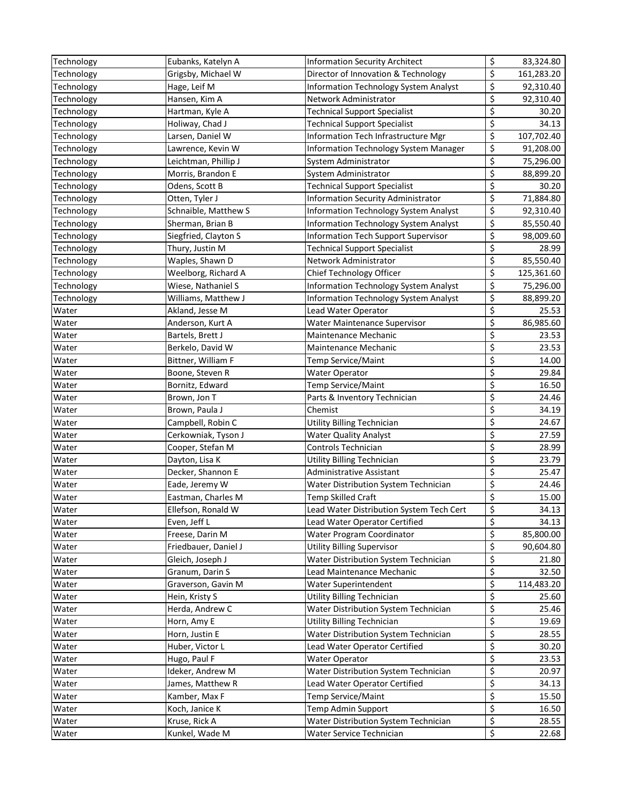| Technology | Eubanks, Katelyn A   | <b>Information Security Architect</b>    | \$<br>83,324.80  |
|------------|----------------------|------------------------------------------|------------------|
| Technology | Grigsby, Michael W   | Director of Innovation & Technology      | \$<br>161,283.20 |
| Technology | Hage, Leif M         | Information Technology System Analyst    | \$<br>92,310.40  |
| Technology | Hansen, Kim A        | Network Administrator                    | \$<br>92,310.40  |
| Technology | Hartman, Kyle A      | <b>Technical Support Specialist</b>      | \$<br>30.20      |
| Technology | Holiway, Chad J      | <b>Technical Support Specialist</b>      | \$<br>34.13      |
| Technology | Larsen, Daniel W     | Information Tech Infrastructure Mgr      | \$<br>107,702.40 |
| Technology | Lawrence, Kevin W    | Information Technology System Manager    | \$<br>91,208.00  |
| Technology | Leichtman, Phillip J | System Administrator                     | \$<br>75,296.00  |
| Technology | Morris, Brandon E    | System Administrator                     | \$<br>88,899.20  |
| Technology | Odens, Scott B       | <b>Technical Support Specialist</b>      | \$<br>30.20      |
| Technology | Otten, Tyler J       | Information Security Administrator       | \$<br>71,884.80  |
| Technology | Schnaible, Matthew S | Information Technology System Analyst    | \$<br>92,310.40  |
| Technology | Sherman, Brian B     | Information Technology System Analyst    | \$<br>85,550.40  |
| Technology | Siegfried, Clayton S | Information Tech Support Supervisor      | \$<br>98,009.60  |
| Technology | Thury, Justin M      | <b>Technical Support Specialist</b>      | \$<br>28.99      |
| Technology | Waples, Shawn D      | Network Administrator                    | \$<br>85,550.40  |
| Technology | Weelborg, Richard A  | Chief Technology Officer                 | \$<br>125,361.60 |
| Technology | Wiese, Nathaniel S   | Information Technology System Analyst    | \$<br>75,296.00  |
| Technology | Williams, Matthew J  | Information Technology System Analyst    | \$<br>88,899.20  |
| Water      | Akland, Jesse M      | Lead Water Operator                      | \$<br>25.53      |
| Water      | Anderson, Kurt A     | Water Maintenance Supervisor             | \$<br>86,985.60  |
| Water      | Bartels, Brett J     | Maintenance Mechanic                     | \$<br>23.53      |
| Water      | Berkelo, David W     | Maintenance Mechanic                     | \$<br>23.53      |
| Water      | Bittner, William F   | Temp Service/Maint                       | \$<br>14.00      |
| Water      | Boone, Steven R      | <b>Water Operator</b>                    | \$<br>29.84      |
| Water      | Bornitz, Edward      | Temp Service/Maint                       | \$<br>16.50      |
| Water      | Brown, Jon T         | Parts & Inventory Technician             | \$<br>24.46      |
| Water      | Brown, Paula J       | Chemist                                  | \$<br>34.19      |
| Water      | Campbell, Robin C    | Utility Billing Technician               | \$<br>24.67      |
| Water      | Cerkowniak, Tyson J  | <b>Water Quality Analyst</b>             | \$<br>27.59      |
| Water      | Cooper, Stefan M     | Controls Technician                      | \$<br>28.99      |
| Water      | Dayton, Lisa K       | <b>Utility Billing Technician</b>        | \$<br>23.79      |
| Water      | Decker, Shannon E    | Administrative Assistant                 | \$<br>25.47      |
| Water      | Eade, Jeremy W       | Water Distribution System Technician     | \$<br>24.46      |
| Water      | Eastman, Charles M   | Temp Skilled Craft                       | \$<br>15.00      |
| Water      | Ellefson, Ronald W   | Lead Water Distribution System Tech Cert | \$<br>34.13      |
| Water      | Even, Jeff L         | Lead Water Operator Certified            | \$<br>34.13      |
| Water      | Freese, Darin M      | Water Program Coordinator                | \$<br>85,800.00  |
| Water      | Friedbauer, Daniel J | <b>Utility Billing Supervisor</b>        | \$<br>90,604.80  |
| Water      | Gleich, Joseph J     | Water Distribution System Technician     | \$<br>21.80      |
| Water      | Granum, Darin S      | Lead Maintenance Mechanic                | \$<br>32.50      |
| Water      | Graverson, Gavin M   | Water Superintendent                     | \$<br>114,483.20 |
| Water      | Hein, Kristy S       | <b>Utility Billing Technician</b>        | \$<br>25.60      |
| Water      | Herda, Andrew C      | Water Distribution System Technician     | \$<br>25.46      |
| Water      | Horn, Amy E          | <b>Utility Billing Technician</b>        | \$<br>19.69      |
| Water      | Horn, Justin E       | Water Distribution System Technician     | \$<br>28.55      |
| Water      | Huber, Victor L      | Lead Water Operator Certified            | \$<br>30.20      |
| Water      | Hugo, Paul F         | <b>Water Operator</b>                    | \$<br>23.53      |
| Water      | Ideker, Andrew M     | Water Distribution System Technician     | \$<br>20.97      |
| Water      | James, Matthew R     | Lead Water Operator Certified            | \$<br>34.13      |
| Water      | Kamber, Max F        | Temp Service/Maint                       | \$<br>15.50      |
| Water      | Koch, Janice K       | Temp Admin Support                       | \$<br>16.50      |
| Water      | Kruse, Rick A        | Water Distribution System Technician     | \$<br>28.55      |
| Water      | Kunkel, Wade M       | Water Service Technician                 | \$<br>22.68      |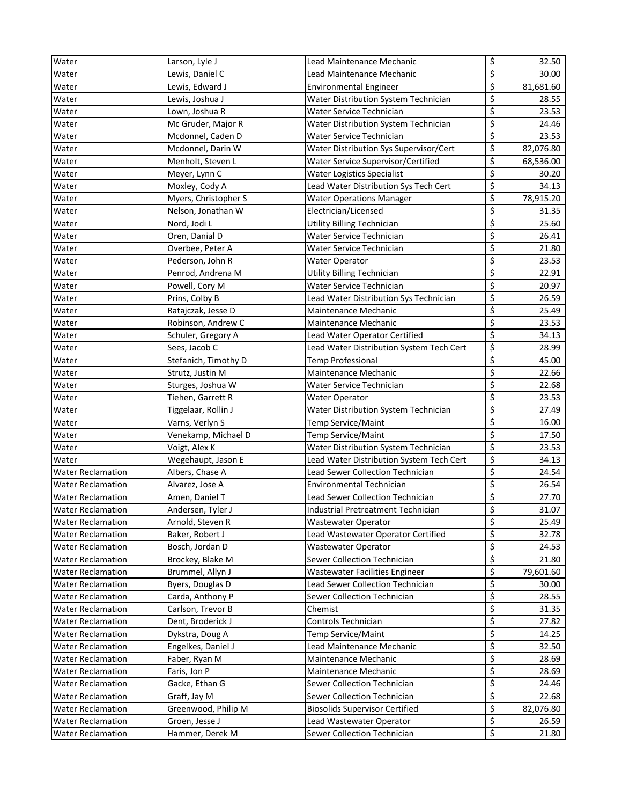| Water                    | Larson, Lyle J       | Lead Maintenance Mechanic                | \$                              | 32.50     |
|--------------------------|----------------------|------------------------------------------|---------------------------------|-----------|
| Water                    | Lewis, Daniel C      | Lead Maintenance Mechanic                | \$                              | 30.00     |
| Water                    | Lewis, Edward J      | <b>Environmental Engineer</b>            | $\overline{\xi}$                | 81,681.60 |
| Water                    | Lewis, Joshua J      | Water Distribution System Technician     | \$                              | 28.55     |
| Water                    | Lown, Joshua R       | Water Service Technician                 | \$                              | 23.53     |
| Water                    | Mc Gruder, Major R   | Water Distribution System Technician     | $\overline{\boldsymbol{\zeta}}$ | 24.46     |
| Water                    | Mcdonnel, Caden D    | Water Service Technician                 | $\overline{\xi}$                | 23.53     |
| Water                    | Mcdonnel, Darin W    | Water Distribution Sys Supervisor/Cert   | \$                              | 82,076.80 |
| Water                    | Menholt, Steven L    | Water Service Supervisor/Certified       | \$                              | 68,536.00 |
| Water                    | Meyer, Lynn C        | <b>Water Logistics Specialist</b>        | \$                              | 30.20     |
| Water                    | Moxley, Cody A       | Lead Water Distribution Sys Tech Cert    | \$                              | 34.13     |
| Water                    | Myers, Christopher S | <b>Water Operations Manager</b>          | \$                              | 78,915.20 |
| Water                    | Nelson, Jonathan W   | Electrician/Licensed                     | \$                              | 31.35     |
| Water                    | Nord, Jodi L         | <b>Utility Billing Technician</b>        | \$                              | 25.60     |
| Water                    | Oren, Danial D       | Water Service Technician                 | \$                              | 26.41     |
| Water                    | Overbee, Peter A     | Water Service Technician                 | \$                              | 21.80     |
| Water                    | Pederson, John R     | <b>Water Operator</b>                    | \$                              | 23.53     |
| Water                    | Penrod, Andrena M    | Utility Billing Technician               | \$                              | 22.91     |
| Water                    | Powell, Cory M       | Water Service Technician                 | $\overline{\boldsymbol{\zeta}}$ | 20.97     |
| Water                    | Prins, Colby B       | Lead Water Distribution Sys Technician   | $\overline{\boldsymbol{\zeta}}$ | 26.59     |
| Water                    | Ratajczak, Jesse D   | Maintenance Mechanic                     | $\overline{\boldsymbol{\zeta}}$ | 25.49     |
| Water                    | Robinson, Andrew C   | Maintenance Mechanic                     | \$                              | 23.53     |
| Water                    | Schuler, Gregory A   | Lead Water Operator Certified            | \$                              | 34.13     |
| Water                    | Sees, Jacob C        | Lead Water Distribution System Tech Cert | \$                              | 28.99     |
| Water                    | Stefanich, Timothy D | Temp Professional                        | $\overline{\boldsymbol{\zeta}}$ | 45.00     |
| Water                    | Strutz, Justin M     | Maintenance Mechanic                     | $\overline{\boldsymbol{\zeta}}$ | 22.66     |
| Water                    | Sturges, Joshua W    | Water Service Technician                 | \$                              | 22.68     |
| Water                    | Tiehen, Garrett R    | <b>Water Operator</b>                    | $\overline{\boldsymbol{\zeta}}$ | 23.53     |
| Water                    | Tiggelaar, Rollin J  | Water Distribution System Technician     | \$                              | 27.49     |
| Water                    | Varns, Verlyn S      | Temp Service/Maint                       | \$                              | 16.00     |
| Water                    | Venekamp, Michael D  | Temp Service/Maint                       | $\overline{\boldsymbol{\zeta}}$ | 17.50     |
| Water                    | Voigt, Alex K        | Water Distribution System Technician     | $\overline{\boldsymbol{\zeta}}$ | 23.53     |
| Water                    | Wegehaupt, Jason E   | Lead Water Distribution System Tech Cert | \$                              | 34.13     |
| <b>Water Reclamation</b> | Albers, Chase A      | Lead Sewer Collection Technician         | $\overline{\mathcal{S}}$        | 24.54     |
| <b>Water Reclamation</b> | Alvarez, Jose A      | Environmental Technician                 | \$                              | 26.54     |
| <b>Water Reclamation</b> | Amen, Daniel T       | Lead Sewer Collection Technician         | \$                              | 27.70     |
| <b>Water Reclamation</b> | Andersen, Tyler J    | Industrial Pretreatment Technician       | \$                              | 31.07     |
| <b>Water Reclamation</b> | Arnold, Steven R     | Wastewater Operator                      | $\overline{\mathcal{S}}$        | 25.49     |
| <b>Water Reclamation</b> | Baker, Robert J      | Lead Wastewater Operator Certified       | \$                              | 32.78     |
| <b>Water Reclamation</b> | Bosch, Jordan D      | <b>Wastewater Operator</b>               | $\overline{\mathcal{S}}$        | 24.53     |
| <b>Water Reclamation</b> | Brockey, Blake M     | Sewer Collection Technician              | \$                              | 21.80     |
| <b>Water Reclamation</b> | Brummel, Allyn J     | Wastewater Facilities Engineer           | \$                              | 79,601.60 |
| <b>Water Reclamation</b> | Byers, Douglas D     | Lead Sewer Collection Technician         | $\overline{\xi}$                | 30.00     |
| <b>Water Reclamation</b> | Carda, Anthony P     | Sewer Collection Technician              | $\overline{\xi}$                | 28.55     |
| <b>Water Reclamation</b> | Carlson, Trevor B    | Chemist                                  | $\overline{\mathcal{L}}$        | 31.35     |
| <b>Water Reclamation</b> | Dent, Broderick J    | Controls Technician                      | \$                              | 27.82     |
| <b>Water Reclamation</b> | Dykstra, Doug A      | Temp Service/Maint                       | $\overline{\mathcal{S}}$        | 14.25     |
| <b>Water Reclamation</b> | Engelkes, Daniel J   | Lead Maintenance Mechanic                | \$                              | 32.50     |
| <b>Water Reclamation</b> | Faber, Ryan M        | Maintenance Mechanic                     | \$                              | 28.69     |
| <b>Water Reclamation</b> | Faris, Jon P         | Maintenance Mechanic                     | $\overline{\xi}$                | 28.69     |
| <b>Water Reclamation</b> | Gacke, Ethan G       | Sewer Collection Technician              | $\overline{\xi}$                | 24.46     |
| <b>Water Reclamation</b> | Graff, Jay M         | Sewer Collection Technician              | \$                              | 22.68     |
| <b>Water Reclamation</b> | Greenwood, Philip M  | <b>Biosolids Supervisor Certified</b>    | \$                              | 82,076.80 |
| <b>Water Reclamation</b> | Groen, Jesse J       | Lead Wastewater Operator                 | \$                              | 26.59     |
| <b>Water Reclamation</b> | Hammer, Derek M      | Sewer Collection Technician              | \$                              | 21.80     |